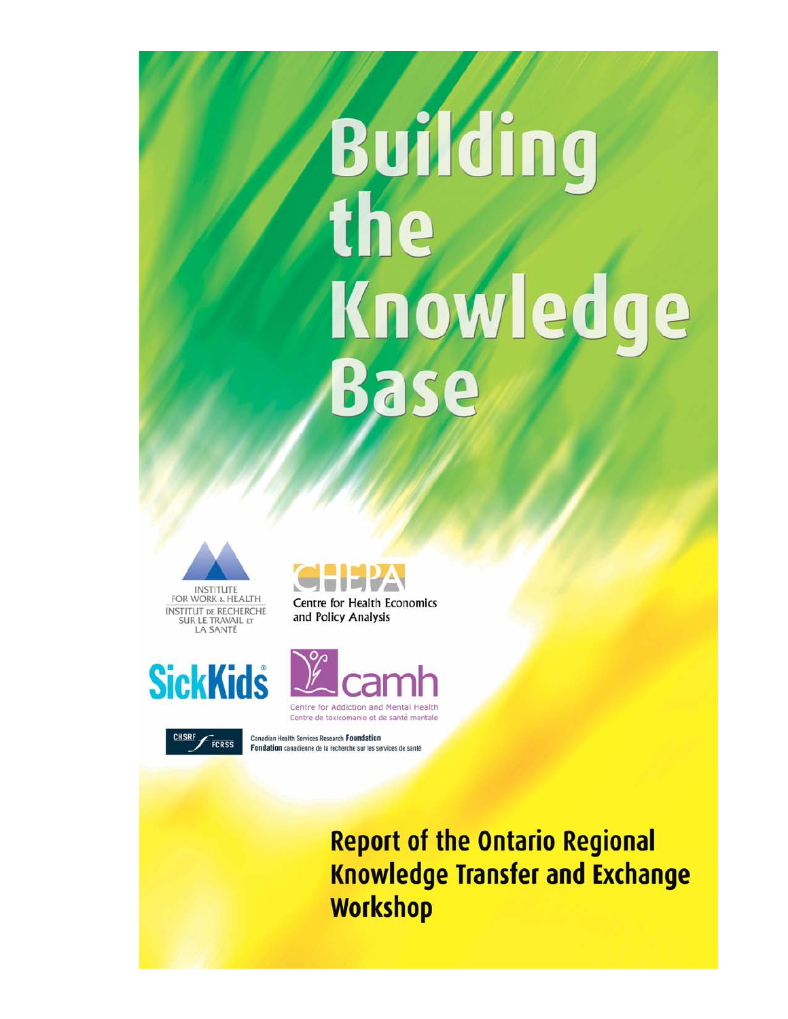# Building the Knowledge **Base**









FCRSS

Centre de toxicomanie et de santé mentale Canadian Health Services Research Foundation Fondation canadienne de la recherche sur les services de santé

> **Report of the Ontario Regional Knowledge Transfer and Exchange Workshop**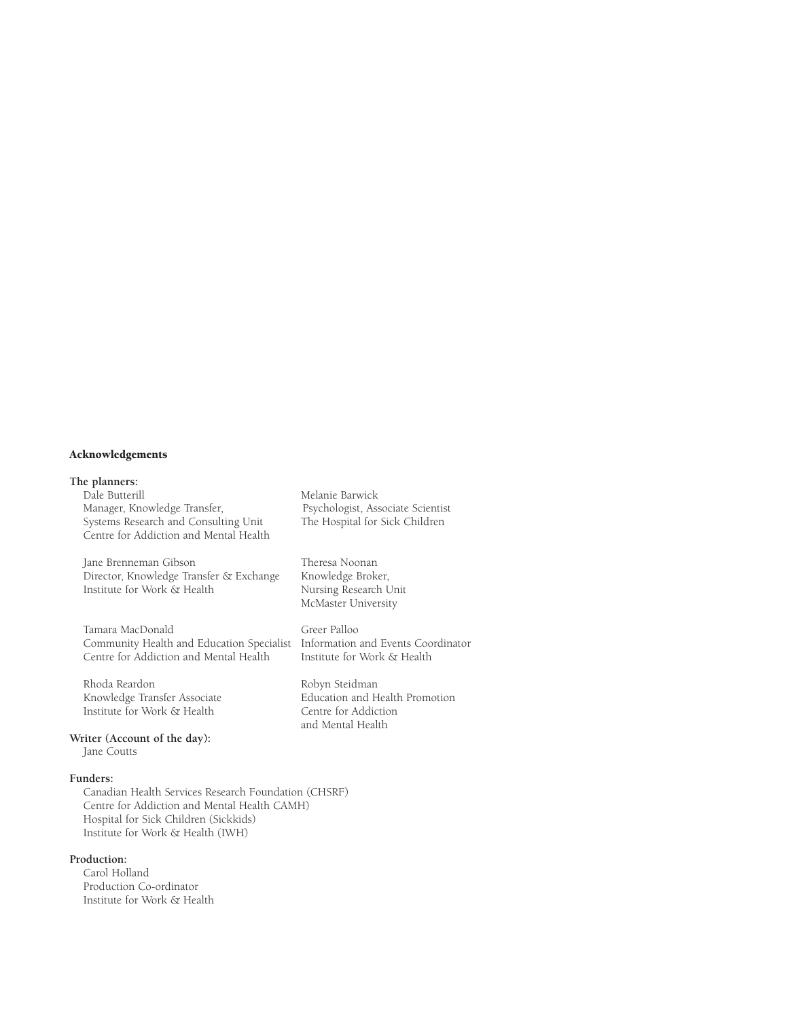#### Acknowledgements

# **The planners:**

Manager, Knowledge Transfer, Psychologist, Associate Scientis<br>Systems Research and Consulting Unit The Hospital for Sick Children Systems Research and Consulting Unit Centre for Addiction and Mental Health

Jane Brenneman Gibson Fheresa Noonan<br>Director, Knowledge Transfer & Exchange Knowledge Broker, Director, Knowledge Transfer & Exchange Knowledge Broker,<br>
Institute for Work & Health Nursing Research Unit Institute for Work & Health

Tamara MacDonald Greer Palloo<br>Community Health and Education Specialist Information and Events Coordinator Community Health and Education Specialist Information and Events Coo<br>Centre for Addiction and Mental Health Institute for Work & Health Centre for Addiction and Mental Health

Rhoda Reardon Robyn Steidman Institute for Work & Health

Melanie Barwick<br>Psychologist, Associate Scientist

McMaster University

Education and Health Promotion<br>Centre for Addiction and Mental Health

**Writer (Account of the day):**  Jane Coutts

#### **Funders:**

Canadian Health Services Research Foundation (CHSRF) Centre for Addiction and Mental Health CAMH) Hospital for Sick Children (Sickkids) Institute for Work & Health (IWH)

#### **Production:**

Carol Holland Production Co-ordinator Institute for Work & Health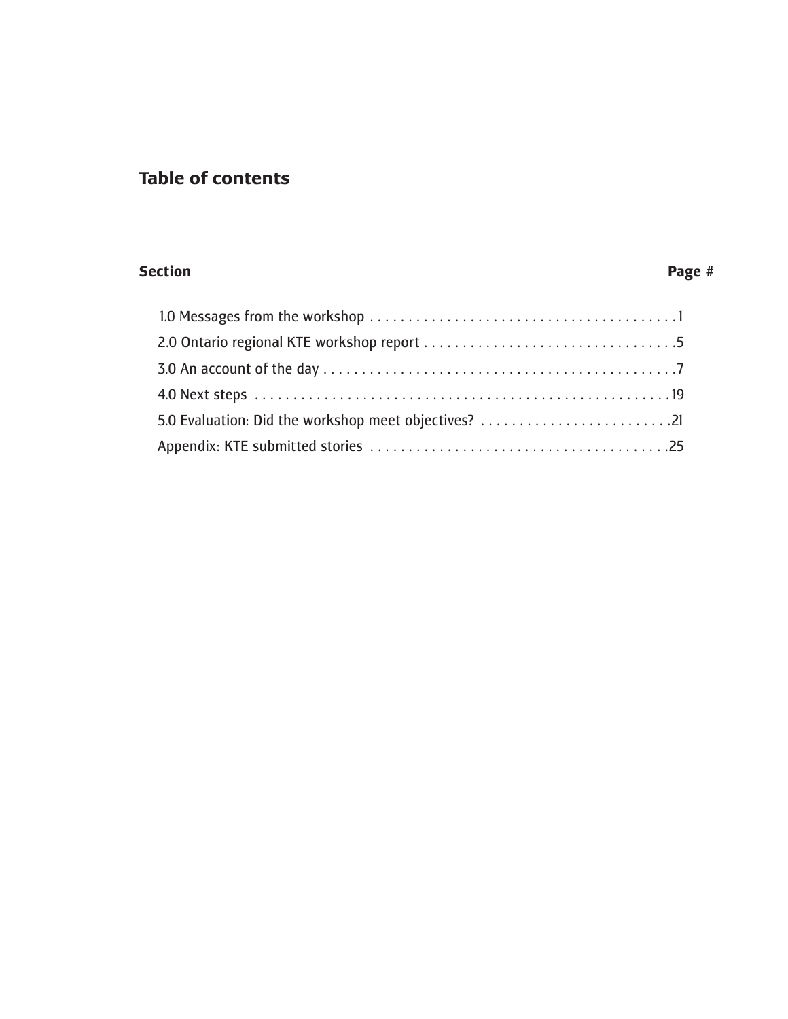# **Table of contents**

#### **Section Page #**

| 5.0 Evaluation: Did the workshop meet objectives? 21 |
|------------------------------------------------------|
|                                                      |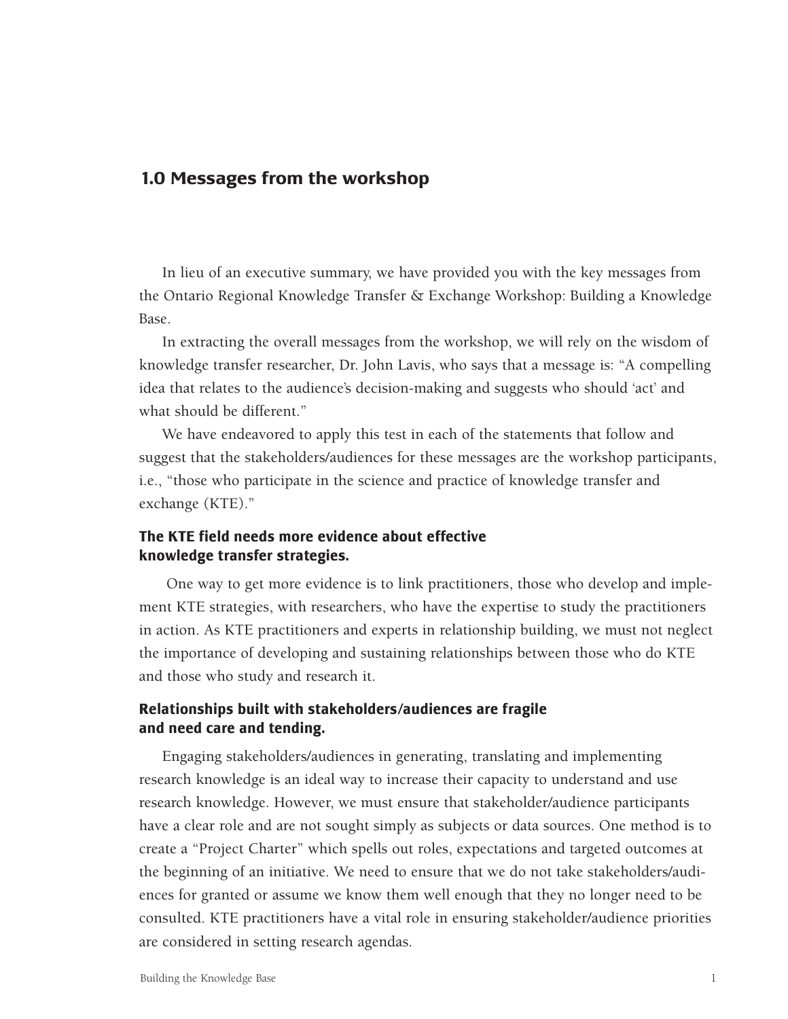# **1.0 Messages from the workshop**

In lieu of an executive summary, we have provided you with the key messages from the Ontario Regional Knowledge Transfer & Exchange Workshop: Building a Knowledge Base.

In extracting the overall messages from the workshop, we will rely on the wisdom of knowledge transfer researcher, Dr. John Lavis, who says that a message is: "A compelling idea that relates to the audience's decision-making and suggests who should 'act' and what should be different."

We have endeavored to apply this test in each of the statements that follow and suggest that the stakeholders/audiences for these messages are the workshop participants, i.e., "those who participate in the science and practice of knowledge transfer and exchange (KTE)."

#### **The KTE field needs more evidence about effective knowledge transfer strategies.**

One way to get more evidence is to link practitioners, those who develop and implement KTE strategies, with researchers, who have the expertise to study the practitioners in action. As KTE practitioners and experts in relationship building, we must not neglect the importance of developing and sustaining relationships between those who do KTE and those who study and research it.

#### **Relationships built with stakeholders/audiences are fragile and need care and tending.**

Engaging stakeholders/audiences in generating, translating and implementing research knowledge is an ideal way to increase their capacity to understand and use research knowledge. However, we must ensure that stakeholder/audience participants have a clear role and are not sought simply as subjects or data sources. One method is to create a "Project Charter" which spells out roles, expectations and targeted outcomes at the beginning of an initiative. We need to ensure that we do not take stakeholders/audiences for granted or assume we know them well enough that they no longer need to be consulted. KTE practitioners have a vital role in ensuring stakeholder/audience priorities are considered in setting research agendas.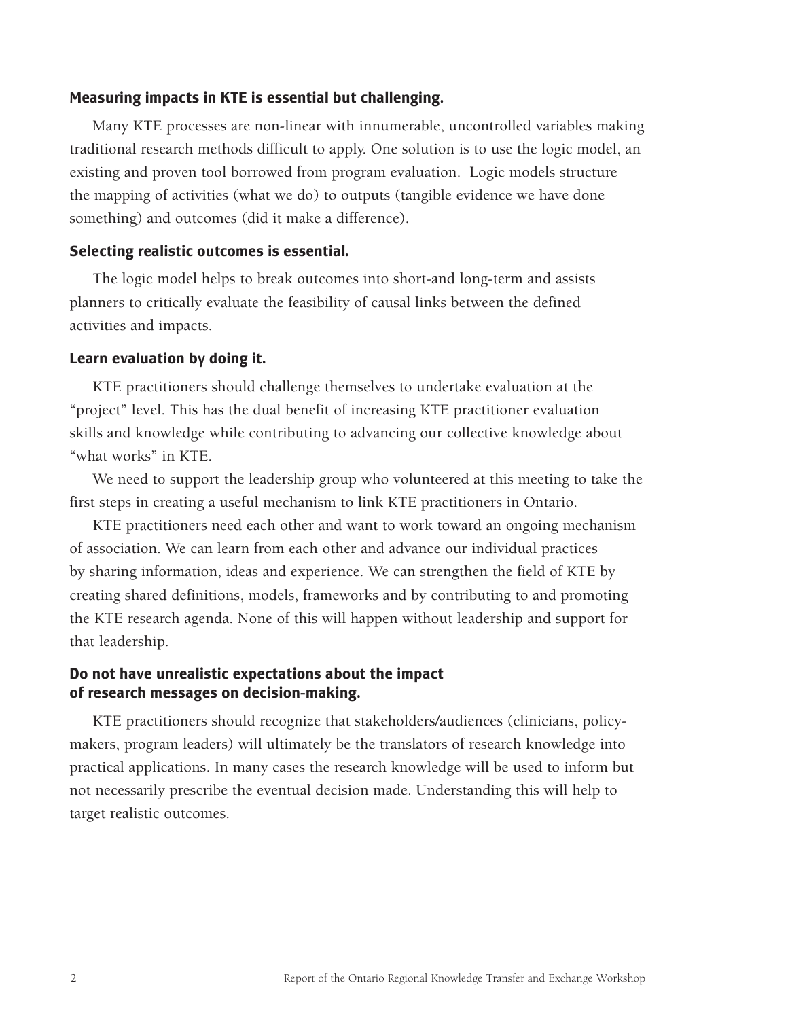#### **Measuring impacts in KTE is essential but challenging.**

Many KTE processes are non-linear with innumerable, uncontrolled variables making traditional research methods difficult to apply. One solution is to use the logic model, an existing and proven tool borrowed from program evaluation. Logic models structure the mapping of activities (what we do) to outputs (tangible evidence we have done something) and outcomes (did it make a difference).

#### **Selecting realistic outcomes is essential.**

The logic model helps to break outcomes into short-and long-term and assists planners to critically evaluate the feasibility of causal links between the defined activities and impacts.

#### **Learn evaluation by doing it.**

KTE practitioners should challenge themselves to undertake evaluation at the "project" level. This has the dual benefit of increasing KTE practitioner evaluation skills and knowledge while contributing to advancing our collective knowledge about "what works" in KTE.

We need to support the leadership group who volunteered at this meeting to take the first steps in creating a useful mechanism to link KTE practitioners in Ontario.

KTE practitioners need each other and want to work toward an ongoing mechanism of association. We can learn from each other and advance our individual practices by sharing information, ideas and experience. We can strengthen the field of KTE by creating shared definitions, models, frameworks and by contributing to and promoting the KTE research agenda. None of this will happen without leadership and support for that leadership.

#### **Do not have unrealistic expectations about the impact of research messages on decision-making.**

KTE practitioners should recognize that stakeholders/audiences (clinicians, policymakers, program leaders) will ultimately be the translators of research knowledge into practical applications. In many cases the research knowledge will be used to inform but not necessarily prescribe the eventual decision made. Understanding this will help to target realistic outcomes.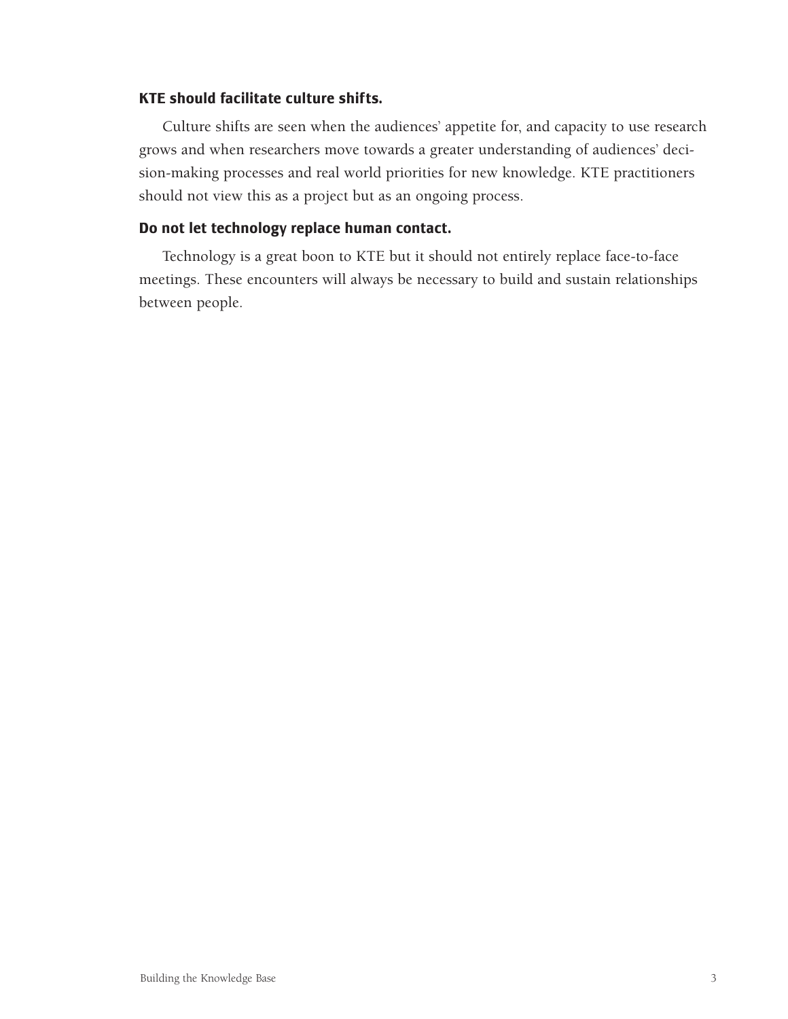#### **KTE should facilitate culture shifts.**

Culture shifts are seen when the audiences' appetite for, and capacity to use research grows and when researchers move towards a greater understanding of audiences' decision-making processes and real world priorities for new knowledge. KTE practitioners should not view this as a project but as an ongoing process.

#### **Do not let technology replace human contact.**

Technology is a great boon to KTE but it should not entirely replace face-to-face meetings. These encounters will always be necessary to build and sustain relationships between people.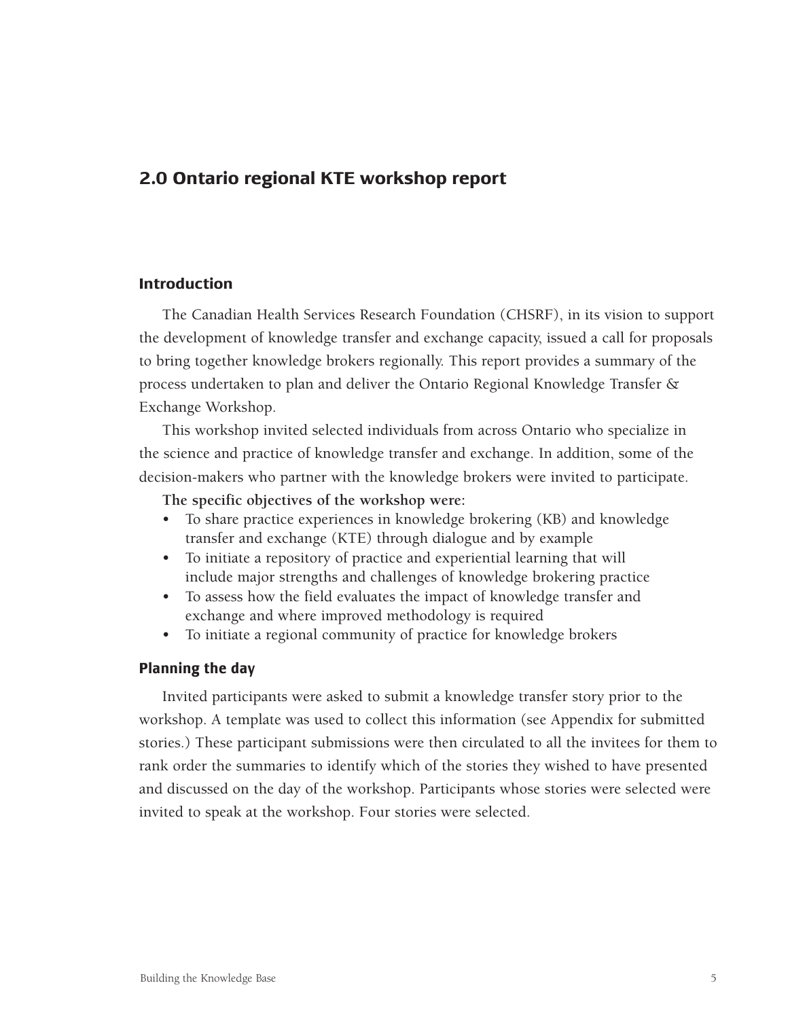# **2.0 Ontario regional KTE workshop report**

#### **Introduction**

The Canadian Health Services Research Foundation (CHSRF), in its vision to support the development of knowledge transfer and exchange capacity, issued a call for proposals to bring together knowledge brokers regionally. This report provides a summary of the process undertaken to plan and deliver the Ontario Regional Knowledge Transfer & Exchange Workshop.

This workshop invited selected individuals from across Ontario who specialize in the science and practice of knowledge transfer and exchange. In addition, some of the decision-makers who partner with the knowledge brokers were invited to participate.

**The specific objectives of the workshop were:**

- To share practice experiences in knowledge brokering (KB) and knowledge transfer and exchange (KTE) through dialogue and by example
- To initiate a repository of practice and experiential learning that will include major strengths and challenges of knowledge brokering practice
- To assess how the field evaluates the impact of knowledge transfer and exchange and where improved methodology is required
- To initiate a regional community of practice for knowledge brokers

#### **Planning the day**

Invited participants were asked to submit a knowledge transfer story prior to the workshop. A template was used to collect this information (see Appendix for submitted stories.) These participant submissions were then circulated to all the invitees for them to rank order the summaries to identify which of the stories they wished to have presented and discussed on the day of the workshop. Participants whose stories were selected were invited to speak at the workshop. Four stories were selected.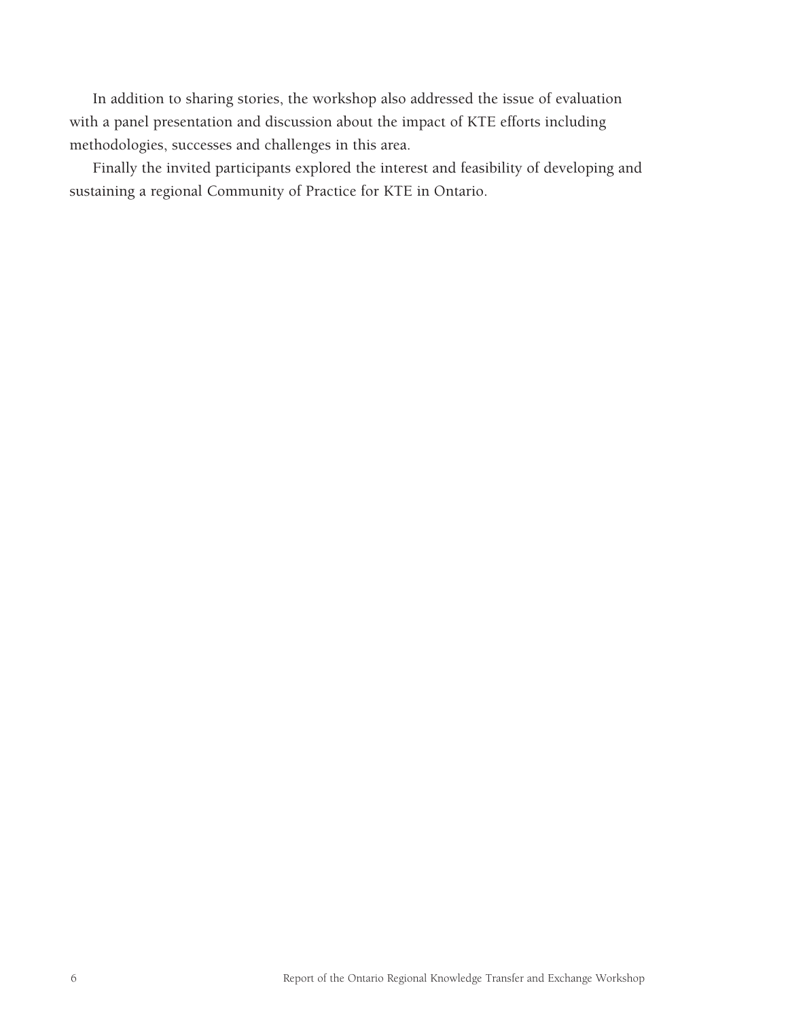<span id="page-8-0"></span>In addition to sharing stories, the workshop also addressed the issue of evaluation with a panel presentation and discussion about the impact of KTE efforts including methodologies, successes and challenges in this area.

Finally the invited participants explored the interest and feasibility of developing and sustaining a regional Community of Practice for KTE in Ontario.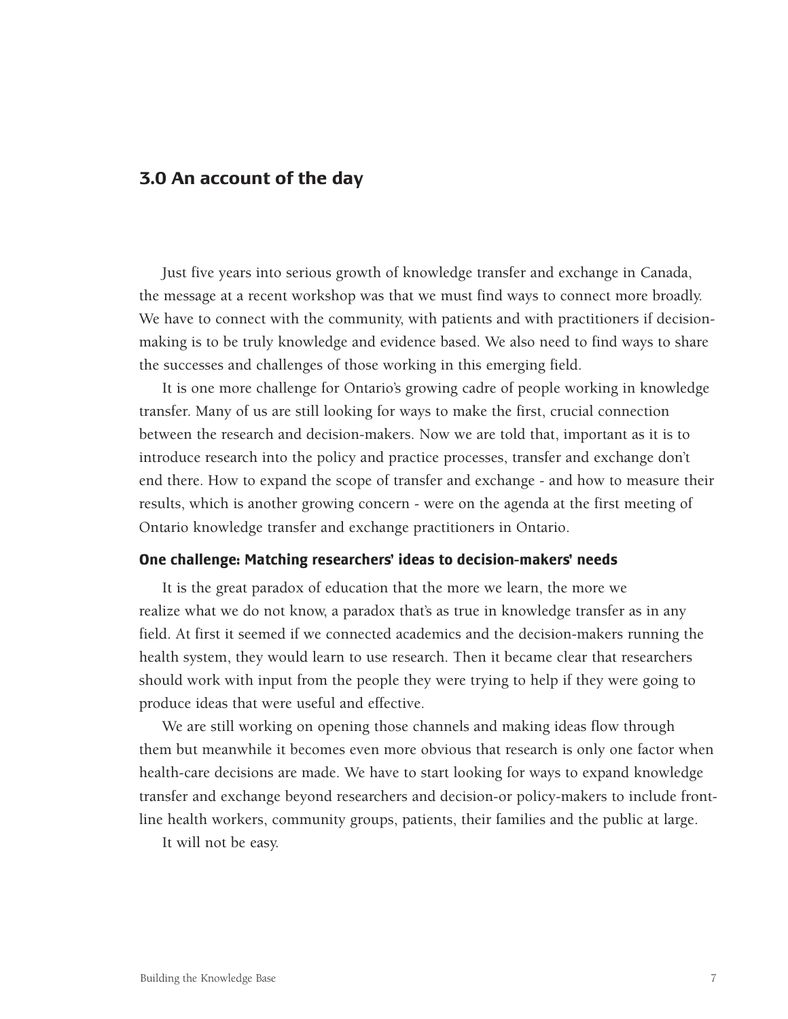#### **3.0 An account of the day**

Just five years into serious growth of knowledge transfer and exchange in Canada, the message at a recent workshop was that we must find ways to connect more broadly. We have to connect with the community, with patients and with practitioners if decisionmaking is to be truly knowledge and evidence based. We also need to find ways to share the successes and challenges of those working in this emerging field.

It is one more challenge for Ontario's growing cadre of people working in knowledge transfer. Many of us are still looking for ways to make the first, crucial connection between the research and decision-makers. Now we are told that, important as it is to introduce research into the policy and practice processes, transfer and exchange don't end there. How to expand the scope of transfer and exchange - and how to measure their results, which is another growing concern - were on the agenda at the first meeting of Ontario knowledge transfer and exchange practitioners in Ontario.

#### **One challenge: Matching researchers' ideas to decision-makers' needs**

It is the great paradox of education that the more we learn, the more we realize what we do not know, a paradox that's as true in knowledge transfer as in any field. At first it seemed if we connected academics and the decision-makers running the health system, they would learn to use research. Then it became clear that researchers should work with input from the people they were trying to help if they were going to produce ideas that were useful and effective.

We are still working on opening those channels and making ideas flow through them but meanwhile it becomes even more obvious that research is only one factor when health-care decisions are made. We have to start looking for ways to expand knowledge transfer and exchange beyond researchers and decision-or policy-makers to include frontline health workers, community groups, patients, their families and the public at large.

It will not be easy.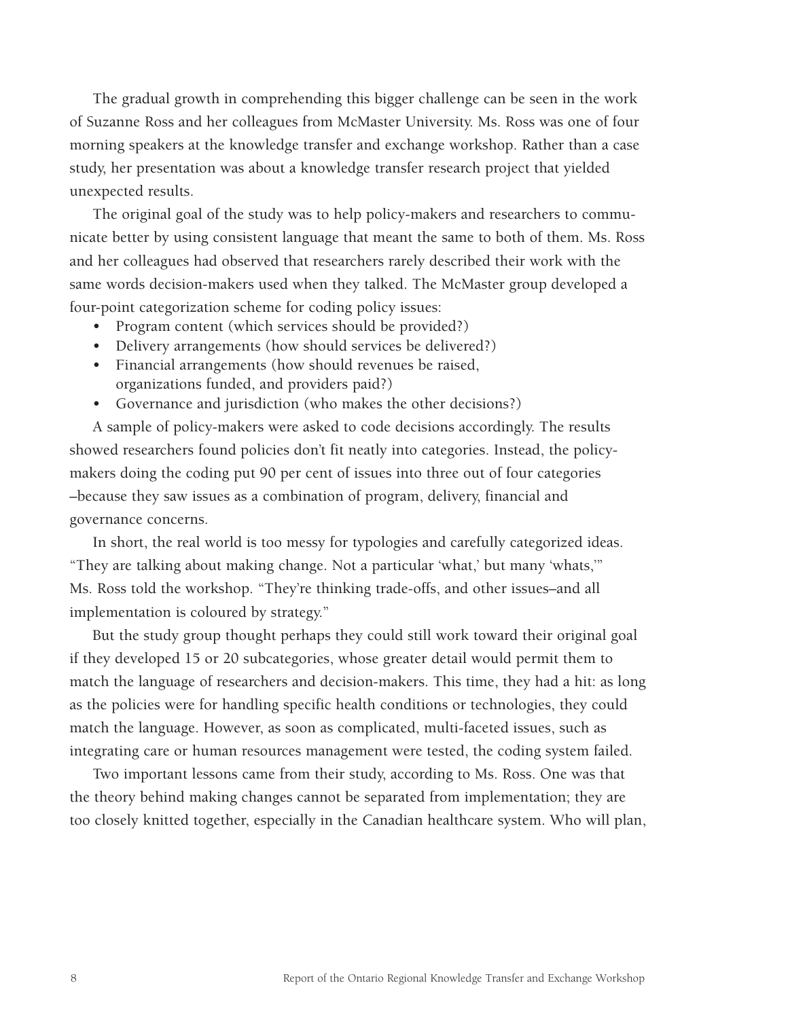<span id="page-10-0"></span>The gradual growth in comprehending this bigger challenge can be seen in the work of Suzanne Ross and her colleagues from McMaster University. Ms. Ross was one of four morning speakers at the knowledge transfer and exchange workshop. Rather than a case study, her presentation was about a knowledge transfer research project that yielded unexpected results.

The original goal of the study was to help policy-makers and researchers to communicate better by using consistent language that meant the same to both of them. Ms. Ross and her colleagues had observed that researchers rarely described their work with the same words decision-makers used when they talked. The McMaster group developed a four-point categorization scheme for coding policy issues:

- Program content (which services should be provided?)
- Delivery arrangements (how should services be delivered?)
- Financial arrangements (how should revenues be raised, organizations funded, and providers paid?)
- Governance and jurisdiction (who makes the other decisions?)

A sample of policy-makers were asked to code decisions accordingly. The results showed researchers found policies don't fit neatly into categories. Instead, the policymakers doing the coding put 90 per cent of issues into three out of four categories –because they saw issues as a combination of program, delivery, financial and governance concerns.

In short, the real world is too messy for typologies and carefully categorized ideas. "They are talking about making change. Not a particular 'what,' but many 'whats,'" Ms. Ross told the workshop. "They're thinking trade-offs, and other issues–and all implementation is coloured by strategy."

But the study group thought perhaps they could still work toward their original goal if they developed 15 or 20 subcategories, whose greater detail would permit them to match the language of researchers and decision-makers. This time, they had a hit: as long as the policies were for handling specific health conditions or technologies, they could match the language. However, as soon as complicated, multi-faceted issues, such as integrating care or human resources management were tested, the coding system failed.

Two important lessons came from their study, according to Ms. Ross. One was that the theory behind making changes cannot be separated from implementation; they are too closely knitted together, especially in the Canadian healthcare system. Who will plan,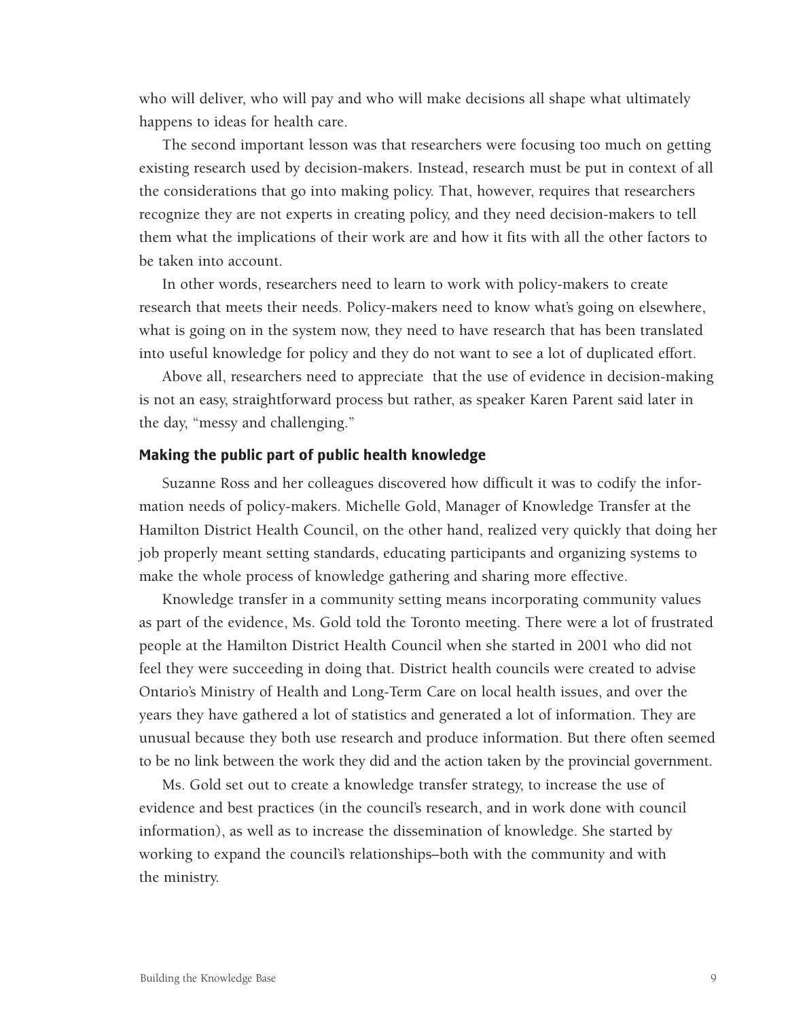who will deliver, who will pay and who will make decisions all shape what ultimately happens to ideas for health care.

The second important lesson was that researchers were focusing too much on getting existing research used by decision-makers. Instead, research must be put in context of all the considerations that go into making policy. That, however, requires that researchers recognize they are not experts in creating policy, and they need decision-makers to tell them what the implications of their work are and how it fits with all the other factors to be taken into account.

In other words, researchers need to learn to work with policy-makers to create research that meets their needs. Policy-makers need to know what's going on elsewhere, what is going on in the system now, they need to have research that has been translated into useful knowledge for policy and they do not want to see a lot of duplicated effort.

Above all, researchers need to appreciate that the use of evidence in decision-making is not an easy, straightforward process but rather, as speaker Karen Parent said later in the day, "messy and challenging."

#### **Making the public part of public health knowledge**

Suzanne Ross and her colleagues discovered how difficult it was to codify the information needs of policy-makers. Michelle Gold, Manager of Knowledge Transfer at the Hamilton District Health Council, on the other hand, realized very quickly that doing her job properly meant setting standards, educating participants and organizing systems to make the whole process of knowledge gathering and sharing more effective.

Knowledge transfer in a community setting means incorporating community values as part of the evidence, Ms. Gold told the Toronto meeting. There were a lot of frustrated people at the Hamilton District Health Council when she started in 2001 who did not feel they were succeeding in doing that. District health councils were created to advise Ontario's Ministry of Health and Long-Term Care on local health issues, and over the years they have gathered a lot of statistics and generated a lot of information. They are unusual because they both use research and produce information. But there often seemed to be no link between the work they did and the action taken by the provincial government.

Ms. Gold set out to create a knowledge transfer strategy, to increase the use of evidence and best practices (in the council's research, and in work done with council information), as well as to increase the dissemination of knowledge. She started by working to expand the council's relationships–both with the community and with the ministry.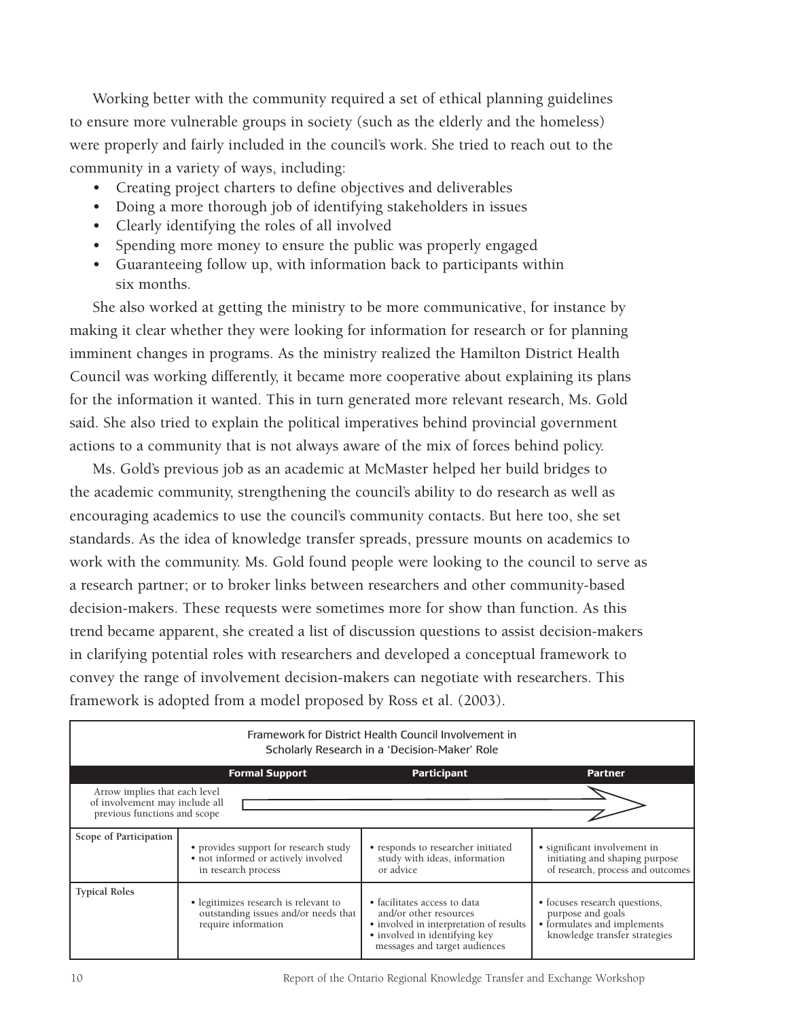Working better with the community required a set of ethical planning guidelines to ensure more vulnerable groups in society (such as the elderly and the homeless) were properly and fairly included in the council's work. She tried to reach out to the community in a variety of ways, including:

- Creating project charters to define objectives and deliverables
- Doing a more thorough job of identifying stakeholders in issues
- Clearly identifying the roles of all involved
- Spending more money to ensure the public was properly engaged
- Guaranteeing follow up, with information back to participants within six months.

She also worked at getting the ministry to be more communicative, for instance by making it clear whether they were looking for information for research or for planning imminent changes in programs. As the ministry realized the Hamilton District Health Council was working differently, it became more cooperative about explaining its plans for the information it wanted. This in turn generated more relevant research, Ms. Gold said. She also tried to explain the political imperatives behind provincial government actions to a community that is not always aware of the mix of forces behind policy.

Ms. Gold's previous job as an academic at McMaster helped her build bridges to the academic community, strengthening the council's ability to do research as well as encouraging academics to use the council's community contacts. But here too, she set standards. As the idea of knowledge transfer spreads, pressure mounts on academics to work with the community. Ms. Gold found people were looking to the council to serve as a research partner; or to broker links between researchers and other community-based decision-makers. These requests were sometimes more for show than function. As this trend became apparent, she created a list of discussion questions to assist decision-makers in clarifying potential roles with researchers and developed a conceptual framework to convey the range of involvement decision-makers can negotiate with researchers. This framework is adopted from a model proposed by Ross et al. (2003).

| Framework for District Health Council Involvement in<br>Scholarly Research in a 'Decision-Maker' Role |                                                                                                      |                                                                                                                                                                     |                                                                                                                    |  |  |
|-------------------------------------------------------------------------------------------------------|------------------------------------------------------------------------------------------------------|---------------------------------------------------------------------------------------------------------------------------------------------------------------------|--------------------------------------------------------------------------------------------------------------------|--|--|
|                                                                                                       | <b>Formal Support</b>                                                                                | <b>Participant</b>                                                                                                                                                  | <b>Partner</b>                                                                                                     |  |  |
| Arrow implies that each level<br>of involvement may include all<br>previous functions and scope       |                                                                                                      |                                                                                                                                                                     |                                                                                                                    |  |  |
| Scope of Participation                                                                                | • provides support for research study<br>• not informed or actively involved<br>in research process  | • responds to researcher initiated<br>study with ideas, information<br>or advice                                                                                    | • significant involvement in<br>initiating and shaping purpose<br>of research, process and outcomes                |  |  |
| <b>Typical Roles</b>                                                                                  | • legitimizes research is relevant to<br>outstanding issues and/or needs that<br>require information | • facilitates access to data<br>and/or other resources<br>• involved in interpretation of results<br>• involved in identifying key<br>messages and target audiences | • focuses research questions,<br>purpose and goals<br>• formulates and implements<br>knowledge transfer strategies |  |  |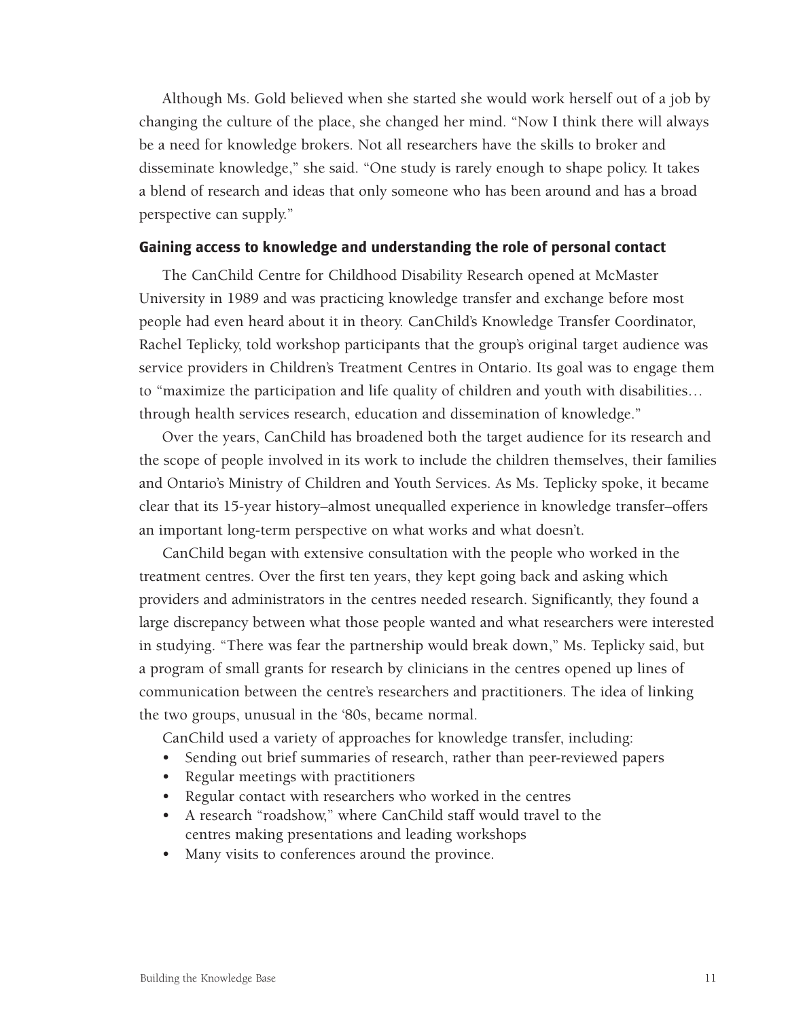Although Ms. Gold believed when she started she would work herself out of a job by changing the culture of the place, she changed her mind. "Now I think there will always be a need for knowledge brokers. Not all researchers have the skills to broker and disseminate knowledge," she said. "One study is rarely enough to shape policy. It takes a blend of research and ideas that only someone who has been around and has a broad perspective can supply."

#### **Gaining access to knowledge and understanding the role of personal contact**

The CanChild Centre for Childhood Disability Research opened at McMaster University in 1989 and was practicing knowledge transfer and exchange before most people had even heard about it in theory. CanChild's Knowledge Transfer Coordinator, Rachel Teplicky, told workshop participants that the group's original target audience was service providers in Children's Treatment Centres in Ontario. Its goal was to engage them to "maximize the participation and life quality of children and youth with disabilities… through health services research, education and dissemination of knowledge."

Over the years, CanChild has broadened both the target audience for its research and the scope of people involved in its work to include the children themselves, their families and Ontario's Ministry of Children and Youth Services. As Ms. Teplicky spoke, it became clear that its 15-year history–almost unequalled experience in knowledge transfer–offers an important long-term perspective on what works and what doesn't.

CanChild began with extensive consultation with the people who worked in the treatment centres. Over the first ten years, they kept going back and asking which providers and administrators in the centres needed research. Significantly, they found a large discrepancy between what those people wanted and what researchers were interested in studying. "There was fear the partnership would break down," Ms. Teplicky said, but a program of small grants for research by clinicians in the centres opened up lines of communication between the centre's researchers and practitioners. The idea of linking the two groups, unusual in the '80s, became normal.

CanChild used a variety of approaches for knowledge transfer, including:

- Sending out brief summaries of research, rather than peer-reviewed papers
- Regular meetings with practitioners
- Regular contact with researchers who worked in the centres
- A research "roadshow," where CanChild staff would travel to the centres making presentations and leading workshops
- Many visits to conferences around the province.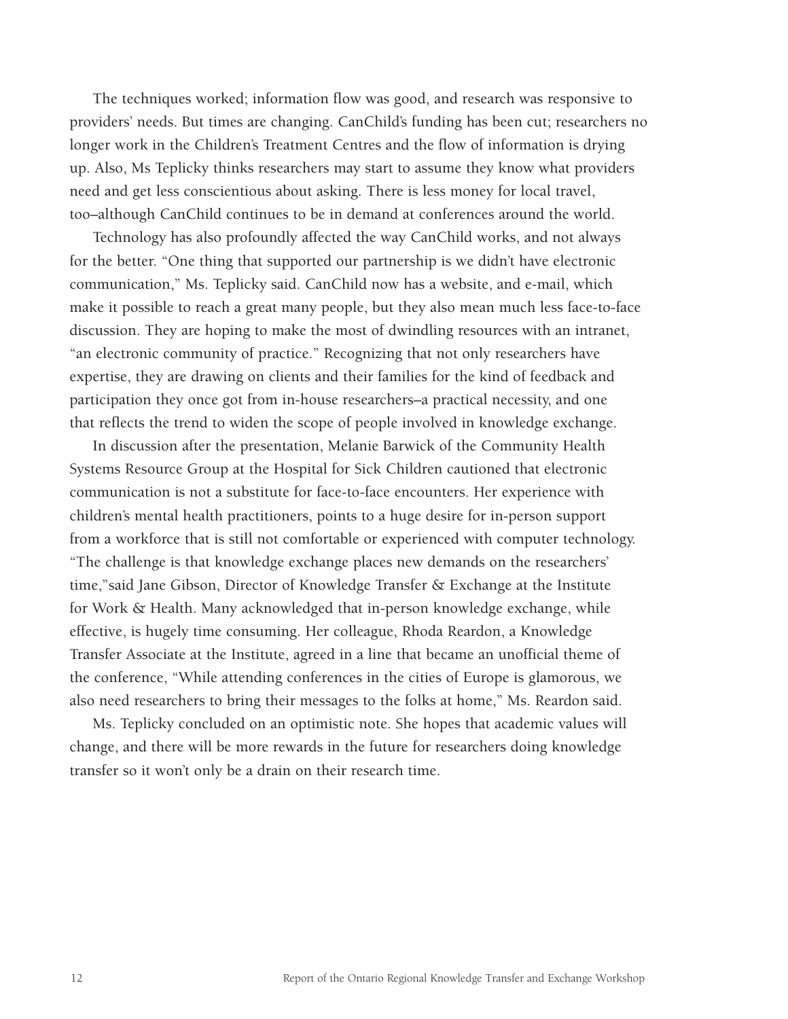The techniques worked; information flow was good, and research was responsive to providers' needs. But times are changing. CanChild's funding has been cut; researchers no longer work in the Children's Treatment Centres and the flow of information is drying up. Also, Ms Teplicky thinks researchers may start to assume they know what providers need and get less conscientious about asking. There is less money for local travel, too–although CanChild continues to be in demand at conferences around the world.

Technology has also profoundly affected the way CanChild works, and not always for the better. "One thing that supported our partnership is we didn't have electronic communication," Ms. Teplicky said. CanChild now has a website, and e-mail, which make it possible to reach a great many people, but they also mean much less face-to-face discussion. They are hoping to make the most of dwindling resources with an intranet, "an electronic community of practice." Recognizing that not only researchers have expertise, they are drawing on clients and their families for the kind of feedback and participation they once got from in-house researchers–a practical necessity, and one that reflects the trend to widen the scope of people involved in knowledge exchange.

In discussion after the presentation, Melanie Barwick of the Community Health Systems Resource Group at the Hospital for Sick Children cautioned that electronic communication is not a substitute for face-to-face encounters. Her experience with children's mental health practitioners, points to a huge desire for in-person support from a workforce that is still not comfortable or experienced with computer technology. "The challenge is that knowledge exchange places new demands on the researchers' time,"said Jane Gibson, Director of Knowledge Transfer & Exchange at the Institute for Work & Health. Many acknowledged that in-person knowledge exchange, while effective, is hugely time consuming. Her colleague, Rhoda Reardon, a Knowledge Transfer Associate at the Institute, agreed in a line that became an unofficial theme of the conference, "While attending conferences in the cities of Europe is glamorous, we also need researchers to bring their messages to the folks at home," Ms. Reardon said.

Ms. Teplicky concluded on an optimistic note. She hopes that academic values will change, and there will be more rewards in the future for researchers doing knowledge transfer so it won't only be a drain on their research time.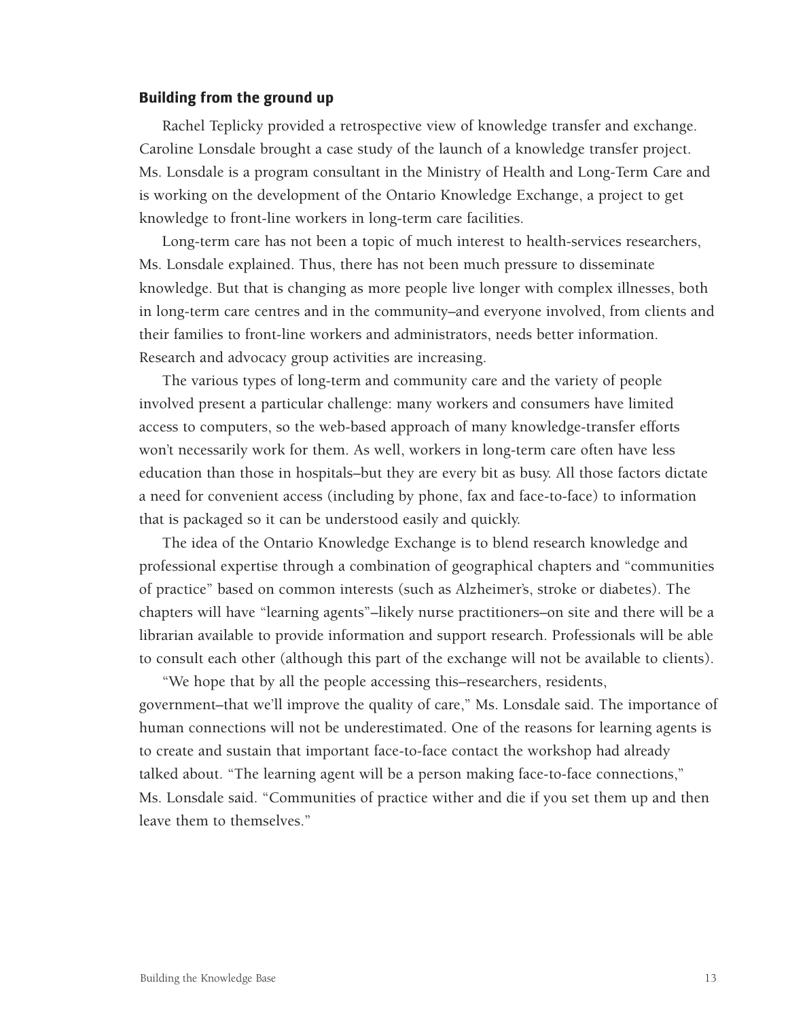#### **Building from the ground up**

Rachel Teplicky provided a retrospective view of knowledge transfer and exchange. Caroline Lonsdale brought a case study of the launch of a knowledge transfer project. Ms. Lonsdale is a program consultant in the Ministry of Health and Long-Term Care and is working on the development of the Ontario Knowledge Exchange, a project to get knowledge to front-line workers in long-term care facilities.

Long-term care has not been a topic of much interest to health-services researchers, Ms. Lonsdale explained. Thus, there has not been much pressure to disseminate knowledge. But that is changing as more people live longer with complex illnesses, both in long-term care centres and in the community–and everyone involved, from clients and their families to front-line workers and administrators, needs better information. Research and advocacy group activities are increasing.

The various types of long-term and community care and the variety of people involved present a particular challenge: many workers and consumers have limited access to computers, so the web-based approach of many knowledge-transfer efforts won't necessarily work for them. As well, workers in long-term care often have less education than those in hospitals–but they are every bit as busy. All those factors dictate a need for convenient access (including by phone, fax and face-to-face) to information that is packaged so it can be understood easily and quickly.

The idea of the Ontario Knowledge Exchange is to blend research knowledge and professional expertise through a combination of geographical chapters and "communities of practice" based on common interests (such as Alzheimer's, stroke or diabetes). The chapters will have "learning agents"–likely nurse practitioners–on site and there will be a librarian available to provide information and support research. Professionals will be able to consult each other (although this part of the exchange will not be available to clients).

"We hope that by all the people accessing this–researchers, residents, government–that we'll improve the quality of care," Ms. Lonsdale said. The importance of human connections will not be underestimated. One of the reasons for learning agents is to create and sustain that important face-to-face contact the workshop had already talked about. "The learning agent will be a person making face-to-face connections," Ms. Lonsdale said. "Communities of practice wither and die if you set them up and then leave them to themselves."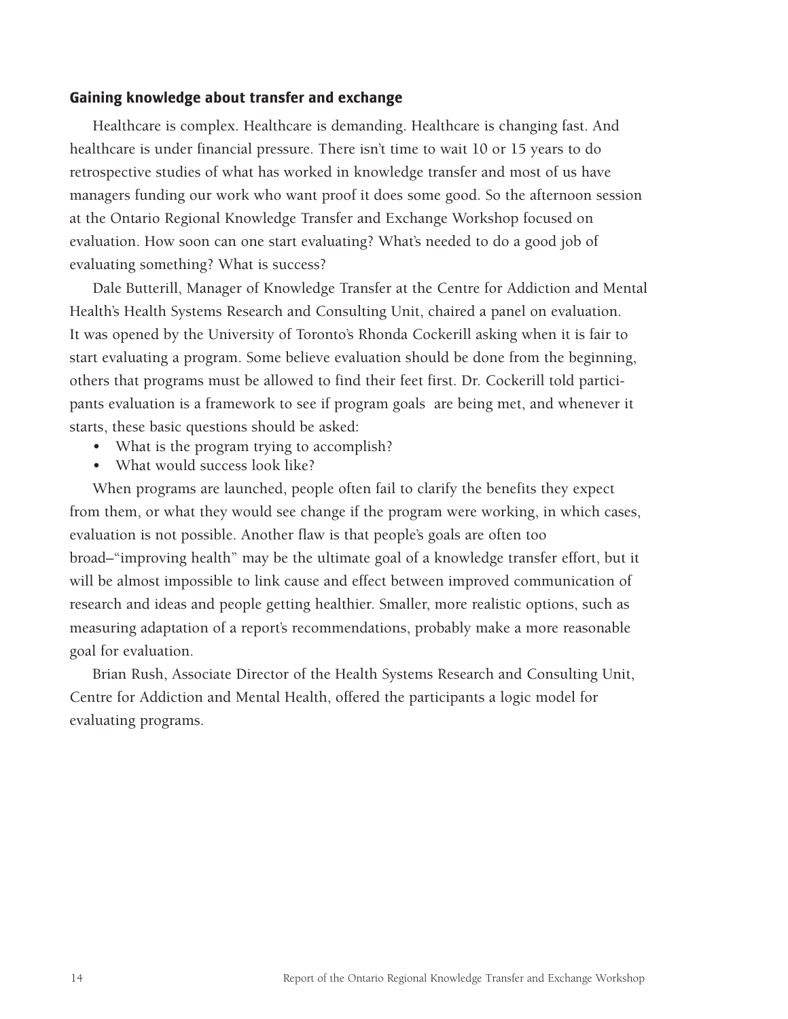#### **Gaining knowledge about transfer and exchange**

Healthcare is complex. Healthcare is demanding. Healthcare is changing fast. And healthcare is under financial pressure. There isn't time to wait 10 or 15 years to do retrospective studies of what has worked in knowledge transfer and most of us have managers funding our work who want proof it does some good. So the afternoon session at the Ontario Regional Knowledge Transfer and Exchange Workshop focused on evaluation. How soon can one start evaluating? What's needed to do a good job of evaluating something? What is success?

Dale Butterill, Manager of Knowledge Transfer at the Centre for Addiction and Mental Health's Health Systems Research and Consulting Unit, chaired a panel on evaluation. It was opened by the University of Toronto's Rhonda Cockerill asking when it is fair to start evaluating a program. Some believe evaluation should be done from the beginning, others that programs must be allowed to find their feet first. Dr. Cockerill told participants evaluation is a framework to see if program goals are being met, and whenever it starts, these basic questions should be asked:

- What is the program trying to accomplish?
- What would success look like?

When programs are launched, people often fail to clarify the benefits they expect from them, or what they would see change if the program were working, in which cases, evaluation is not possible. Another flaw is that people's goals are often too broad–"improving health" may be the ultimate goal of a knowledge transfer effort, but it will be almost impossible to link cause and effect between improved communication of research and ideas and people getting healthier. Smaller, more realistic options, such as measuring adaptation of a report's recommendations, probably make a more reasonable goal for evaluation.

Brian Rush, Associate Director of the Health Systems Research and Consulting Unit, Centre for Addiction and Mental Health, offered the participants a logic model for evaluating programs.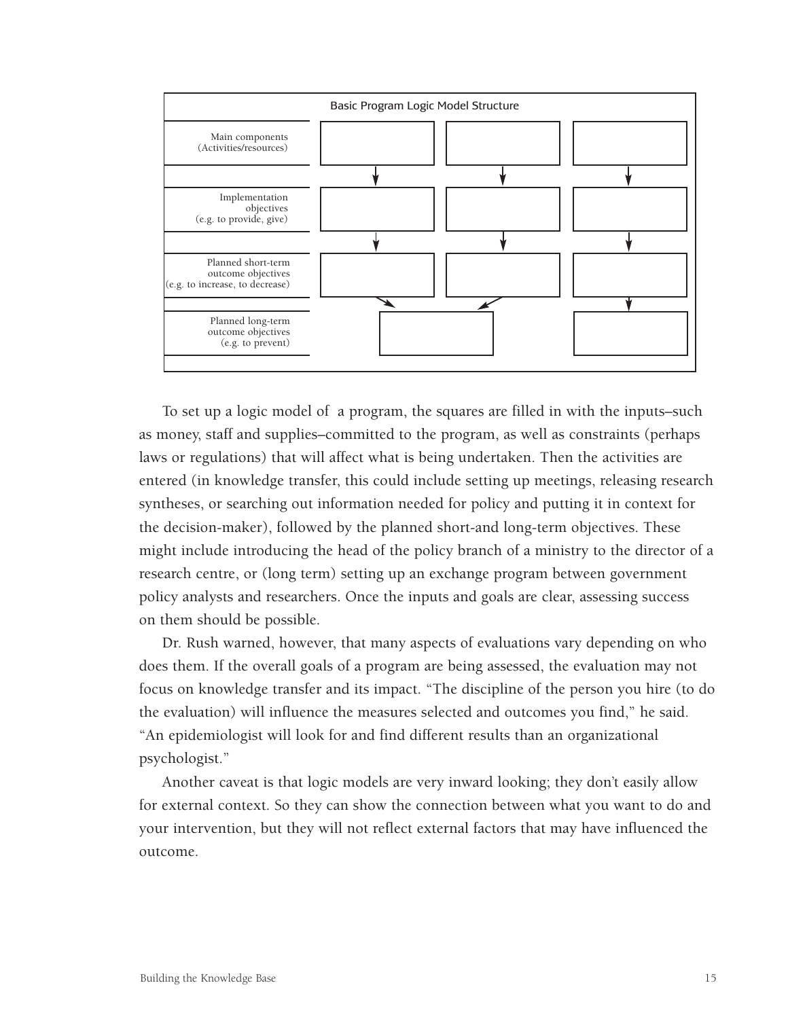

To set up a logic model of a program, the squares are filled in with the inputs–such as money, staff and supplies–committed to the program, as well as constraints (perhaps laws or regulations) that will affect what is being undertaken. Then the activities are entered (in knowledge transfer, this could include setting up meetings, releasing research syntheses, or searching out information needed for policy and putting it in context for the decision-maker), followed by the planned short-and long-term objectives. These might include introducing the head of the policy branch of a ministry to the director of a research centre, or (long term) setting up an exchange program between government policy analysts and researchers. Once the inputs and goals are clear, assessing success on them should be possible.

Dr. Rush warned, however, that many aspects of evaluations vary depending on who does them. If the overall goals of a program are being assessed, the evaluation may not focus on knowledge transfer and its impact. "The discipline of the person you hire (to do the evaluation) will influence the measures selected and outcomes you find," he said. "An epidemiologist will look for and find different results than an organizational psychologist."

Another caveat is that logic models are very inward looking; they don't easily allow for external context. So they can show the connection between what you want to do and your intervention, but they will not reflect external factors that may have influenced the outcome.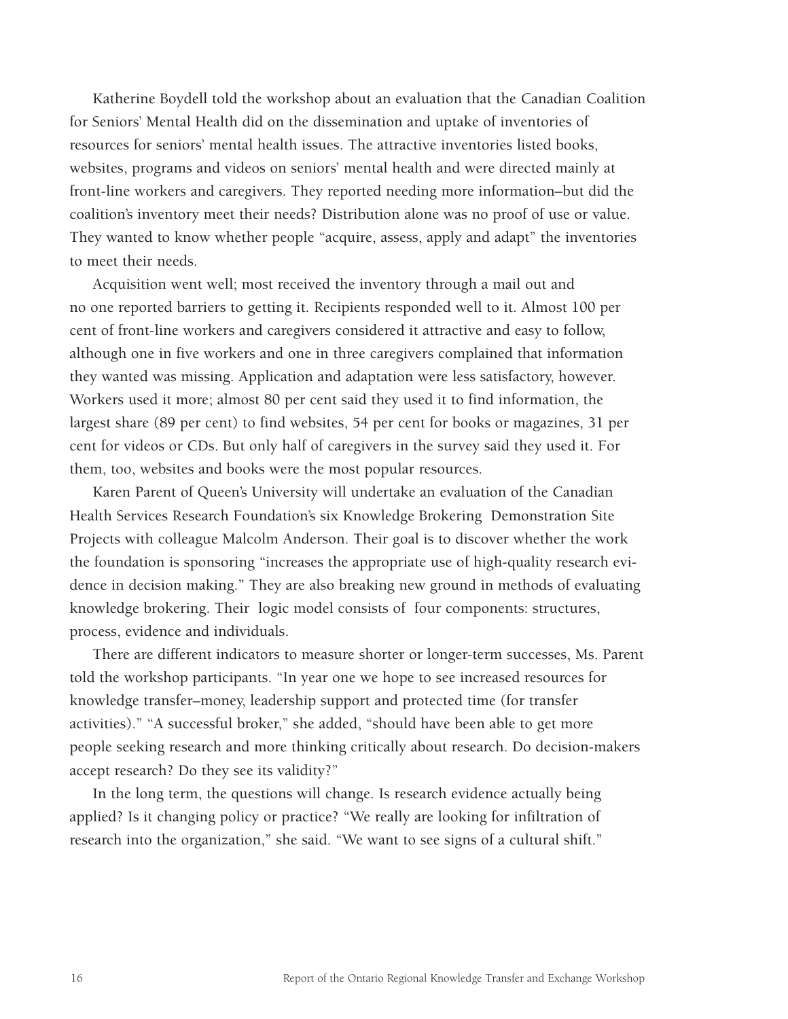Katherine Boydell told the workshop about an evaluation that the Canadian Coalition for Seniors' Mental Health did on the dissemination and uptake of inventories of resources for seniors' mental health issues. The attractive inventories listed books, websites, programs and videos on seniors' mental health and were directed mainly at front-line workers and caregivers. They reported needing more information–but did the coalition's inventory meet their needs? Distribution alone was no proof of use or value. They wanted to know whether people "acquire, assess, apply and adapt" the inventories to meet their needs.

Acquisition went well; most received the inventory through a mail out and no one reported barriers to getting it. Recipients responded well to it. Almost 100 per cent of front-line workers and caregivers considered it attractive and easy to follow, although one in five workers and one in three caregivers complained that information they wanted was missing. Application and adaptation were less satisfactory, however. Workers used it more; almost 80 per cent said they used it to find information, the largest share (89 per cent) to find websites, 54 per cent for books or magazines, 31 per cent for videos or CDs. But only half of caregivers in the survey said they used it. For them, too, websites and books were the most popular resources.

Karen Parent of Queen's University will undertake an evaluation of the Canadian Health Services Research Foundation's six Knowledge Brokering Demonstration Site Projects with colleague Malcolm Anderson. Their goal is to discover whether the work the foundation is sponsoring "increases the appropriate use of high-quality research evidence in decision making." They are also breaking new ground in methods of evaluating knowledge brokering. Their logic model consists of four components: structures, process, evidence and individuals.

There are different indicators to measure shorter or longer-term successes, Ms. Parent told the workshop participants. "In year one we hope to see increased resources for knowledge transfer–money, leadership support and protected time (for transfer activities)." "A successful broker," she added, "should have been able to get more people seeking research and more thinking critically about research. Do decision-makers accept research? Do they see its validity?"

In the long term, the questions will change. Is research evidence actually being applied? Is it changing policy or practice? "We really are looking for infiltration of research into the organization," she said. "We want to see signs of a cultural shift."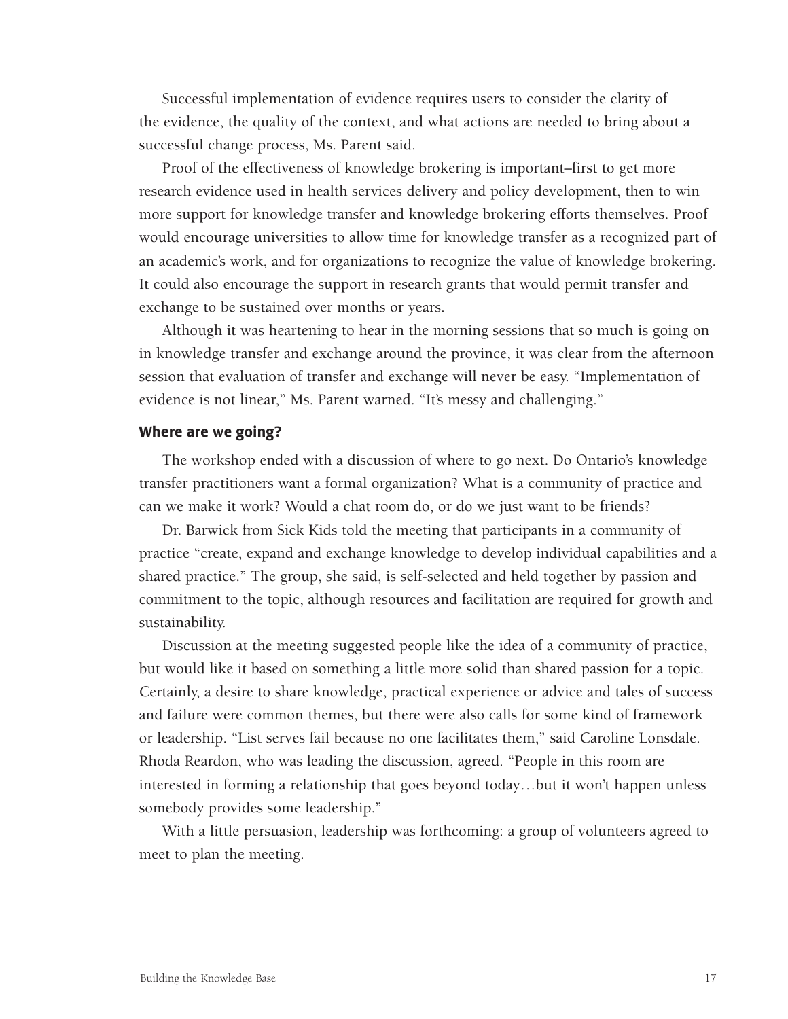Successful implementation of evidence requires users to consider the clarity of the evidence, the quality of the context, and what actions are needed to bring about a successful change process, Ms. Parent said.

Proof of the effectiveness of knowledge brokering is important–first to get more research evidence used in health services delivery and policy development, then to win more support for knowledge transfer and knowledge brokering efforts themselves. Proof would encourage universities to allow time for knowledge transfer as a recognized part of an academic's work, and for organizations to recognize the value of knowledge brokering. It could also encourage the support in research grants that would permit transfer and exchange to be sustained over months or years.

Although it was heartening to hear in the morning sessions that so much is going on in knowledge transfer and exchange around the province, it was clear from the afternoon session that evaluation of transfer and exchange will never be easy. "Implementation of evidence is not linear," Ms. Parent warned. "It's messy and challenging."

#### **Where are we going?**

The workshop ended with a discussion of where to go next. Do Ontario's knowledge transfer practitioners want a formal organization? What is a community of practice and can we make it work? Would a chat room do, or do we just want to be friends?

Dr. Barwick from Sick Kids told the meeting that participants in a community of practice "create, expand and exchange knowledge to develop individual capabilities and a shared practice." The group, she said, is self-selected and held together by passion and commitment to the topic, although resources and facilitation are required for growth and sustainability.

Discussion at the meeting suggested people like the idea of a community of practice, but would like it based on something a little more solid than shared passion for a topic. Certainly, a desire to share knowledge, practical experience or advice and tales of success and failure were common themes, but there were also calls for some kind of framework or leadership. "List serves fail because no one facilitates them," said Caroline Lonsdale. Rhoda Reardon, who was leading the discussion, agreed. "People in this room are interested in forming a relationship that goes beyond today…but it won't happen unless somebody provides some leadership."

With a little persuasion, leadership was forthcoming: a group of volunteers agreed to meet to plan the meeting.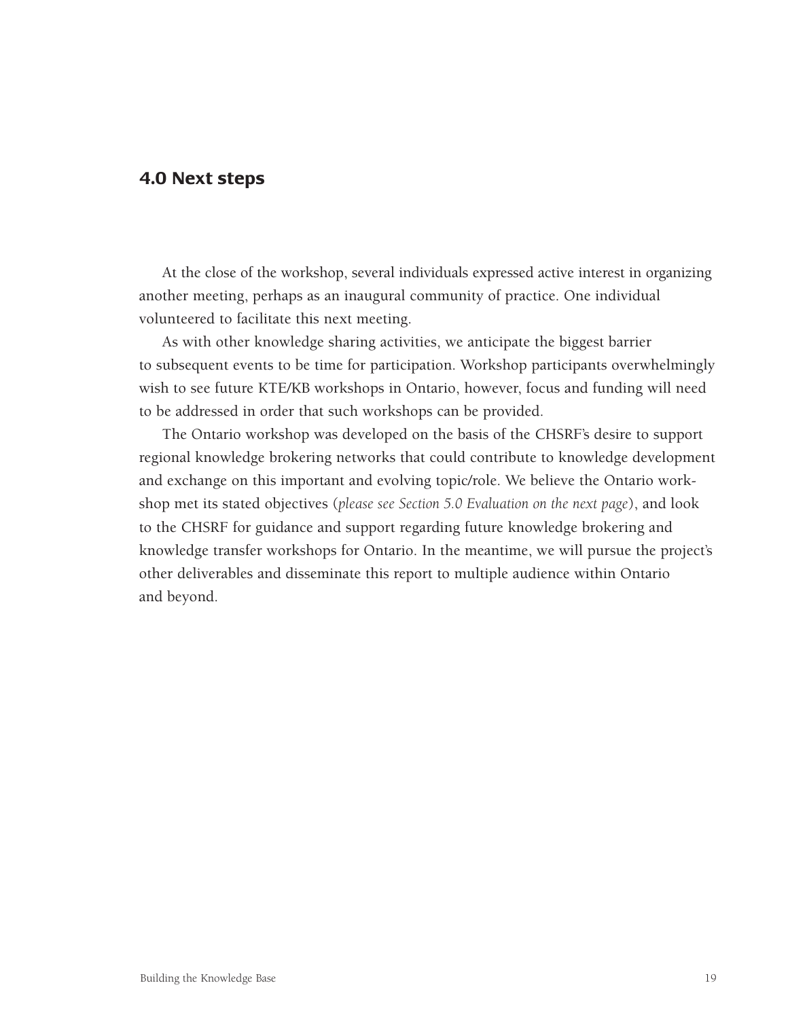#### **4.0 Next steps**

At the close of the workshop, several individuals expressed active interest in organizing another meeting, perhaps as an inaugural community of practice. One individual volunteered to facilitate this next meeting.

As with other knowledge sharing activities, we anticipate the biggest barrier to subsequent events to be time for participation. Workshop participants overwhelmingly wish to see future KTE/KB workshops in Ontario, however, focus and funding will need to be addressed in order that such workshops can be provided.

The Ontario workshop was developed on the basis of the CHSRF's desire to support regional knowledge brokering networks that could contribute to knowledge development and exchange on this important and evolving topic/role. We believe the Ontario workshop met its stated objectives (*please see Section 5.0 Evaluation on the next page*), and look to the CHSRF for guidance and support regarding future knowledge brokering and knowledge transfer workshops for Ontario. In the meantime, we will pursue the project's other deliverables and disseminate this report to multiple audience within Ontario and beyond.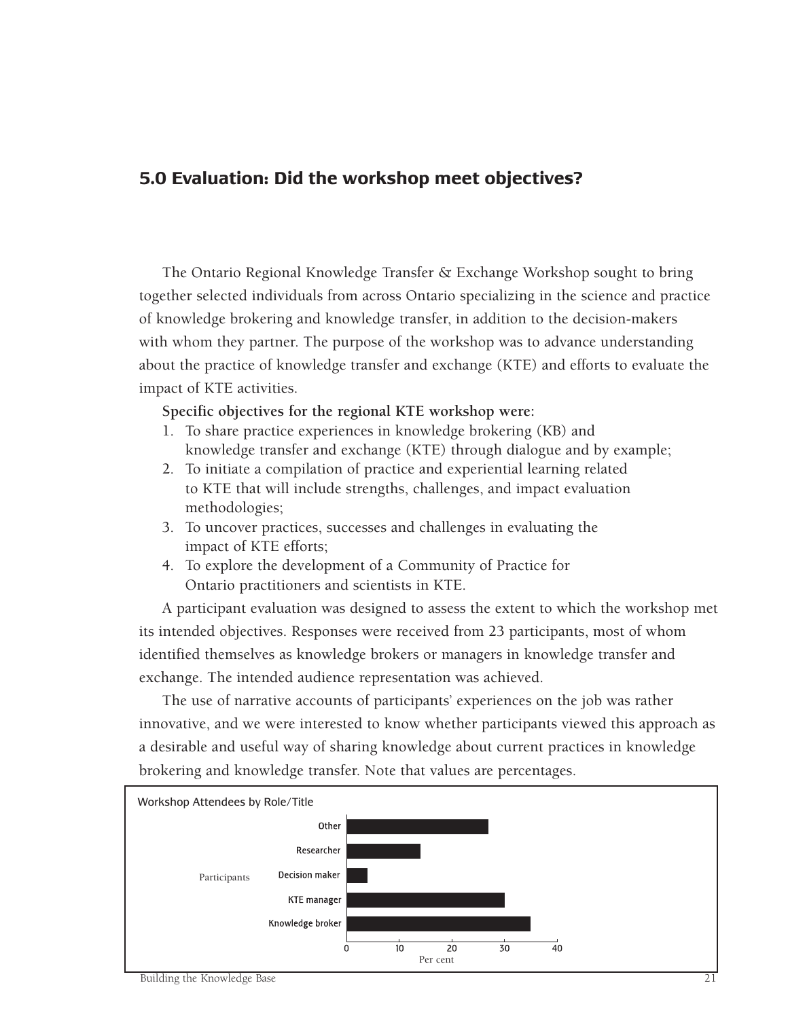# **5.0 Evaluation: Did the workshop meet objectives?**

The Ontario Regional Knowledge Transfer & Exchange Workshop sought to bring together selected individuals from across Ontario specializing in the science and practice of knowledge brokering and knowledge transfer, in addition to the decision-makers with whom they partner. The purpose of the workshop was to advance understanding about the practice of knowledge transfer and exchange (KTE) and efforts to evaluate the impact of KTE activities.

**Specific objectives for the regional KTE workshop were:**

- 1. To share practice experiences in knowledge brokering (KB) and knowledge transfer and exchange (KTE) through dialogue and by example;
- 2. To initiate a compilation of practice and experiential learning related to KTE that will include strengths, challenges, and impact evaluation methodologies;
- 3. To uncover practices, successes and challenges in evaluating the impact of KTE efforts;
- 4. To explore the development of a Community of Practice for Ontario practitioners and scientists in KTE.

A participant evaluation was designed to assess the extent to which the workshop met its intended objectives. Responses were received from 23 participants, most of whom identified themselves as knowledge brokers or managers in knowledge transfer and exchange. The intended audience representation was achieved.

The use of narrative accounts of participants' experiences on the job was rather innovative, and we were interested to know whether participants viewed this approach as a desirable and useful way of sharing knowledge about current practices in knowledge brokering and knowledge transfer. Note that values are percentages.

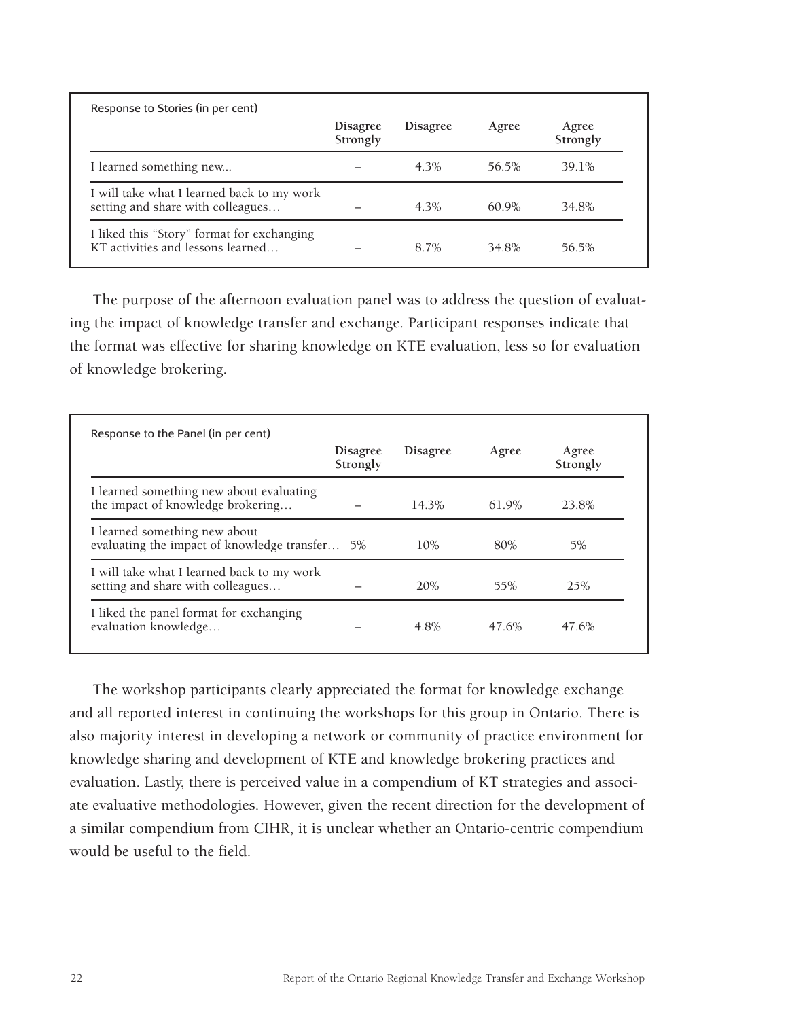<span id="page-24-0"></span>

| Response to Stories (in per cent)                                               |                             |                 |          |                   |
|---------------------------------------------------------------------------------|-----------------------------|-----------------|----------|-------------------|
|                                                                                 | <b>Disagree</b><br>Strongly | <b>Disagree</b> | Agree    | Agree<br>Strongly |
| I learned something new                                                         |                             | $4.3\%$         | 56.5%    | 39.1%             |
| I will take what I learned back to my work<br>setting and share with colleagues |                             | $4.3\%$         | $60.9\%$ | 34.8%             |
| I liked this "Story" format for exchanging<br>KT activities and lessons learned |                             | 8.7%            | 34.8%    | 56.5%             |

The purpose of the afternoon evaluation panel was to address the question of evaluating the impact of knowledge transfer and exchange. Participant responses indicate that the format was effective for sharing knowledge on KTE evaluation, less so for evaluation of knowledge brokering.

|                                                                                 | <b>Disagree</b><br>Strongly | <b>Disagree</b> | Agree | Agree<br>Strongly |
|---------------------------------------------------------------------------------|-----------------------------|-----------------|-------|-------------------|
| I learned something new about evaluating<br>the impact of knowledge brokering   |                             | 14.3%           | 61.9% | 23.8%             |
| I learned something new about<br>evaluating the impact of knowledge transfer 5% |                             | 10%             | 80%   | 5%                |
| I will take what I learned back to my work<br>setting and share with colleagues |                             | 20%             | 55%   | 25%               |
| I liked the panel format for exchanging<br>evaluation knowledge                 |                             | 4.8%            | 47.6% | 47.6%             |

The workshop participants clearly appreciated the format for knowledge exchange and all reported interest in continuing the workshops for this group in Ontario. There is also majority interest in developing a network or community of practice environment for knowledge sharing and development of KTE and knowledge brokering practices and evaluation. Lastly, there is perceived value in a compendium of KT strategies and associate evaluative methodologies. However, given the recent direction for the development of a similar compendium from CIHR, it is unclear whether an Ontario-centric compendium would be useful to the field.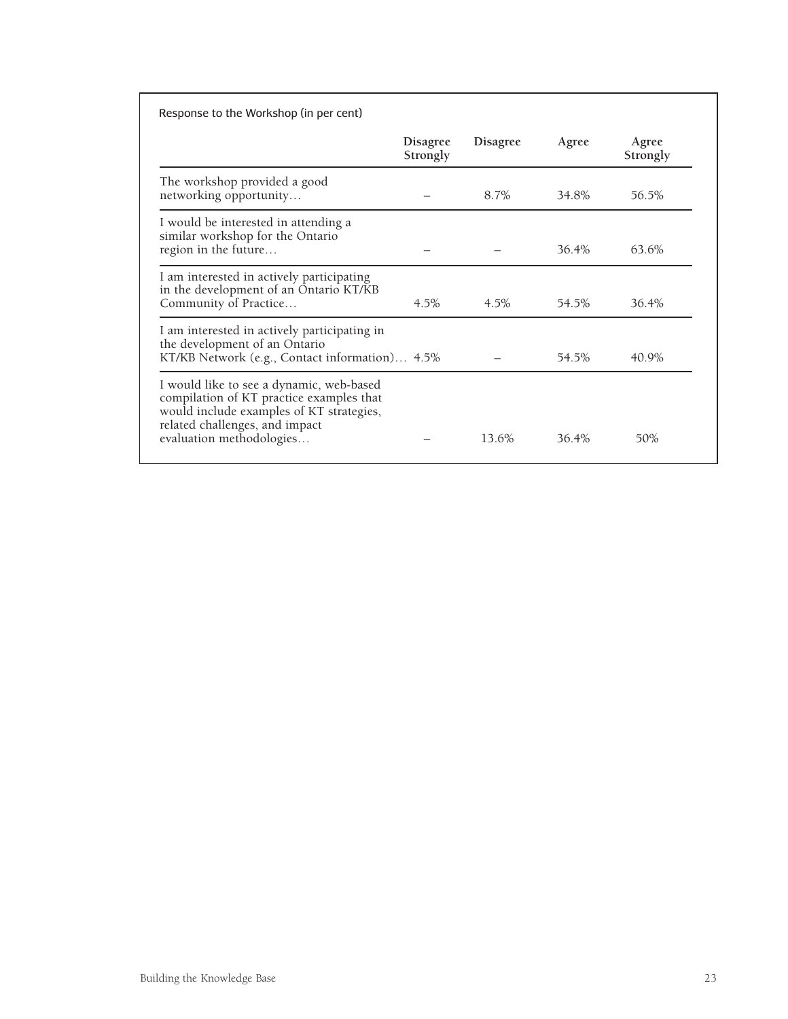|                                                                                                                                                                                                | <b>Disagree</b><br>Strongly | <b>Disagree</b> | Agree | Agree<br>Strongly |
|------------------------------------------------------------------------------------------------------------------------------------------------------------------------------------------------|-----------------------------|-----------------|-------|-------------------|
| The workshop provided a good<br>networking opportunity                                                                                                                                         |                             | 8.7%            | 34.8% | 56.5%             |
| I would be interested in attending a<br>similar workshop for the Ontario<br>region in the future                                                                                               |                             |                 | 36.4% | 63.6%             |
| I am interested in actively participating<br>in the development of an Ontario KT/KB<br>Community of Practice                                                                                   | $4.5\%$                     | $4.5\%$         | 54.5% | 36.4%             |
| I am interested in actively participating in<br>the development of an Ontario<br>KT/KB Network (e.g., Contact information) 4.5%                                                                |                             |                 | 54.5% | 40.9%             |
| I would like to see a dynamic, web-based<br>compilation of KT practice examples that<br>would include examples of KT strategies,<br>related challenges, and impact<br>evaluation methodologies |                             | 13.6%           | 36.4% | 50%               |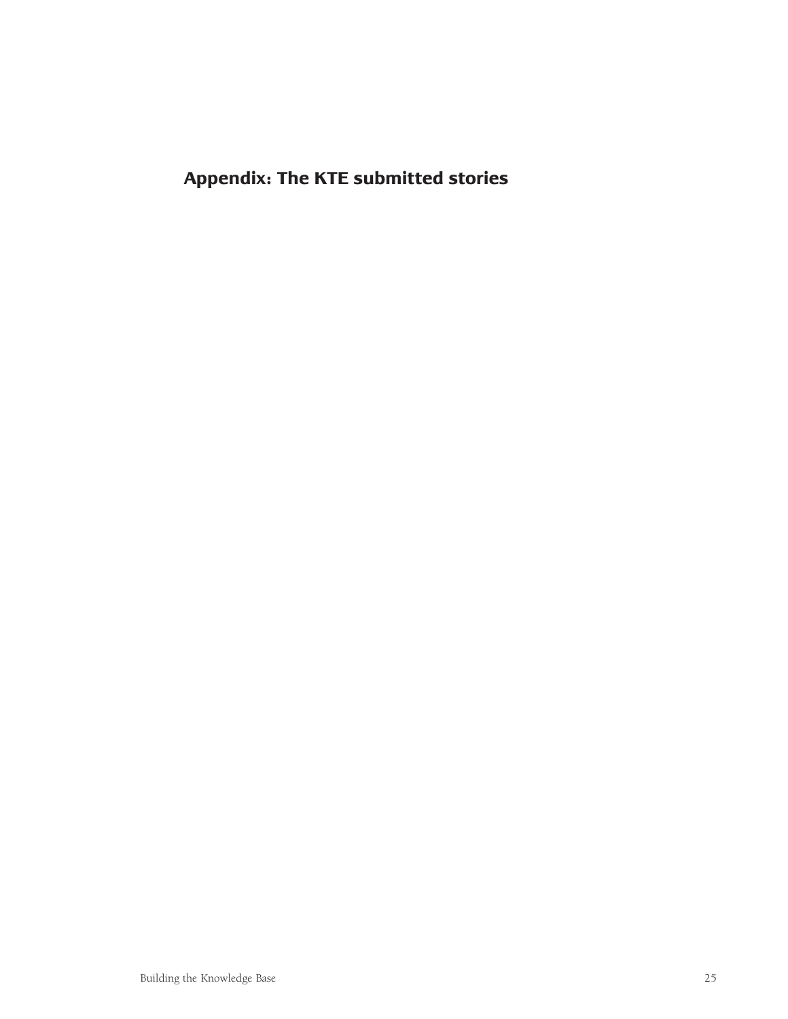<span id="page-26-0"></span>**Appendix: The KTE submitted stories**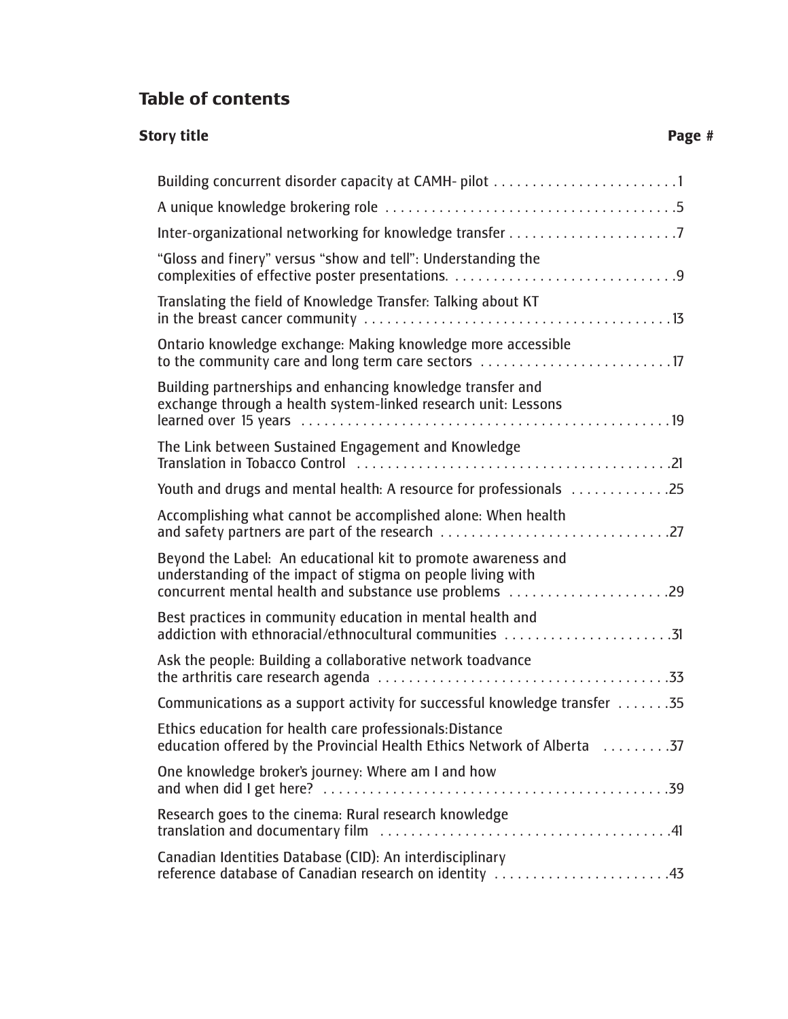# **Table of contents**

# **Story title** Page #

| Building concurrent disorder capacity at CAMH- pilot                                                                                                                                                                                                                                  |
|---------------------------------------------------------------------------------------------------------------------------------------------------------------------------------------------------------------------------------------------------------------------------------------|
|                                                                                                                                                                                                                                                                                       |
|                                                                                                                                                                                                                                                                                       |
| "Gloss and finery" versus "show and tell": Understanding the                                                                                                                                                                                                                          |
| Translating the field of Knowledge Transfer: Talking about KT                                                                                                                                                                                                                         |
| Ontario knowledge exchange: Making knowledge more accessible<br>to the community care and long term care sectors 17                                                                                                                                                                   |
| Building partnerships and enhancing knowledge transfer and<br>exchange through a health system-linked research unit: Lessons                                                                                                                                                          |
| The Link between Sustained Engagement and Knowledge<br>Translation in Tobacco Control (and the control of the control of the control of the Translation in Tobacco Control (and the control of the control of the control of the control of the control of the control of the control |
| Youth and drugs and mental health: A resource for professionals 25                                                                                                                                                                                                                    |
| Accomplishing what cannot be accomplished alone: When health                                                                                                                                                                                                                          |
| Beyond the Label: An educational kit to promote awareness and<br>understanding of the impact of stigma on people living with<br>concurrent mental health and substance use problems 29                                                                                                |
| Best practices in community education in mental health and<br>addiction with ethnoracial/ethnocultural communities 31                                                                                                                                                                 |
| Ask the people: Building a collaborative network toadvance                                                                                                                                                                                                                            |
| Communications as a support activity for successful knowledge transfer 35                                                                                                                                                                                                             |
| Ethics education for health care professionals:Distance<br>education offered by the Provincial Health Ethics Network of Alberta 37                                                                                                                                                    |
| One knowledge broker's journey: Where am I and how                                                                                                                                                                                                                                    |
| Research goes to the cinema: Rural research knowledge                                                                                                                                                                                                                                 |
| Canadian Identities Database (CID): An interdisciplinary<br>reference database of Canadian research on identity 43                                                                                                                                                                    |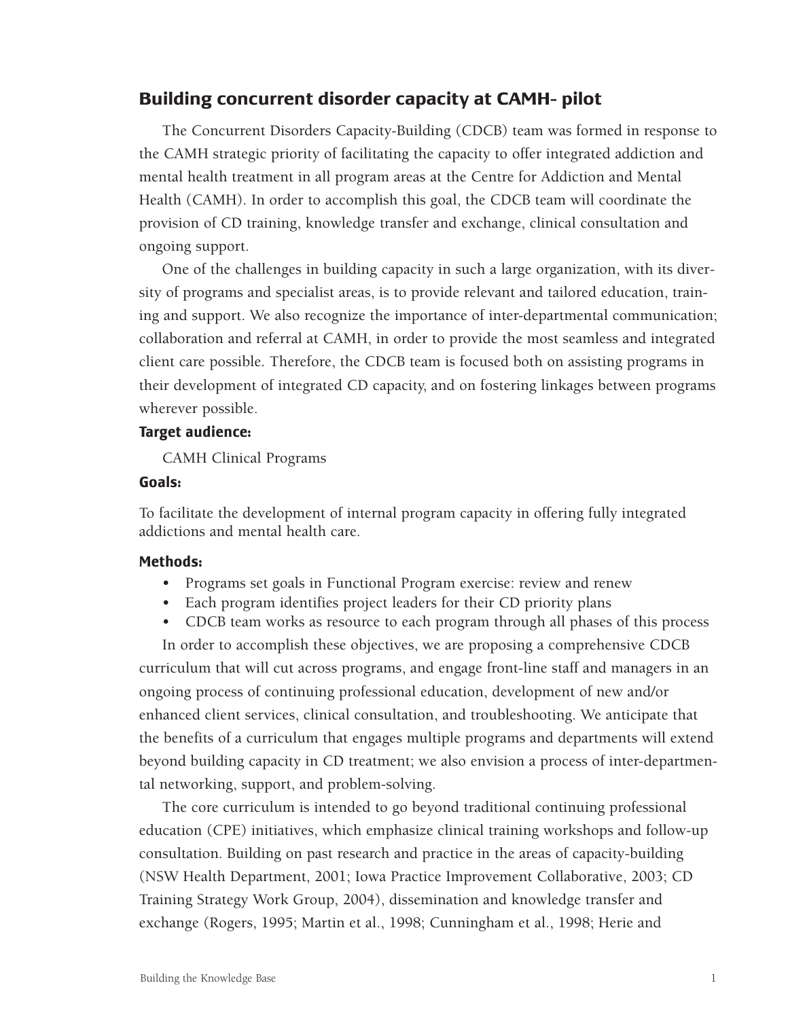#### <span id="page-28-0"></span>**Building concurrent disorder capacity at CAMH- pilot**

The Concurrent Disorders Capacity-Building (CDCB) team was formed in response to the CAMH strategic priority of facilitating the capacity to offer integrated addiction and mental health treatment in all program areas at the Centre for Addiction and Mental Health (CAMH). In order to accomplish this goal, the CDCB team will coordinate the provision of CD training, knowledge transfer and exchange, clinical consultation and ongoing support.

One of the challenges in building capacity in such a large organization, with its diversity of programs and specialist areas, is to provide relevant and tailored education, training and support. We also recognize the importance of inter-departmental communication; collaboration and referral at CAMH, in order to provide the most seamless and integrated client care possible. Therefore, the CDCB team is focused both on assisting programs in their development of integrated CD capacity, and on fostering linkages between programs wherever possible.

#### **Target audience:**

CAMH Clinical Programs

#### **Goals:**

To facilitate the development of internal program capacity in offering fully integrated addictions and mental health care.

#### **Methods:**

- Programs set goals in Functional Program exercise: review and renew
- Each program identifies project leaders for their CD priority plans
- CDCB team works as resource to each program through all phases of this process

In order to accomplish these objectives, we are proposing a comprehensive CDCB curriculum that will cut across programs, and engage front-line staff and managers in an ongoing process of continuing professional education, development of new and/or enhanced client services, clinical consultation, and troubleshooting. We anticipate that the benefits of a curriculum that engages multiple programs and departments will extend beyond building capacity in CD treatment; we also envision a process of inter-departmental networking, support, and problem-solving.

The core curriculum is intended to go beyond traditional continuing professional education (CPE) initiatives, which emphasize clinical training workshops and follow-up consultation. Building on past research and practice in the areas of capacity-building (NSW Health Department, 2001; Iowa Practice Improvement Collaborative, 2003; CD Training Strategy Work Group, 2004), dissemination and knowledge transfer and exchange (Rogers, 1995; Martin et al., 1998; Cunningham et al., 1998; Herie and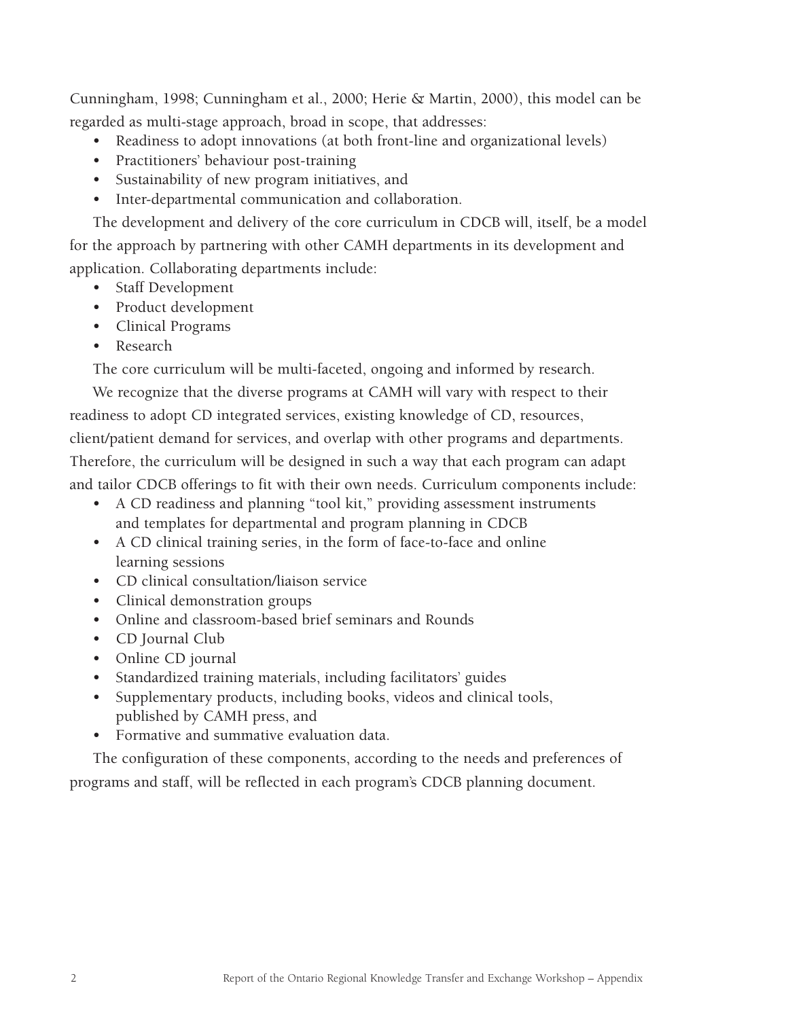Cunningham, 1998; Cunningham et al., 2000; Herie & Martin, 2000), this model can be regarded as multi-stage approach, broad in scope, that addresses:

- Readiness to adopt innovations (at both front-line and organizational levels)
- Practitioners' behaviour post-training
- Sustainability of new program initiatives, and
- Inter-departmental communication and collaboration.

The development and delivery of the core curriculum in CDCB will, itself, be a model for the approach by partnering with other CAMH departments in its development and application. Collaborating departments include:

- Staff Development
- Product development
- Clinical Programs
- Research

The core curriculum will be multi-faceted, ongoing and informed by research.

We recognize that the diverse programs at CAMH will vary with respect to their readiness to adopt CD integrated services, existing knowledge of CD, resources, client/patient demand for services, and overlap with other programs and departments. Therefore, the curriculum will be designed in such a way that each program can adapt and tailor CDCB offerings to fit with their own needs. Curriculum components include:

- A CD readiness and planning "tool kit," providing assessment instruments and templates for departmental and program planning in CDCB
- A CD clinical training series, in the form of face-to-face and online learning sessions
- CD clinical consultation/liaison service
- Clinical demonstration groups
- Online and classroom-based brief seminars and Rounds
- CD Journal Club
- Online CD journal
- Standardized training materials, including facilitators' guides
- Supplementary products, including books, videos and clinical tools, published by CAMH press, and
- Formative and summative evaluation data.

The configuration of these components, according to the needs and preferences of programs and staff, will be reflected in each program's CDCB planning document.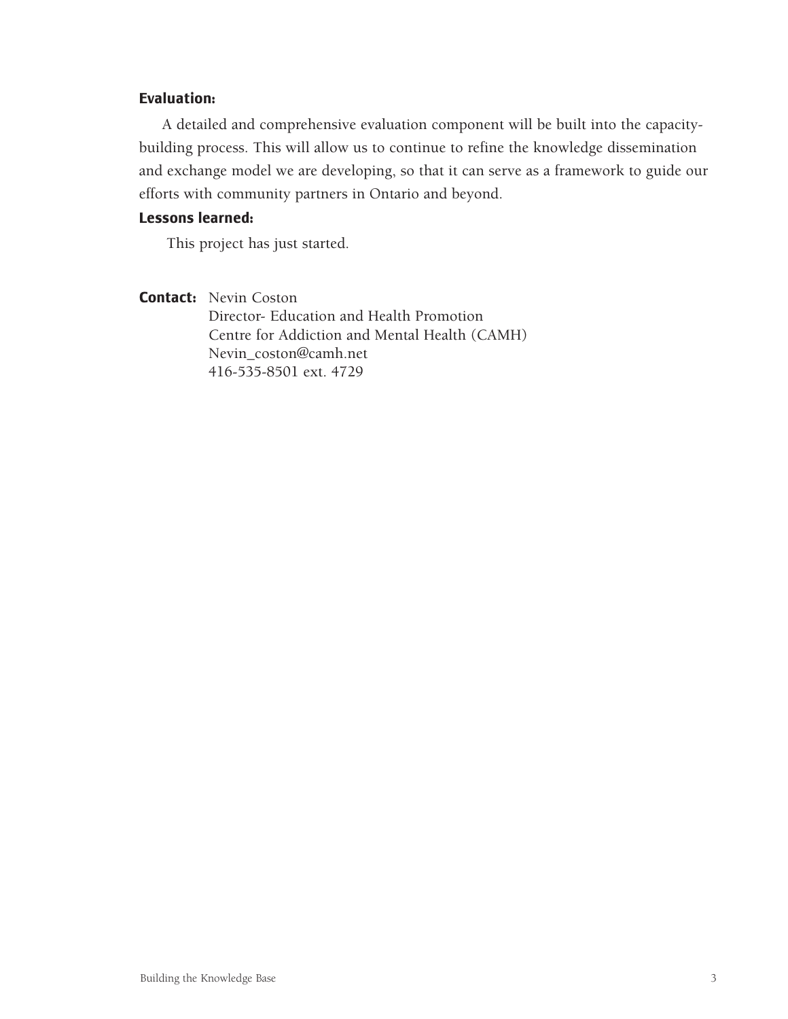#### **Evaluation:**

A detailed and comprehensive evaluation component will be built into the capacitybuilding process. This will allow us to continue to refine the knowledge dissemination and exchange model we are developing, so that it can serve as a framework to guide our efforts with community partners in Ontario and beyond.

#### **Lessons learned:**

<span id="page-30-0"></span>This project has just started.

**Contact:** Nevin Coston Director- Education and Health Promotion Centre for Addiction and Mental Health (CAMH) Nevin\_coston@camh.net 416-535-8501 ext. 4729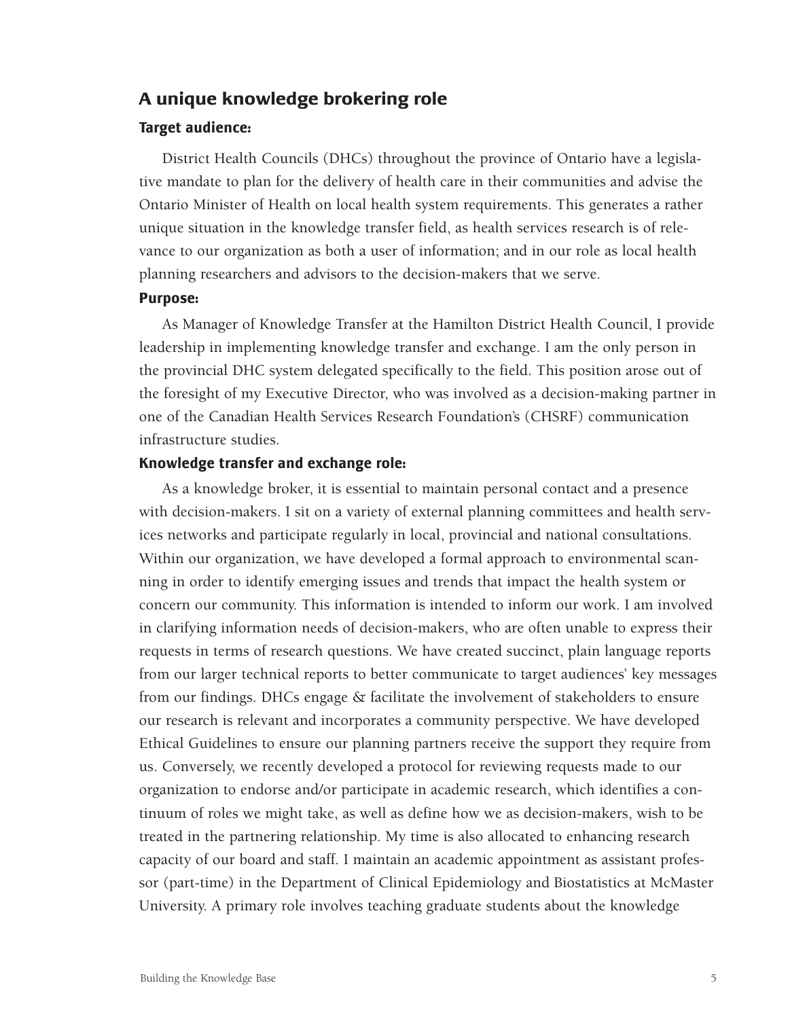### **A unique knowledge brokering role**

#### **Target audience:**

District Health Councils (DHCs) throughout the province of Ontario have a legislative mandate to plan for the delivery of health care in their communities and advise the Ontario Minister of Health on local health system requirements. This generates a rather unique situation in the knowledge transfer field, as health services research is of relevance to our organization as both a user of information; and in our role as local health planning researchers and advisors to the decision-makers that we serve.

#### **Purpose:**

As Manager of Knowledge Transfer at the Hamilton District Health Council, I provide leadership in implementing knowledge transfer and exchange. I am the only person in the provincial DHC system delegated specifically to the field. This position arose out of the foresight of my Executive Director, who was involved as a decision-making partner in one of the Canadian Health Services Research Foundation's (CHSRF) communication infrastructure studies.

#### **Knowledge transfer and exchange role:**

As a knowledge broker, it is essential to maintain personal contact and a presence with decision-makers. I sit on a variety of external planning committees and health services networks and participate regularly in local, provincial and national consultations. Within our organization, we have developed a formal approach to environmental scanning in order to identify emerging issues and trends that impact the health system or concern our community. This information is intended to inform our work. I am involved in clarifying information needs of decision-makers, who are often unable to express their requests in terms of research questions. We have created succinct, plain language reports from our larger technical reports to better communicate to target audiences' key messages from our findings. DHCs engage & facilitate the involvement of stakeholders to ensure our research is relevant and incorporates a community perspective. We have developed Ethical Guidelines to ensure our planning partners receive the support they require from us. Conversely, we recently developed a protocol for reviewing requests made to our organization to endorse and/or participate in academic research, which identifies a continuum of roles we might take, as well as define how we as decision-makers, wish to be treated in the partnering relationship. My time is also allocated to enhancing research capacity of our board and staff. I maintain an academic appointment as assistant professor (part-time) in the Department of Clinical Epidemiology and Biostatistics at McMaster University. A primary role involves teaching graduate students about the knowledge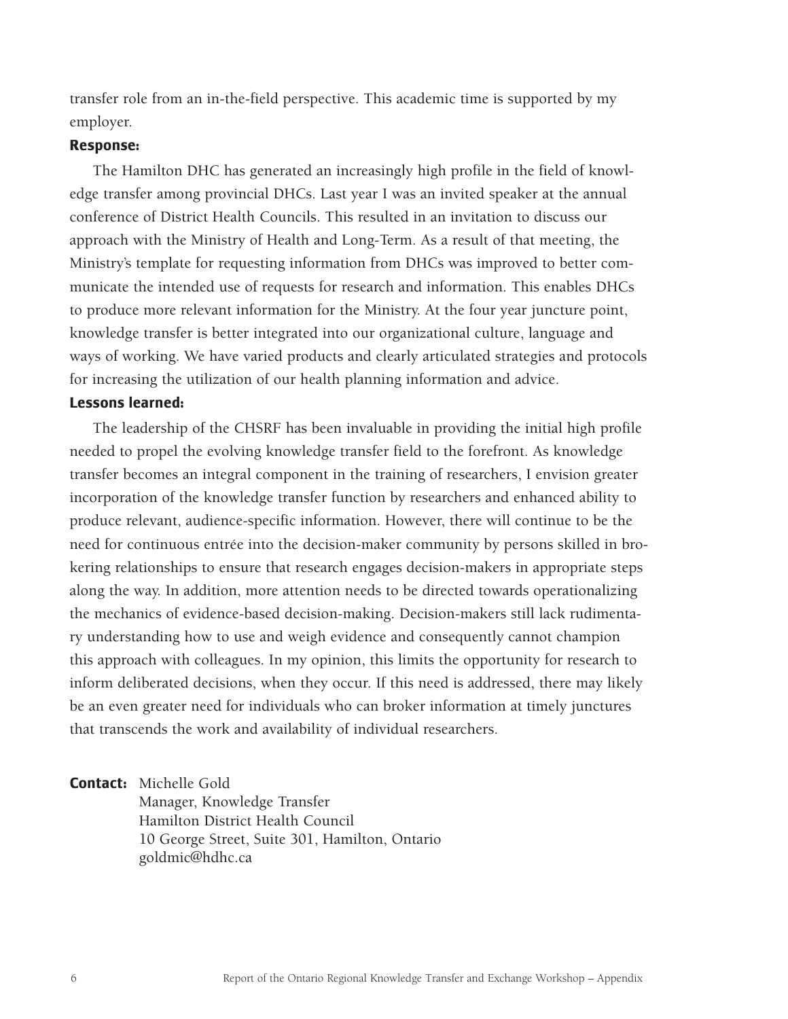transfer role from an in-the-field perspective. This academic time is supported by my employer.

#### **Response:**

The Hamilton DHC has generated an increasingly high profile in the field of knowledge transfer among provincial DHCs. Last year I was an invited speaker at the annual conference of District Health Councils. This resulted in an invitation to discuss our approach with the Ministry of Health and Long-Term. As a result of that meeting, the Ministry's template for requesting information from DHCs was improved to better communicate the intended use of requests for research and information. This enables DHCs to produce more relevant information for the Ministry. At the four year juncture point, knowledge transfer is better integrated into our organizational culture, language and ways of working. We have varied products and clearly articulated strategies and protocols for increasing the utilization of our health planning information and advice.

#### **Lessons learned:**

The leadership of the CHSRF has been invaluable in providing the initial high profile needed to propel the evolving knowledge transfer field to the forefront. As knowledge transfer becomes an integral component in the training of researchers, I envision greater incorporation of the knowledge transfer function by researchers and enhanced ability to produce relevant, audience-specific information. However, there will continue to be the need for continuous entrée into the decision-maker community by persons skilled in brokering relationships to ensure that research engages decision-makers in appropriate steps along the way. In addition, more attention needs to be directed towards operationalizing the mechanics of evidence-based decision-making. Decision-makers still lack rudimentary understanding how to use and weigh evidence and consequently cannot champion this approach with colleagues. In my opinion, this limits the opportunity for research to inform deliberated decisions, when they occur. If this need is addressed, there may likely be an even greater need for individuals who can broker information at timely junctures that transcends the work and availability of individual researchers.

**Contact:** Michelle Gold

Manager, Knowledge Transfer Hamilton District Health Council 10 George Street, Suite 301, Hamilton, Ontario goldmic@hdhc.ca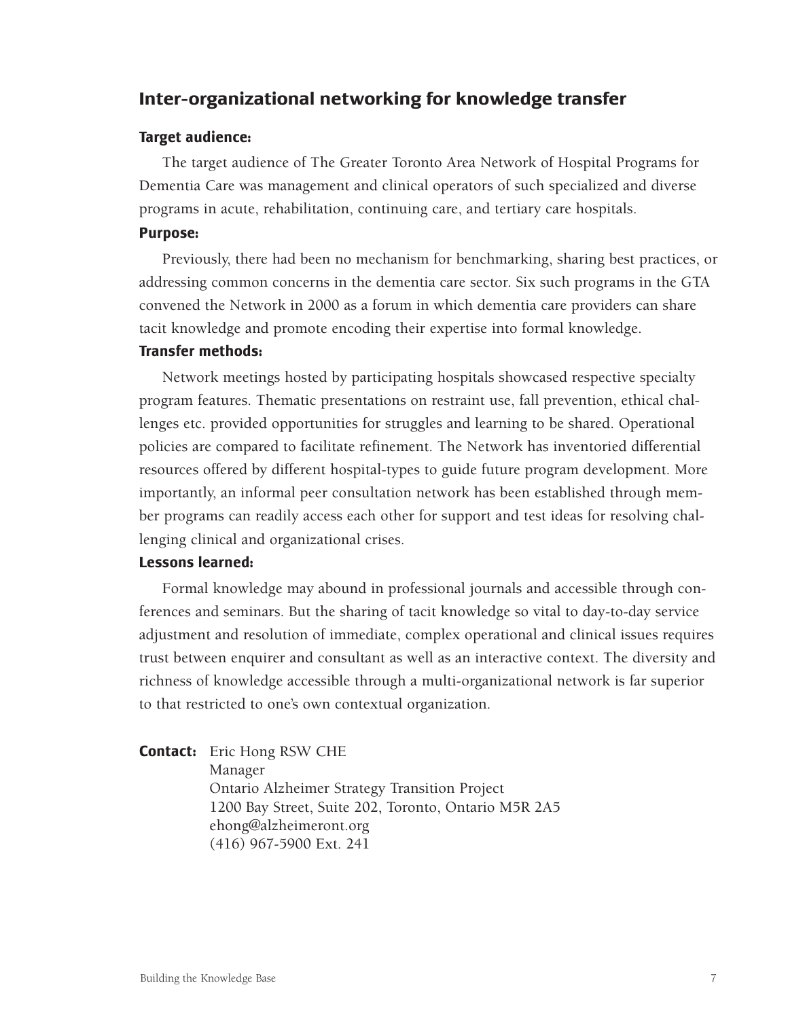# <span id="page-34-0"></span>**Inter-organizational networking for knowledge transfer**

#### **Target audience:**

The target audience of The Greater Toronto Area Network of Hospital Programs for Dementia Care was management and clinical operators of such specialized and diverse programs in acute, rehabilitation, continuing care, and tertiary care hospitals.

#### **Purpose:**

Previously, there had been no mechanism for benchmarking, sharing best practices, or addressing common concerns in the dementia care sector. Six such programs in the GTA convened the Network in 2000 as a forum in which dementia care providers can share tacit knowledge and promote encoding their expertise into formal knowledge.

#### **Transfer methods:**

Network meetings hosted by participating hospitals showcased respective specialty program features. Thematic presentations on restraint use, fall prevention, ethical challenges etc. provided opportunities for struggles and learning to be shared. Operational policies are compared to facilitate refinement. The Network has inventoried differential resources offered by different hospital-types to guide future program development. More importantly, an informal peer consultation network has been established through member programs can readily access each other for support and test ideas for resolving challenging clinical and organizational crises.

#### **Lessons learned:**

Formal knowledge may abound in professional journals and accessible through conferences and seminars. But the sharing of tacit knowledge so vital to day-to-day service adjustment and resolution of immediate, complex operational and clinical issues requires trust between enquirer and consultant as well as an interactive context. The diversity and richness of knowledge accessible through a multi-organizational network is far superior to that restricted to one's own contextual organization.

#### **Contact:** Eric Hong RSW CHE

Manager Ontario Alzheimer Strategy Transition Project 1200 Bay Street, Suite 202, Toronto, Ontario M5R 2A5 ehong@alzheimeront.org (416) 967-5900 Ext. 241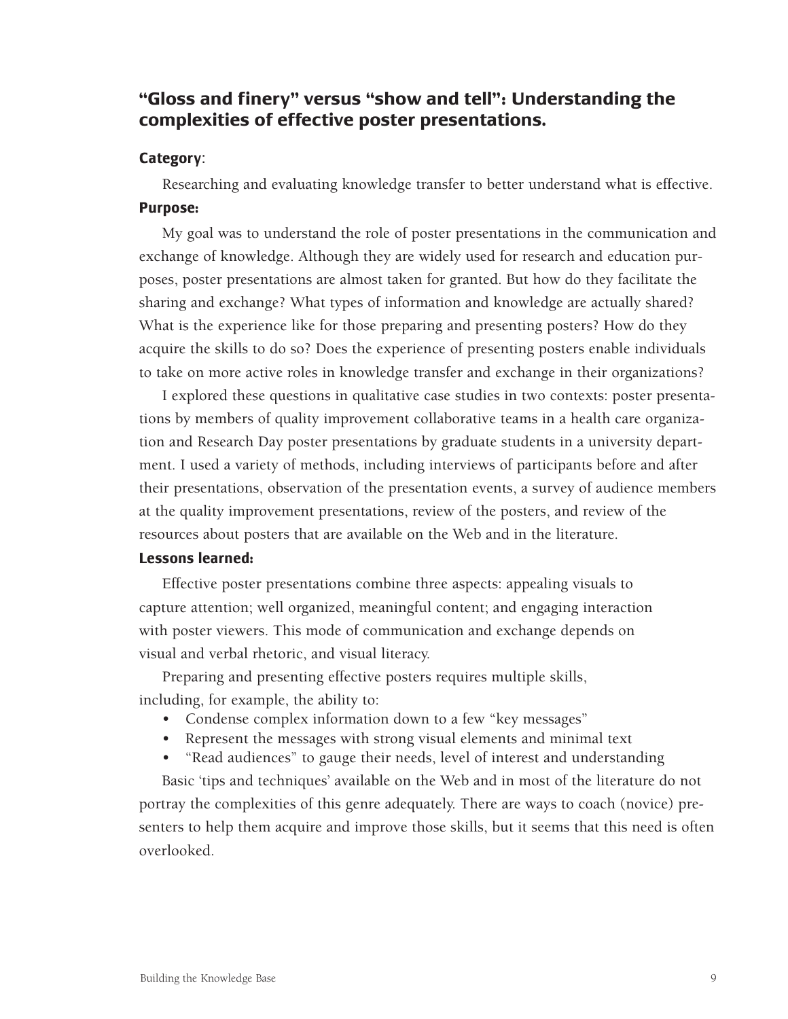# **"Gloss and finery" versus "show and tell": Understanding the complexities of effective poster presentations.**

### **Category**:

Researching and evaluating knowledge transfer to better understand what is effective. **Purpose:**

My goal was to understand the role of poster presentations in the communication and exchange of knowledge. Although they are widely used for research and education purposes, poster presentations are almost taken for granted. But how do they facilitate the sharing and exchange? What types of information and knowledge are actually shared? What is the experience like for those preparing and presenting posters? How do they acquire the skills to do so? Does the experience of presenting posters enable individuals to take on more active roles in knowledge transfer and exchange in their organizations?

I explored these questions in qualitative case studies in two contexts: poster presentations by members of quality improvement collaborative teams in a health care organization and Research Day poster presentations by graduate students in a university department. I used a variety of methods, including interviews of participants before and after their presentations, observation of the presentation events, a survey of audience members at the quality improvement presentations, review of the posters, and review of the resources about posters that are available on the Web and in the literature.

### **Lessons learned:**

Effective poster presentations combine three aspects: appealing visuals to capture attention; well organized, meaningful content; and engaging interaction with poster viewers. This mode of communication and exchange depends on visual and verbal rhetoric, and visual literacy.

Preparing and presenting effective posters requires multiple skills, including, for example, the ability to:

- Condense complex information down to a few "key messages"
- Represent the messages with strong visual elements and minimal text
- "Read audiences" to gauge their needs, level of interest and understanding

Basic 'tips and techniques' available on the Web and in most of the literature do not portray the complexities of this genre adequately. There are ways to coach (novice) presenters to help them acquire and improve those skills, but it seems that this need is often overlooked.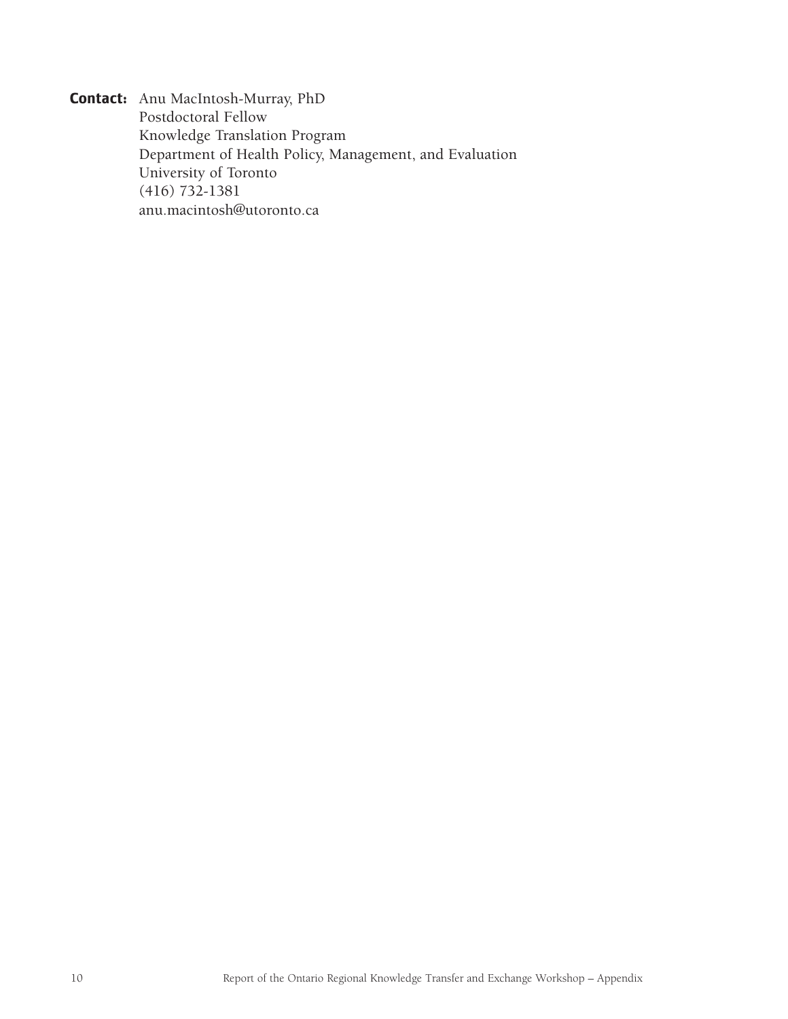**Contact:** Anu MacIntosh-Murray, PhD Postdoctoral Fellow Knowledge Translation Program Department of Health Policy, Management, and Evaluation University of Toronto (416) 732-1381 anu.macintosh@utoronto.ca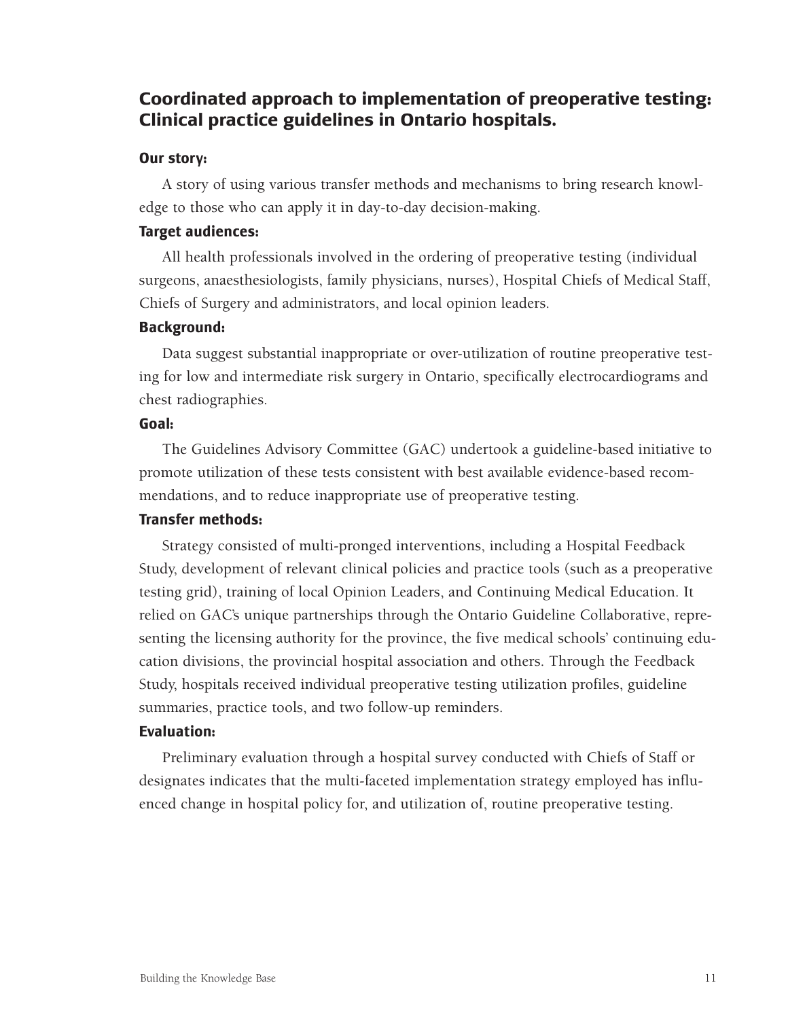# **Coordinated approach to implementation of preoperative testing: Clinical practice guidelines in Ontario hospitals.**

### **Our story:**

A story of using various transfer methods and mechanisms to bring research knowledge to those who can apply it in day-to-day decision-making.

# **Target audiences:**

All health professionals involved in the ordering of preoperative testing (individual surgeons, anaesthesiologists, family physicians, nurses), Hospital Chiefs of Medical Staff, Chiefs of Surgery and administrators, and local opinion leaders.

### **Background:**

Data suggest substantial inappropriate or over-utilization of routine preoperative testing for low and intermediate risk surgery in Ontario, specifically electrocardiograms and chest radiographies.

### **Goal:**

The Guidelines Advisory Committee (GAC) undertook a guideline-based initiative to promote utilization of these tests consistent with best available evidence-based recommendations, and to reduce inappropriate use of preoperative testing.

### **Transfer methods:**

Strategy consisted of multi-pronged interventions, including a Hospital Feedback Study, development of relevant clinical policies and practice tools (such as a preoperative testing grid), training of local Opinion Leaders, and Continuing Medical Education. It relied on GAC's unique partnerships through the Ontario Guideline Collaborative, representing the licensing authority for the province, the five medical schools' continuing education divisions, the provincial hospital association and others. Through the Feedback Study, hospitals received individual preoperative testing utilization profiles, guideline summaries, practice tools, and two follow-up reminders.

#### **Evaluation:**

Preliminary evaluation through a hospital survey conducted with Chiefs of Staff or designates indicates that the multi-faceted implementation strategy employed has influenced change in hospital policy for, and utilization of, routine preoperative testing.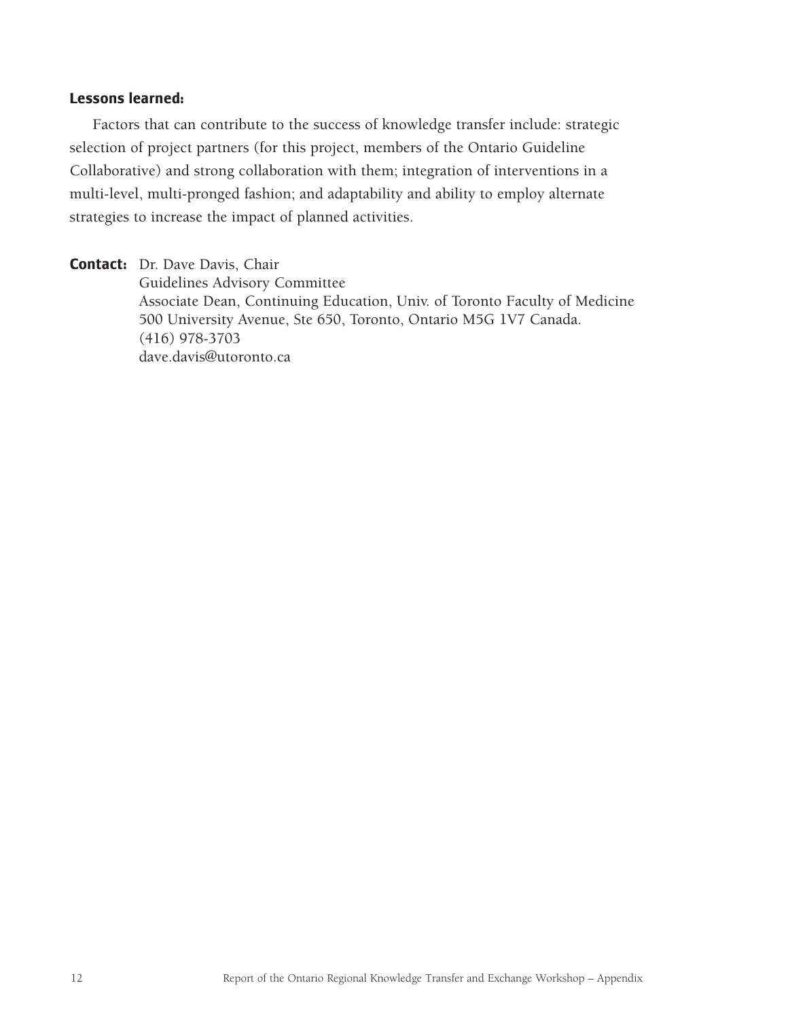### **Lessons learned:**

Factors that can contribute to the success of knowledge transfer include: strategic selection of project partners (for this project, members of the Ontario Guideline Collaborative) and strong collaboration with them; integration of interventions in a multi-level, multi-pronged fashion; and adaptability and ability to employ alternate strategies to increase the impact of planned activities.

**Contact:** Dr. Dave Davis, Chair Guidelines Advisory Committee Associate Dean, Continuing Education, Univ. of Toronto Faculty of Medicine 500 University Avenue, Ste 650, Toronto, Ontario M5G 1V7 Canada. (416) 978-3703 dave.davis@utoronto.ca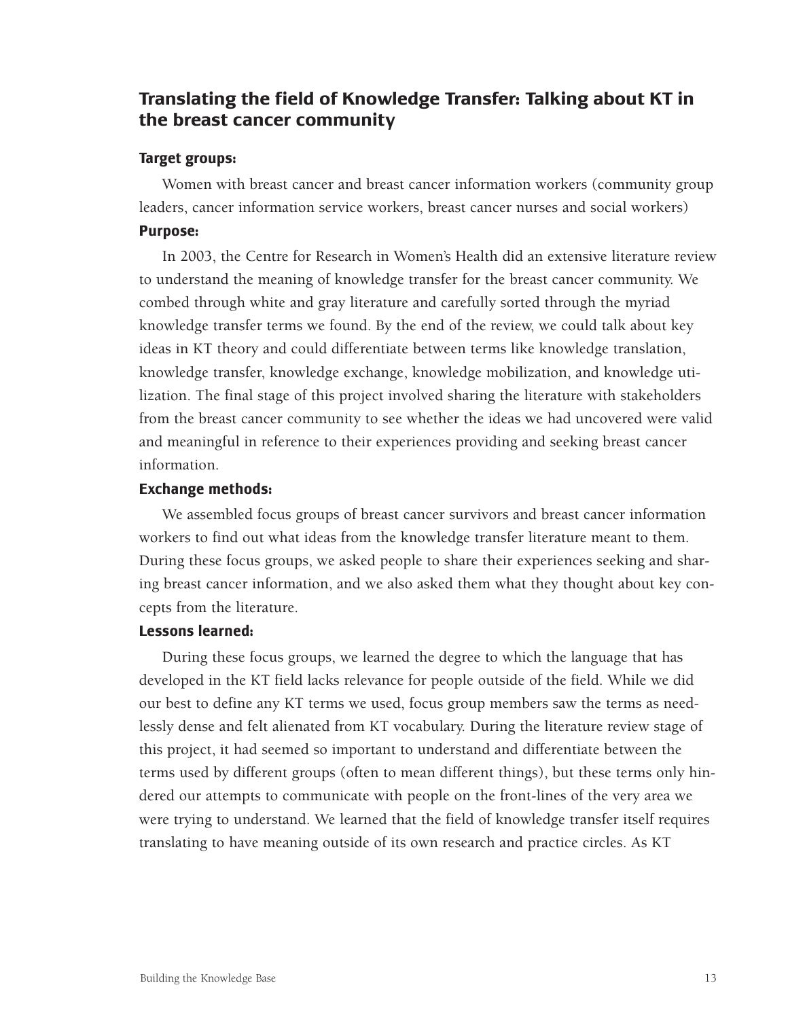# **Translating the field of Knowledge Transfer: Talking about KT in the breast cancer community**

### **Target groups:**

Women with breast cancer and breast cancer information workers (community group leaders, cancer information service workers, breast cancer nurses and social workers) **Purpose:**

In 2003, the Centre for Research in Women's Health did an extensive literature review to understand the meaning of knowledge transfer for the breast cancer community. We combed through white and gray literature and carefully sorted through the myriad knowledge transfer terms we found. By the end of the review, we could talk about key ideas in KT theory and could differentiate between terms like knowledge translation, knowledge transfer, knowledge exchange, knowledge mobilization, and knowledge utilization. The final stage of this project involved sharing the literature with stakeholders from the breast cancer community to see whether the ideas we had uncovered were valid and meaningful in reference to their experiences providing and seeking breast cancer information.

### **Exchange methods:**

We assembled focus groups of breast cancer survivors and breast cancer information workers to find out what ideas from the knowledge transfer literature meant to them. During these focus groups, we asked people to share their experiences seeking and sharing breast cancer information, and we also asked them what they thought about key concepts from the literature.

### **Lessons learned:**

During these focus groups, we learned the degree to which the language that has developed in the KT field lacks relevance for people outside of the field. While we did our best to define any KT terms we used, focus group members saw the terms as needlessly dense and felt alienated from KT vocabulary. During the literature review stage of this project, it had seemed so important to understand and differentiate between the terms used by different groups (often to mean different things), but these terms only hindered our attempts to communicate with people on the front-lines of the very area we were trying to understand. We learned that the field of knowledge transfer itself requires translating to have meaning outside of its own research and practice circles. As KT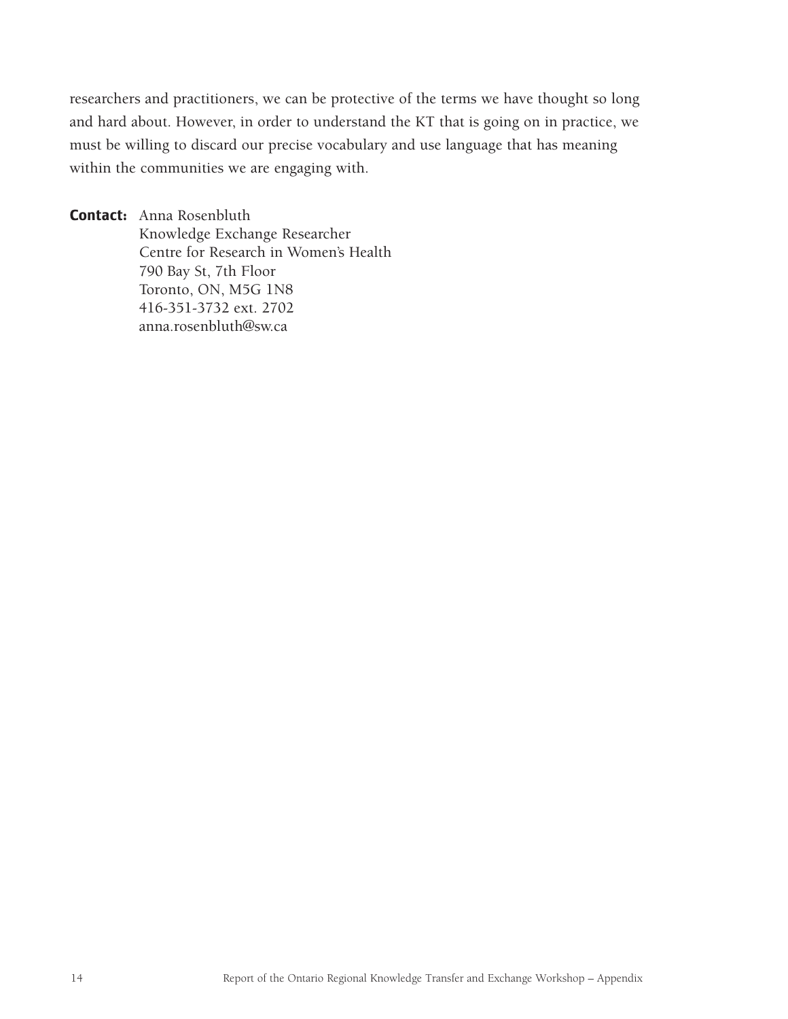researchers and practitioners, we can be protective of the terms we have thought so long and hard about. However, in order to understand the KT that is going on in practice, we must be willing to discard our precise vocabulary and use language that has meaning within the communities we are engaging with.

**Contact:** Anna Rosenbluth Knowledge Exchange Researcher Centre for Research in Women's Health 790 Bay St, 7th Floor Toronto, ON, M5G 1N8 416-351-3732 ext. 2702 anna.rosenbluth@sw.ca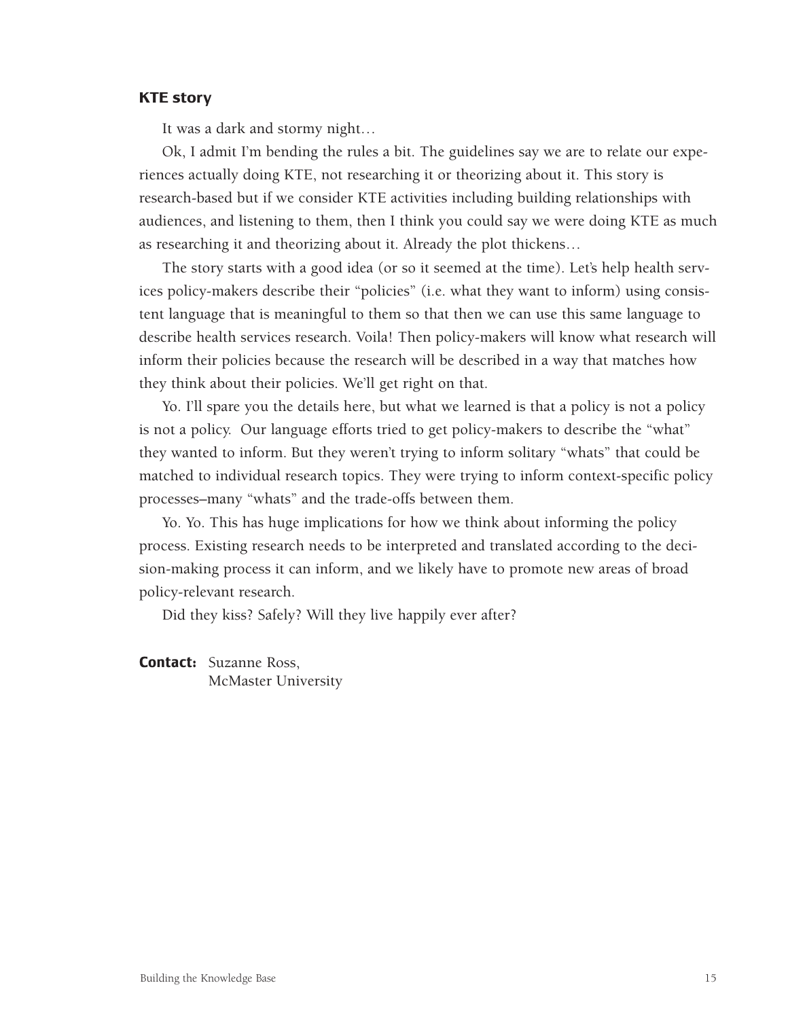### **KTE story**

It was a dark and stormy night…

Ok, I admit I'm bending the rules a bit. The guidelines say we are to relate our experiences actually doing KTE, not researching it or theorizing about it. This story is research-based but if we consider KTE activities including building relationships with audiences, and listening to them, then I think you could say we were doing KTE as much as researching it and theorizing about it. Already the plot thickens…

The story starts with a good idea (or so it seemed at the time). Let's help health services policy-makers describe their "policies" (i.e. what they want to inform) using consistent language that is meaningful to them so that then we can use this same language to describe health services research. Voila! Then policy-makers will know what research will inform their policies because the research will be described in a way that matches how they think about their policies. We'll get right on that.

Yo. I'll spare you the details here, but what we learned is that a policy is not a policy is not a policy. Our language efforts tried to get policy-makers to describe the "what" they wanted to inform. But they weren't trying to inform solitary "whats" that could be matched to individual research topics. They were trying to inform context-specific policy processes–many "whats" and the trade-offs between them.

Yo. Yo. This has huge implications for how we think about informing the policy process. Existing research needs to be interpreted and translated according to the decision-making process it can inform, and we likely have to promote new areas of broad policy-relevant research.

Did they kiss? Safely? Will they live happily ever after?

**Contact:** Suzanne Ross, McMaster University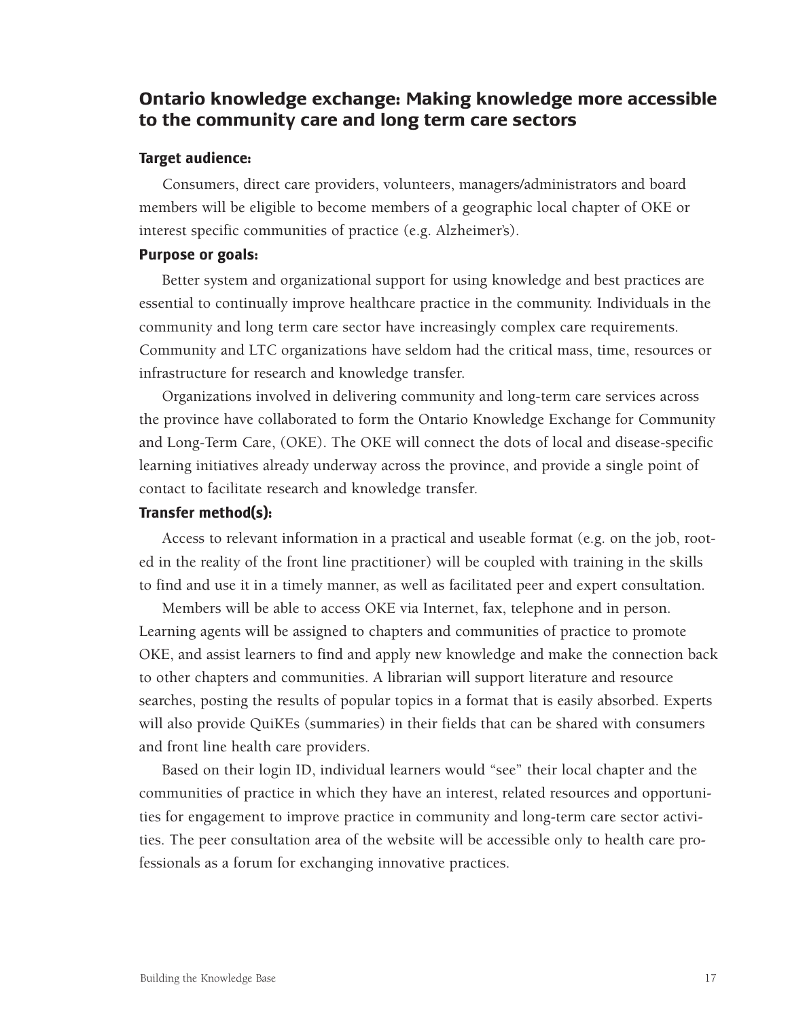# **Ontario knowledge exchange: Making knowledge more accessible to the community care and long term care sectors**

### **Target audience:**

Consumers, direct care providers, volunteers, managers/administrators and board members will be eligible to become members of a geographic local chapter of OKE or interest specific communities of practice (e.g. Alzheimer's).

## **Purpose or goals:**

Better system and organizational support for using knowledge and best practices are essential to continually improve healthcare practice in the community. Individuals in the community and long term care sector have increasingly complex care requirements. Community and LTC organizations have seldom had the critical mass, time, resources or infrastructure for research and knowledge transfer.

Organizations involved in delivering community and long-term care services across the province have collaborated to form the Ontario Knowledge Exchange for Community and Long-Term Care, (OKE). The OKE will connect the dots of local and disease-specific learning initiatives already underway across the province, and provide a single point of contact to facilitate research and knowledge transfer.

#### **Transfer method(s):**

Access to relevant information in a practical and useable format (e.g. on the job, rooted in the reality of the front line practitioner) will be coupled with training in the skills to find and use it in a timely manner, as well as facilitated peer and expert consultation.

Members will be able to access OKE via Internet, fax, telephone and in person. Learning agents will be assigned to chapters and communities of practice to promote OKE, and assist learners to find and apply new knowledge and make the connection back to other chapters and communities. A librarian will support literature and resource searches, posting the results of popular topics in a format that is easily absorbed. Experts will also provide QuiKEs (summaries) in their fields that can be shared with consumers and front line health care providers.

Based on their login ID, individual learners would "see" their local chapter and the communities of practice in which they have an interest, related resources and opportunities for engagement to improve practice in community and long-term care sector activities. The peer consultation area of the website will be accessible only to health care professionals as a forum for exchanging innovative practices.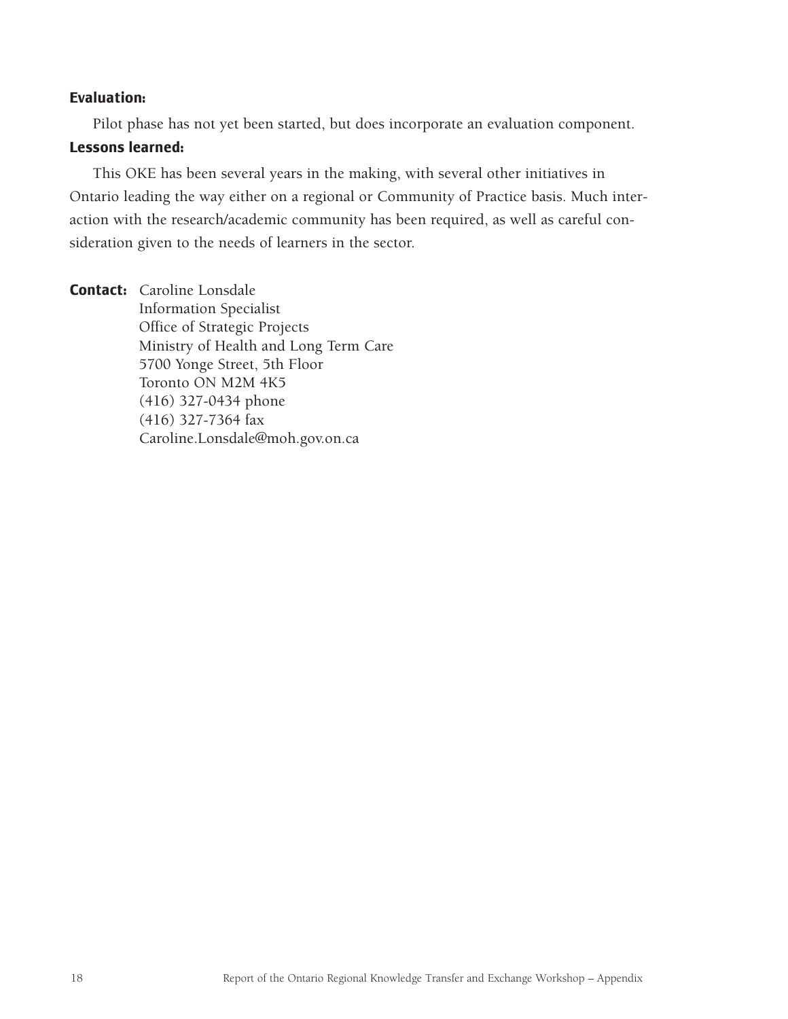## **Evaluation:**

Pilot phase has not yet been started, but does incorporate an evaluation component.

#### **Lessons learned:**

This OKE has been several years in the making, with several other initiatives in Ontario leading the way either on a regional or Community of Practice basis. Much interaction with the research/academic community has been required, as well as careful consideration given to the needs of learners in the sector.

**Contact:** Caroline Lonsdale Information Specialist Office of Strategic Projects Ministry of Health and Long Term Care 5700 Yonge Street, 5th Floor Toronto ON M2M 4K5 (416) 327-0434 phone (416) 327-7364 fax Caroline.Lonsdale@moh.gov.on.ca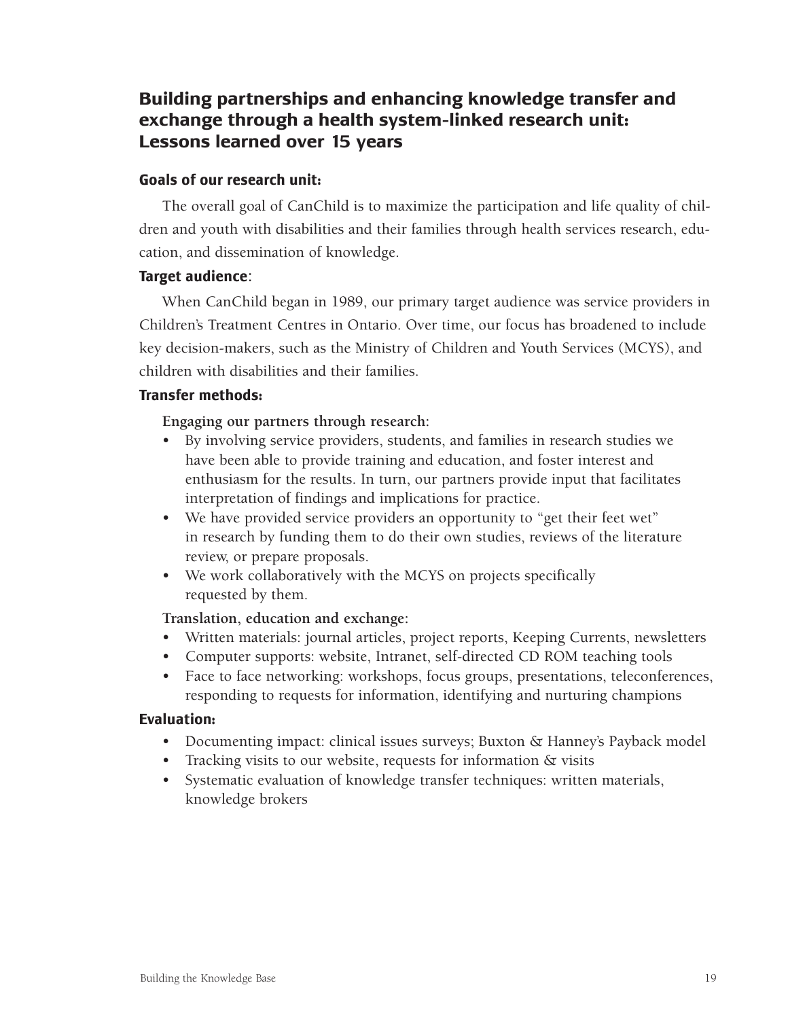# **Building partnerships and enhancing knowledge transfer and exchange through a health system-linked research unit: Lessons learned over 15 years**

# **Goals of our research unit:**

The overall goal of CanChild is to maximize the participation and life quality of children and youth with disabilities and their families through health services research, education, and dissemination of knowledge.

# **Target audience**:

When CanChild began in 1989, our primary target audience was service providers in Children's Treatment Centres in Ontario. Over time, our focus has broadened to include key decision-makers, such as the Ministry of Children and Youth Services (MCYS), and children with disabilities and their families.

# **Transfer methods:**

**Engaging our partners through research:** 

- By involving service providers, students, and families in research studies we have been able to provide training and education, and foster interest and enthusiasm for the results. In turn, our partners provide input that facilitates interpretation of findings and implications for practice.
- We have provided service providers an opportunity to "get their feet wet" in research by funding them to do their own studies, reviews of the literature review, or prepare proposals.
- We work collaboratively with the MCYS on projects specifically requested by them.

# **Translation, education and exchange:**

- Written materials: journal articles, project reports, Keeping Currents, newsletters
- Computer supports: website, Intranet, self-directed CD ROM teaching tools
- Face to face networking: workshops, focus groups, presentations, teleconferences, responding to requests for information, identifying and nurturing champions

# **Evaluation:**

- Documenting impact: clinical issues surveys; Buxton & Hanney's Payback model
- Tracking visits to our website, requests for information & visits
- Systematic evaluation of knowledge transfer techniques: written materials, knowledge brokers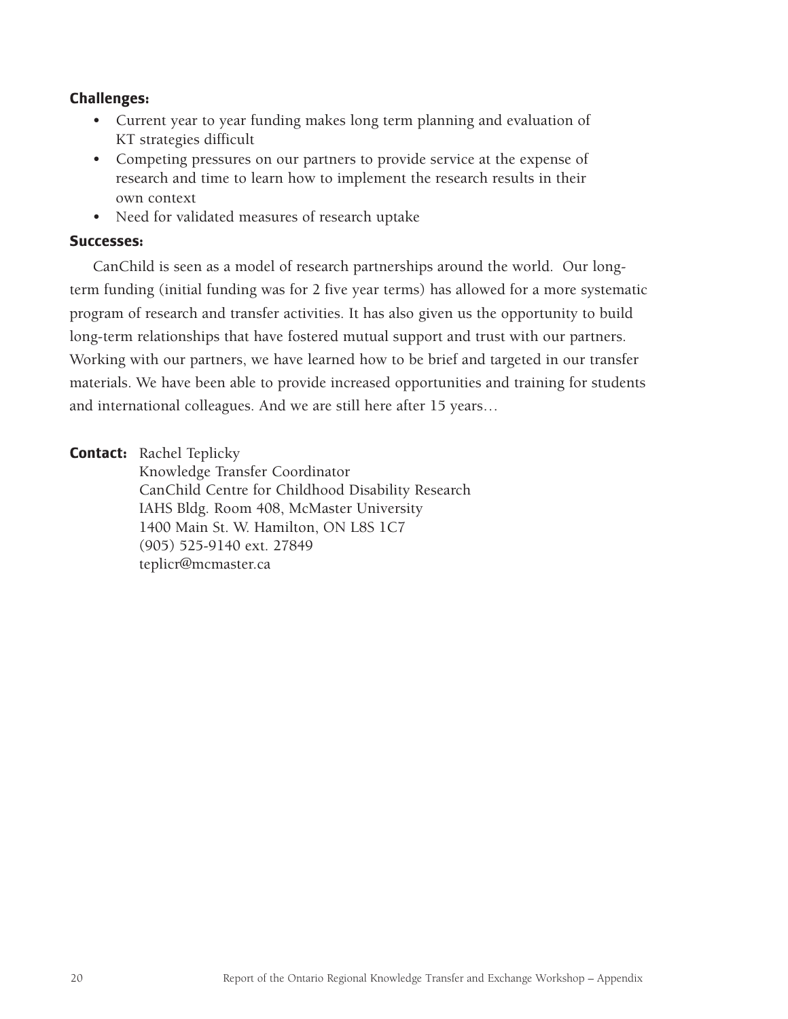# **Challenges:**

- Current year to year funding makes long term planning and evaluation of KT strategies difficult
- Competing pressures on our partners to provide service at the expense of research and time to learn how to implement the research results in their own context
- Need for validated measures of research uptake

## **Successes:**

CanChild is seen as a model of research partnerships around the world. Our longterm funding (initial funding was for 2 five year terms) has allowed for a more systematic program of research and transfer activities. It has also given us the opportunity to build long-term relationships that have fostered mutual support and trust with our partners. Working with our partners, we have learned how to be brief and targeted in our transfer materials. We have been able to provide increased opportunities and training for students and international colleagues. And we are still here after 15 years…

**Contact:** Rachel Teplicky

Knowledge Transfer Coordinator CanChild Centre for Childhood Disability Research IAHS Bldg. Room 408, McMaster University 1400 Main St. W. Hamilton, ON L8S 1C7 (905) 525-9140 ext. 27849 teplicr@mcmaster.ca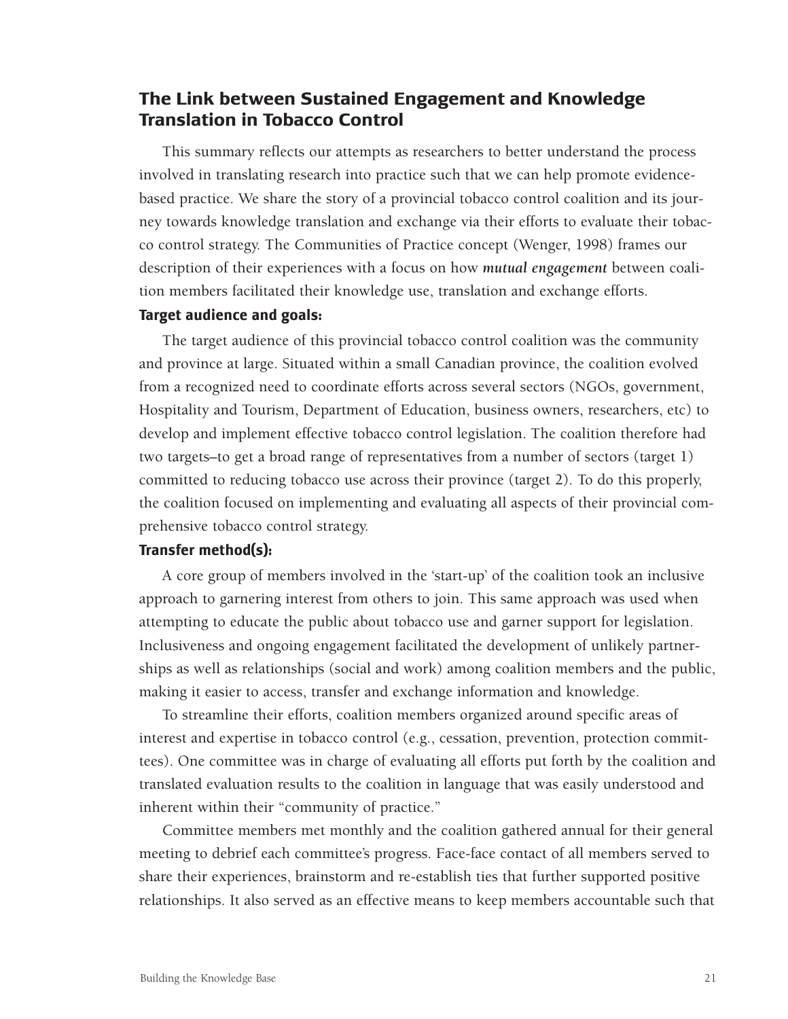# **The Link between Sustained Engagement and Knowledge Translation in Tobacco Control**

This summary reflects our attempts as researchers to better understand the process involved in translating research into practice such that we can help promote evidencebased practice. We share the story of a provincial tobacco control coalition and its journey towards knowledge translation and exchange via their efforts to evaluate their tobacco control strategy. The Communities of Practice concept (Wenger, 1998) frames our description of their experiences with a focus on how *mutual engagement* between coalition members facilitated their knowledge use, translation and exchange efforts.

### **Target audience and goals:**

The target audience of this provincial tobacco control coalition was the community and province at large. Situated within a small Canadian province, the coalition evolved from a recognized need to coordinate efforts across several sectors (NGOs, government, Hospitality and Tourism, Department of Education, business owners, researchers, etc) to develop and implement effective tobacco control legislation. The coalition therefore had two targets–to get a broad range of representatives from a number of sectors (target 1) committed to reducing tobacco use across their province (target 2). To do this properly, the coalition focused on implementing and evaluating all aspects of their provincial comprehensive tobacco control strategy.

### **Transfer method(s):**

A core group of members involved in the 'start-up' of the coalition took an inclusive approach to garnering interest from others to join. This same approach was used when attempting to educate the public about tobacco use and garner support for legislation. Inclusiveness and ongoing engagement facilitated the development of unlikely partnerships as well as relationships (social and work) among coalition members and the public, making it easier to access, transfer and exchange information and knowledge.

To streamline their efforts, coalition members organized around specific areas of interest and expertise in tobacco control (e.g., cessation, prevention, protection committees). One committee was in charge of evaluating all efforts put forth by the coalition and translated evaluation results to the coalition in language that was easily understood and inherent within their "community of practice."

Committee members met monthly and the coalition gathered annual for their general meeting to debrief each committee's progress. Face-face contact of all members served to share their experiences, brainstorm and re-establish ties that further supported positive relationships. It also served as an effective means to keep members accountable such that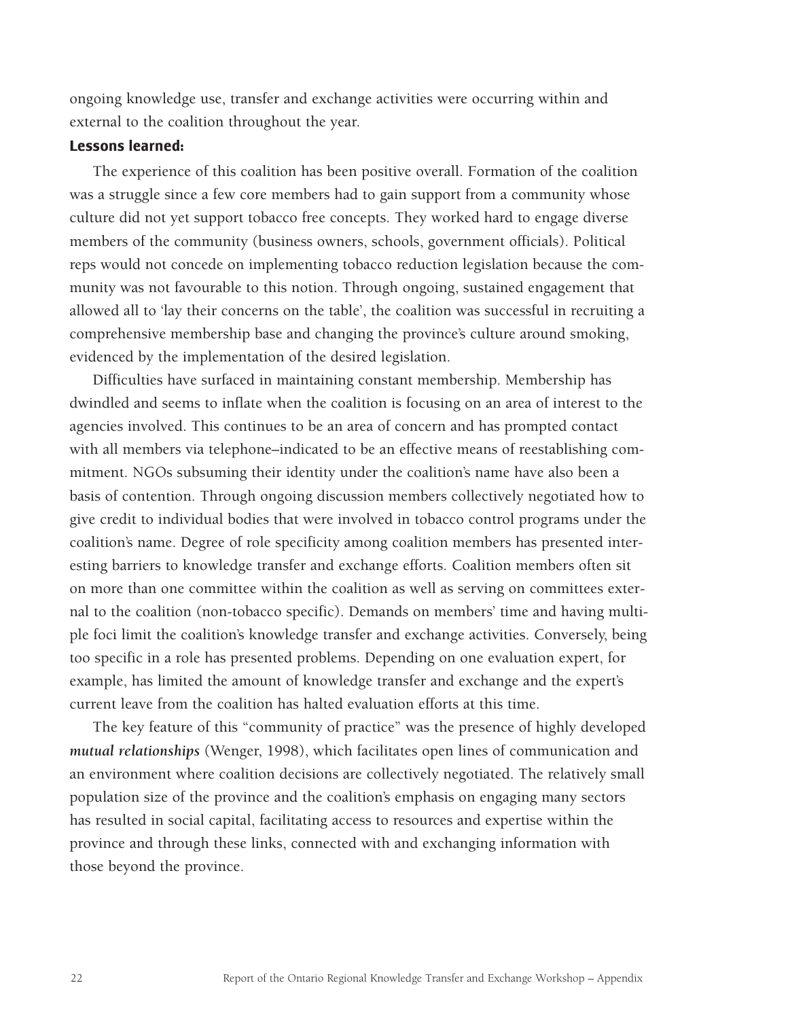ongoing knowledge use, transfer and exchange activities were occurring within and external to the coalition throughout the year.

#### **Lessons learned:**

The experience of this coalition has been positive overall. Formation of the coalition was a struggle since a few core members had to gain support from a community whose culture did not yet support tobacco free concepts. They worked hard to engage diverse members of the community (business owners, schools, government officials). Political reps would not concede on implementing tobacco reduction legislation because the community was not favourable to this notion. Through ongoing, sustained engagement that allowed all to 'lay their concerns on the table', the coalition was successful in recruiting a comprehensive membership base and changing the province's culture around smoking, evidenced by the implementation of the desired legislation.

Difficulties have surfaced in maintaining constant membership. Membership has dwindled and seems to inflate when the coalition is focusing on an area of interest to the agencies involved. This continues to be an area of concern and has prompted contact with all members via telephone–indicated to be an effective means of reestablishing commitment. NGOs subsuming their identity under the coalition's name have also been a basis of contention. Through ongoing discussion members collectively negotiated how to give credit to individual bodies that were involved in tobacco control programs under the coalition's name. Degree of role specificity among coalition members has presented interesting barriers to knowledge transfer and exchange efforts. Coalition members often sit on more than one committee within the coalition as well as serving on committees external to the coalition (non-tobacco specific). Demands on members' time and having multiple foci limit the coalition's knowledge transfer and exchange activities. Conversely, being too specific in a role has presented problems. Depending on one evaluation expert, for example, has limited the amount of knowledge transfer and exchange and the expert's current leave from the coalition has halted evaluation efforts at this time.

The key feature of this "community of practice" was the presence of highly developed *mutual relationships* (Wenger, 1998), which facilitates open lines of communication and an environment where coalition decisions are collectively negotiated. The relatively small population size of the province and the coalition's emphasis on engaging many sectors has resulted in social capital, facilitating access to resources and expertise within the province and through these links, connected with and exchanging information with those beyond the province.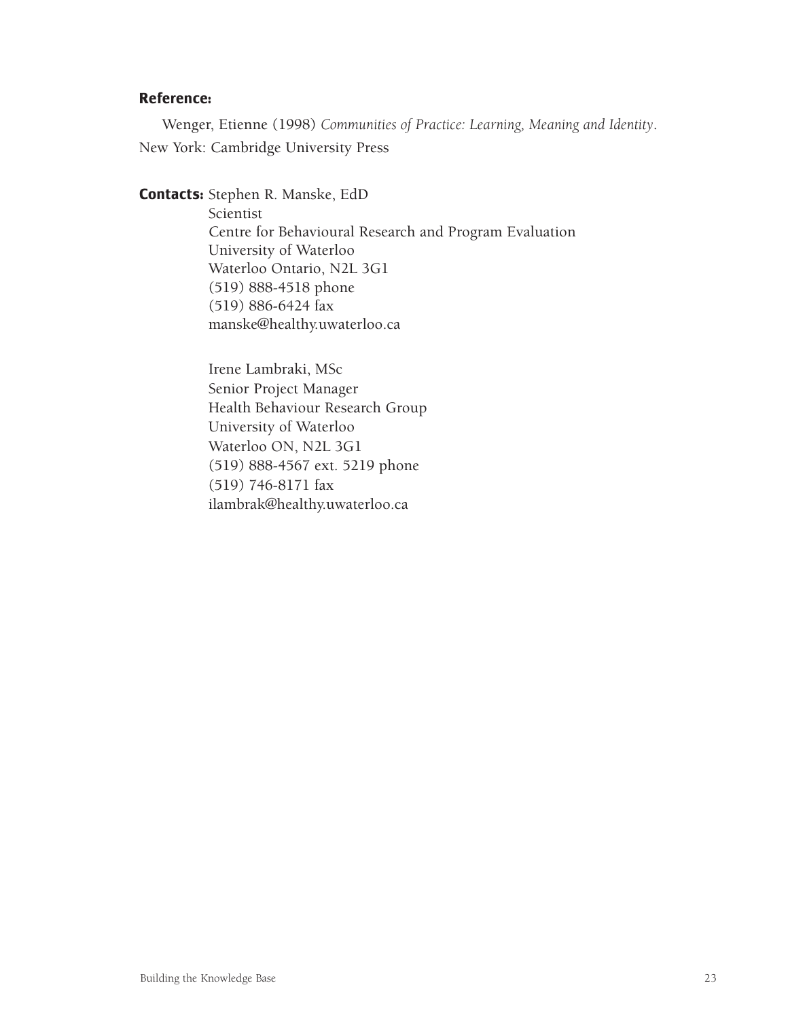### **Reference:**

Wenger, Etienne (1998) *Communities of Practice: Learning, Meaning and Identity*. New York: Cambridge University Press

**Contacts:** Stephen R. Manske, EdD

Scientist Centre for Behavioural Research and Program Evaluation University of Waterloo Waterloo Ontario, N2L 3G1 (519) 888-4518 phone (519) 886-6424 fax manske@healthy.uwaterloo.ca

Irene Lambraki, MSc Senior Project Manager Health Behaviour Research Group University of Waterloo Waterloo ON, N2L 3G1 (519) 888-4567 ext. 5219 phone (519) 746-8171 fax ilambrak@healthy.uwaterloo.ca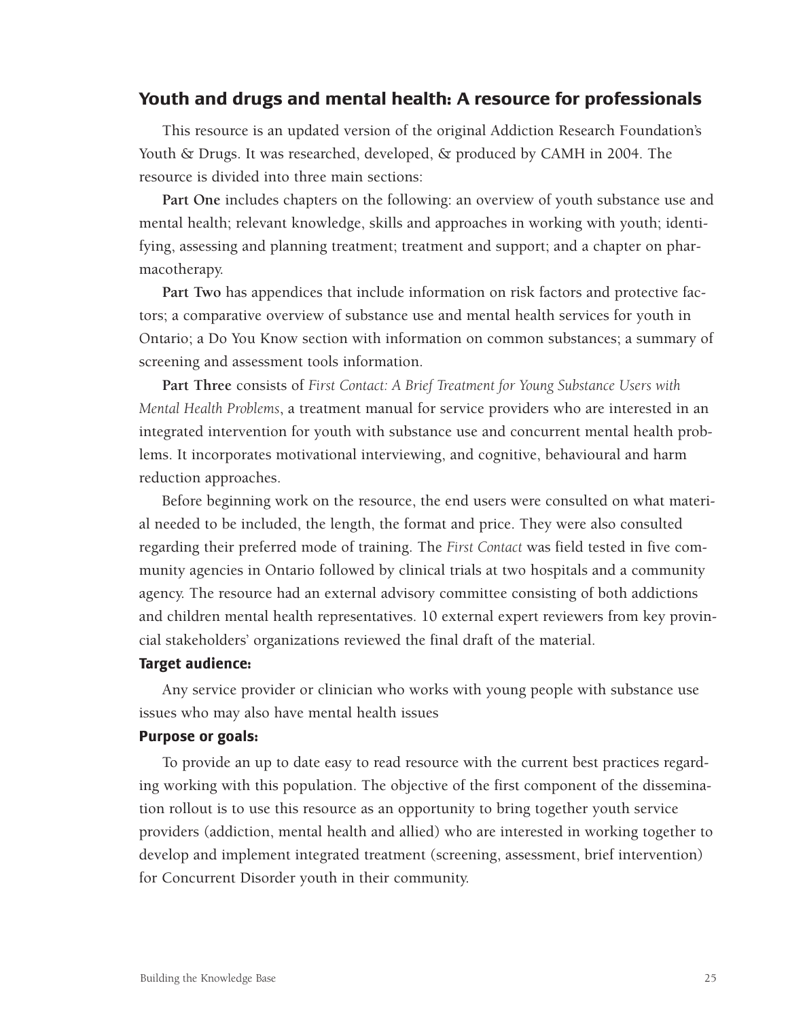## **Youth and drugs and mental health: A resource for professionals**

This resource is an updated version of the original Addiction Research Foundation's Youth & Drugs. It was researched, developed, & produced by CAMH in 2004. The resource is divided into three main sections:

**Part One** includes chapters on the following: an overview of youth substance use and mental health; relevant knowledge, skills and approaches in working with youth; identifying, assessing and planning treatment; treatment and support; and a chapter on pharmacotherapy.

**Part Two** has appendices that include information on risk factors and protective factors; a comparative overview of substance use and mental health services for youth in Ontario; a Do You Know section with information on common substances; a summary of screening and assessment tools information.

**Part Three** consists of *First Contact: A Brief Treatment for Young Substance Users with Mental Health Problems*, a treatment manual for service providers who are interested in an integrated intervention for youth with substance use and concurrent mental health problems. It incorporates motivational interviewing, and cognitive, behavioural and harm reduction approaches.

Before beginning work on the resource, the end users were consulted on what material needed to be included, the length, the format and price. They were also consulted regarding their preferred mode of training. The *First Contact* was field tested in five community agencies in Ontario followed by clinical trials at two hospitals and a community agency. The resource had an external advisory committee consisting of both addictions and children mental health representatives. 10 external expert reviewers from key provincial stakeholders' organizations reviewed the final draft of the material.

### **Target audience:**

Any service provider or clinician who works with young people with substance use issues who may also have mental health issues

#### **Purpose or goals:**

To provide an up to date easy to read resource with the current best practices regarding working with this population. The objective of the first component of the dissemination rollout is to use this resource as an opportunity to bring together youth service providers (addiction, mental health and allied) who are interested in working together to develop and implement integrated treatment (screening, assessment, brief intervention) for Concurrent Disorder youth in their community.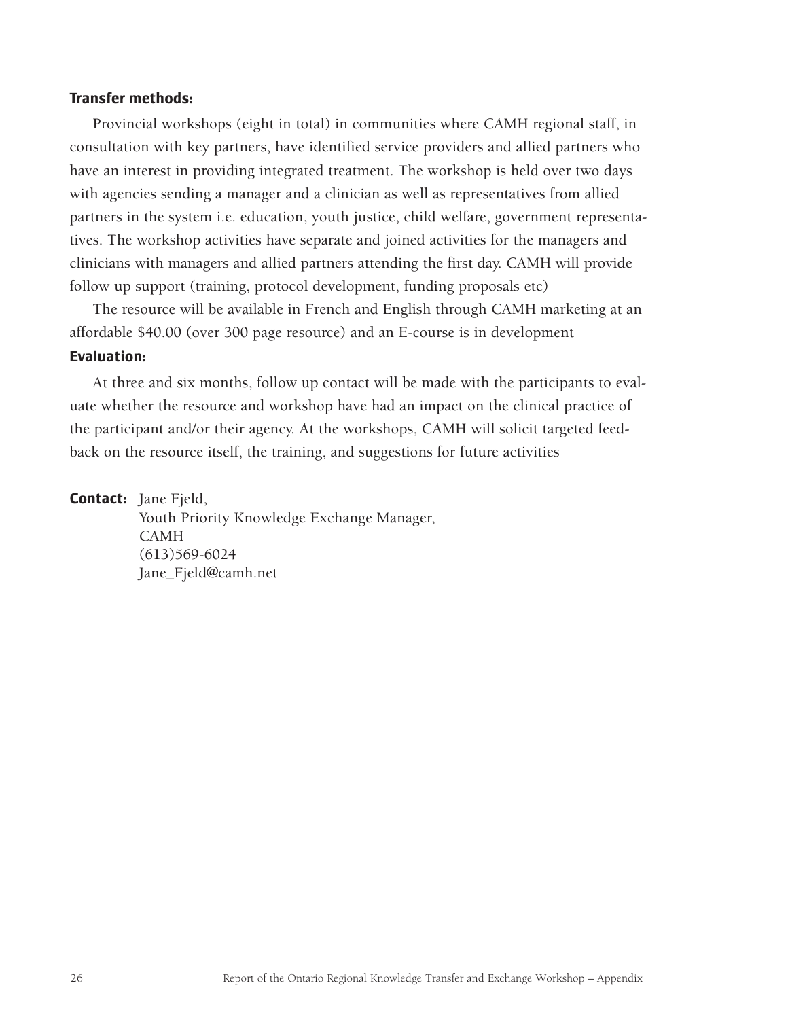#### **Transfer methods:**

Provincial workshops (eight in total) in communities where CAMH regional staff, in consultation with key partners, have identified service providers and allied partners who have an interest in providing integrated treatment. The workshop is held over two days with agencies sending a manager and a clinician as well as representatives from allied partners in the system i.e. education, youth justice, child welfare, government representatives. The workshop activities have separate and joined activities for the managers and clinicians with managers and allied partners attending the first day. CAMH will provide follow up support (training, protocol development, funding proposals etc)

The resource will be available in French and English through CAMH marketing at an affordable \$40.00 (over 300 page resource) and an E-course is in development

### **Evaluation:**

At three and six months, follow up contact will be made with the participants to evaluate whether the resource and workshop have had an impact on the clinical practice of the participant and/or their agency. At the workshops, CAMH will solicit targeted feedback on the resource itself, the training, and suggestions for future activities

**Contact:** Jane Fjeld, Youth Priority Knowledge Exchange Manager, CAMH (613)569-6024 Jane\_Fjeld@camh.net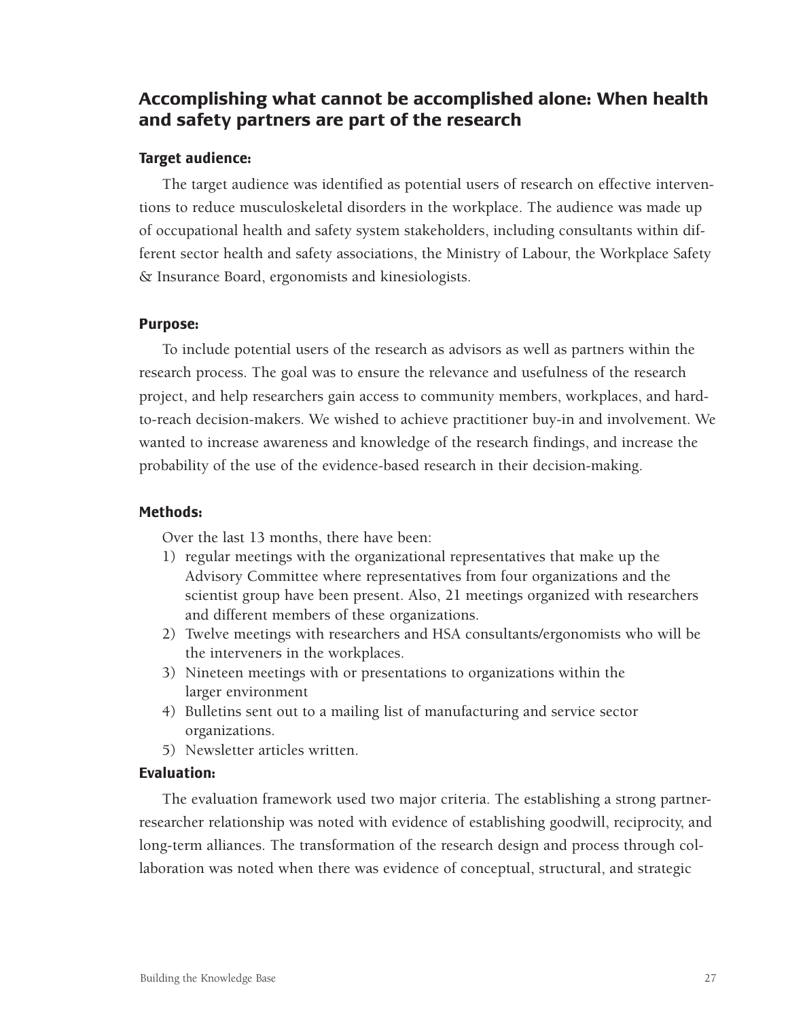# **Accomplishing what cannot be accomplished alone: When health and safety partners are part of the research**

## **Target audience:**

The target audience was identified as potential users of research on effective interventions to reduce musculoskeletal disorders in the workplace. The audience was made up of occupational health and safety system stakeholders, including consultants within different sector health and safety associations, the Ministry of Labour, the Workplace Safety & Insurance Board, ergonomists and kinesiologists.

### **Purpose:**

To include potential users of the research as advisors as well as partners within the research process. The goal was to ensure the relevance and usefulness of the research project, and help researchers gain access to community members, workplaces, and hardto-reach decision-makers. We wished to achieve practitioner buy-in and involvement. We wanted to increase awareness and knowledge of the research findings, and increase the probability of the use of the evidence-based research in their decision-making.

### **Methods:**

Over the last 13 months, there have been:

- 1) regular meetings with the organizational representatives that make up the Advisory Committee where representatives from four organizations and the scientist group have been present. Also, 21 meetings organized with researchers and different members of these organizations.
- 2) Twelve meetings with researchers and HSA consultants/ergonomists who will be the interveners in the workplaces.
- 3) Nineteen meetings with or presentations to organizations within the larger environment
- 4) Bulletins sent out to a mailing list of manufacturing and service sector organizations.
- 5) Newsletter articles written.

## **Evaluation:**

The evaluation framework used two major criteria. The establishing a strong partnerresearcher relationship was noted with evidence of establishing goodwill, reciprocity, and long-term alliances. The transformation of the research design and process through collaboration was noted when there was evidence of conceptual, structural, and strategic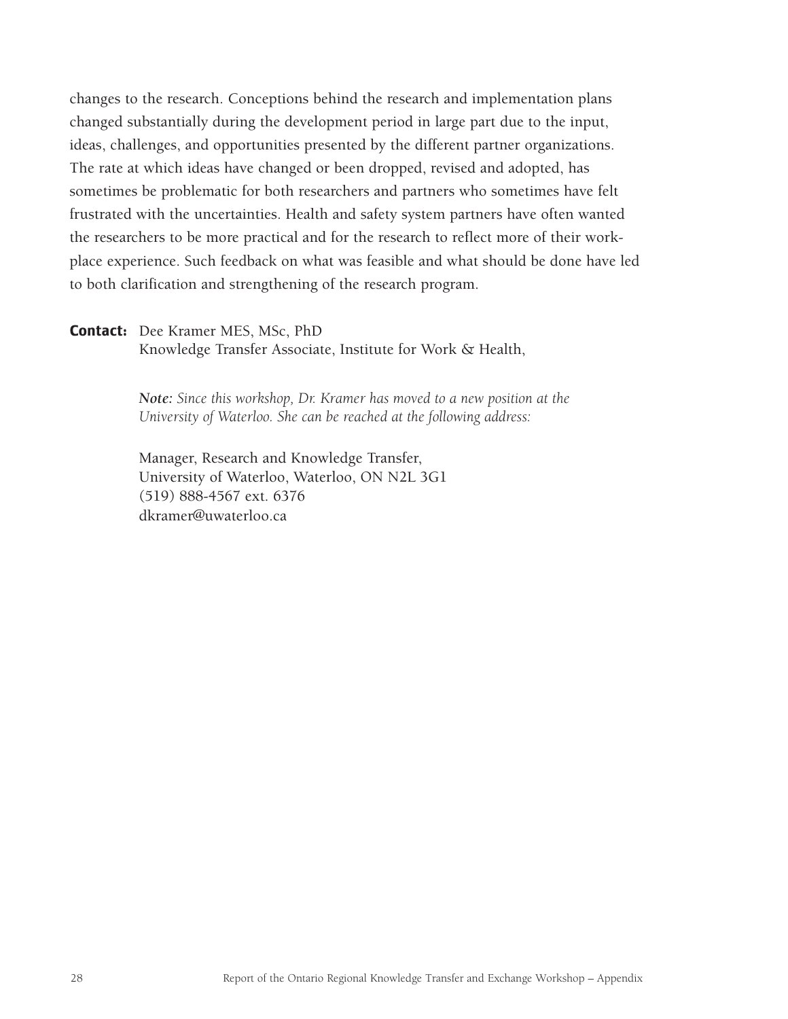changes to the research. Conceptions behind the research and implementation plans changed substantially during the development period in large part due to the input, ideas, challenges, and opportunities presented by the different partner organizations. The rate at which ideas have changed or been dropped, revised and adopted, has sometimes be problematic for both researchers and partners who sometimes have felt frustrated with the uncertainties. Health and safety system partners have often wanted the researchers to be more practical and for the research to reflect more of their workplace experience. Such feedback on what was feasible and what should be done have led to both clarification and strengthening of the research program.

#### **Contact:** Dee Kramer MES, MSc, PhD

Knowledge Transfer Associate, Institute for Work & Health,

*Note: Since this workshop, Dr. Kramer has moved to a new position at the University of Waterloo. She can be reached at the following address:*

Manager, Research and Knowledge Transfer, University of Waterloo, Waterloo, ON N2L 3G1 (519) 888-4567 ext. 6376 dkramer@uwaterloo.ca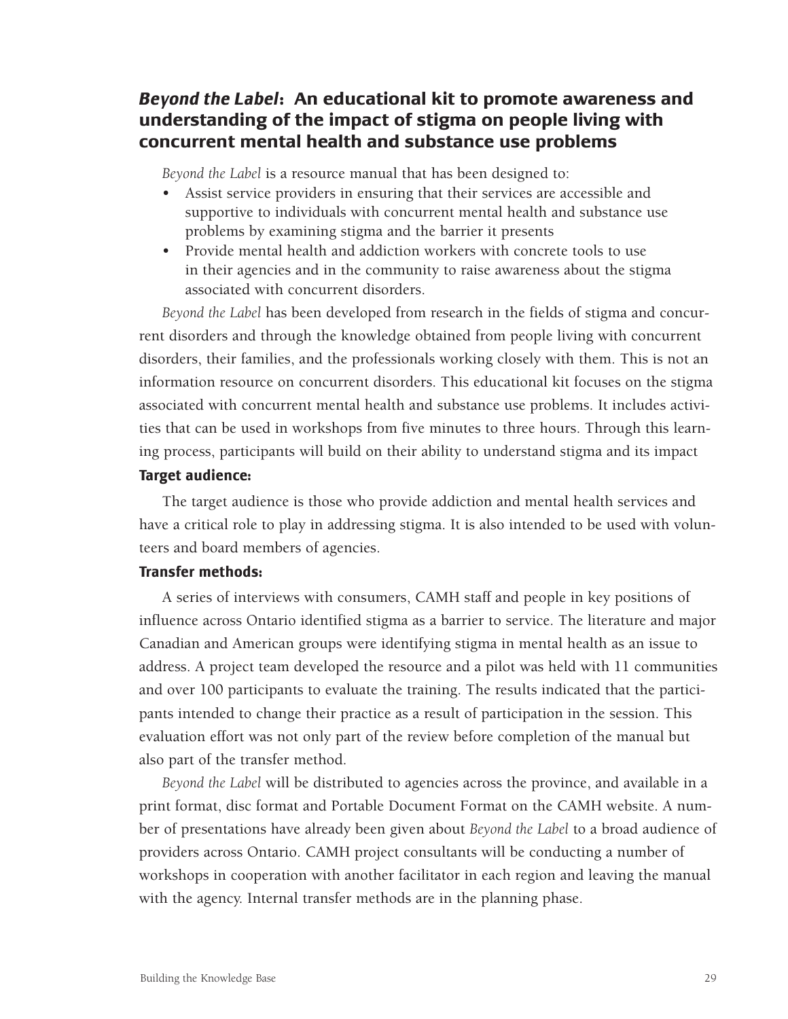# *Beyond the Label***: An educational kit to promote awareness and understanding of the impact of stigma on people living with concurrent mental health and substance use problems**

*Beyond the Label* is a resource manual that has been designed to:

- Assist service providers in ensuring that their services are accessible and supportive to individuals with concurrent mental health and substance use problems by examining stigma and the barrier it presents
- Provide mental health and addiction workers with concrete tools to use in their agencies and in the community to raise awareness about the stigma associated with concurrent disorders.

*Beyond the Label* has been developed from research in the fields of stigma and concurrent disorders and through the knowledge obtained from people living with concurrent disorders, their families, and the professionals working closely with them. This is not an information resource on concurrent disorders. This educational kit focuses on the stigma associated with concurrent mental health and substance use problems. It includes activities that can be used in workshops from five minutes to three hours. Through this learning process, participants will build on their ability to understand stigma and its impact **Target audience:** 

The target audience is those who provide addiction and mental health services and have a critical role to play in addressing stigma. It is also intended to be used with volunteers and board members of agencies.

### **Transfer methods:**

A series of interviews with consumers, CAMH staff and people in key positions of influence across Ontario identified stigma as a barrier to service. The literature and major Canadian and American groups were identifying stigma in mental health as an issue to address. A project team developed the resource and a pilot was held with 11 communities and over 100 participants to evaluate the training. The results indicated that the participants intended to change their practice as a result of participation in the session. This evaluation effort was not only part of the review before completion of the manual but also part of the transfer method.

*Beyond the Label* will be distributed to agencies across the province, and available in a print format, disc format and Portable Document Format on the CAMH website. A number of presentations have already been given about *Beyond the Label* to a broad audience of providers across Ontario. CAMH project consultants will be conducting a number of workshops in cooperation with another facilitator in each region and leaving the manual with the agency. Internal transfer methods are in the planning phase.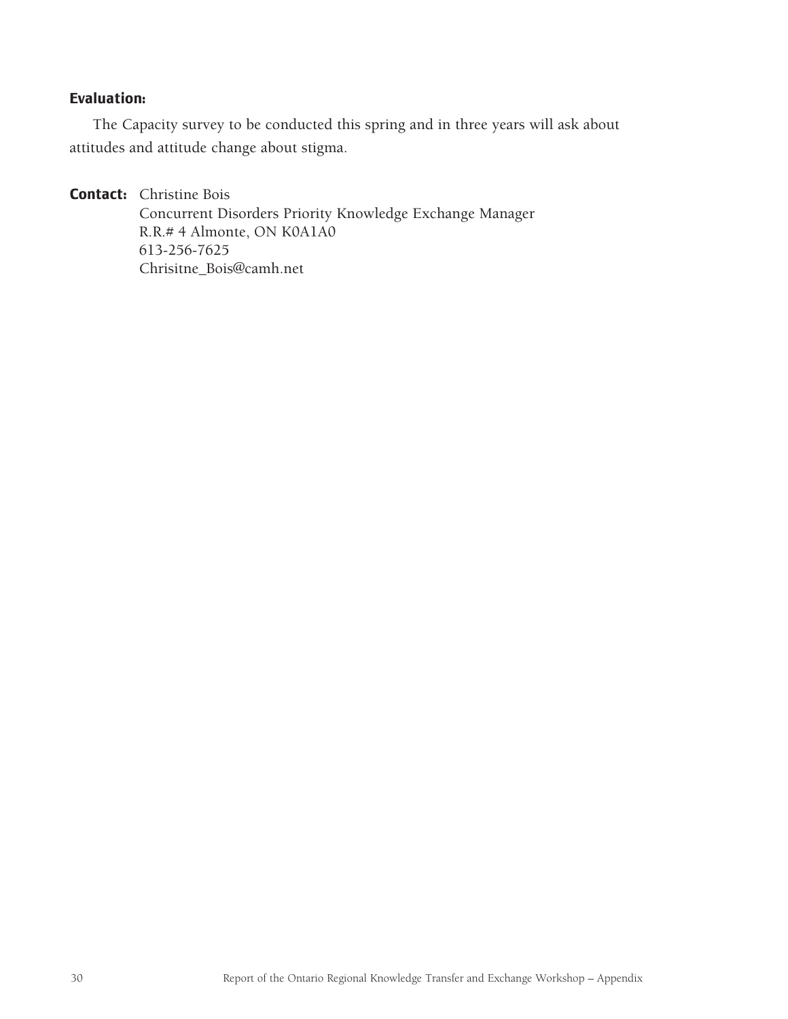# **Evaluation:**

The Capacity survey to be conducted this spring and in three years will ask about attitudes and attitude change about stigma.

**Contact:** Christine Bois

Concurrent Disorders Priority Knowledge Exchange Manager R.R.# 4 Almonte, ON K0A1A0 613-256-7625 Chrisitne\_Bois@camh.net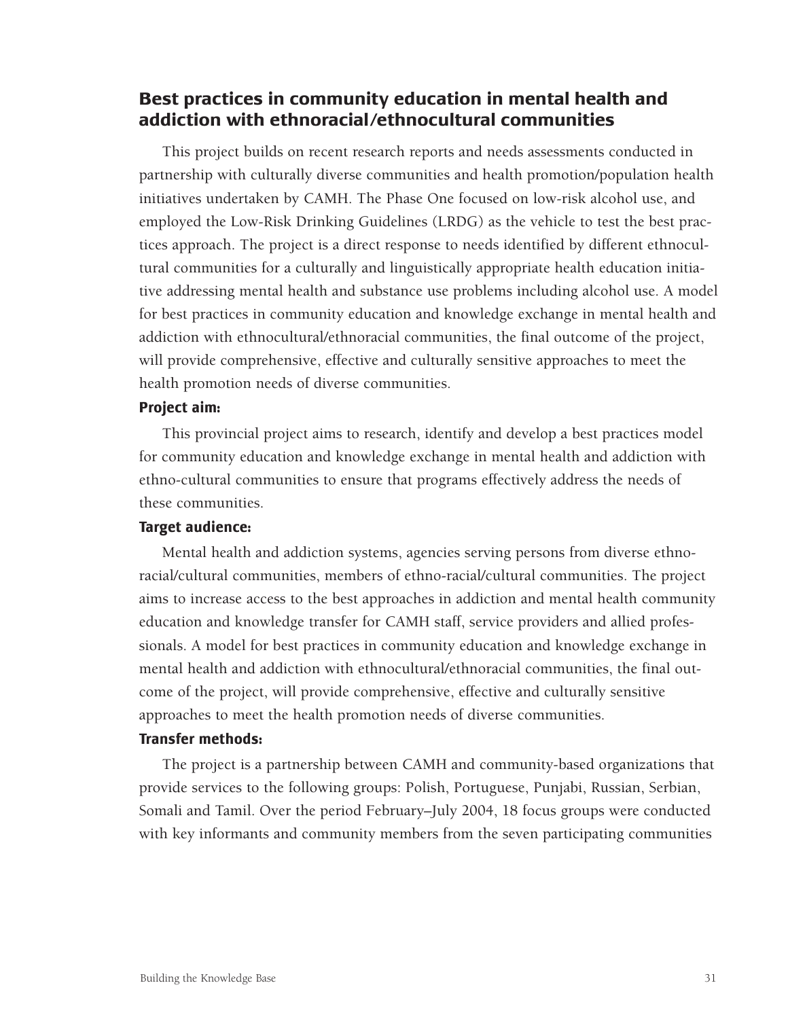# **Best practices in community education in mental health and addiction with ethnoracial/ethnocultural communities**

This project builds on recent research reports and needs assessments conducted in partnership with culturally diverse communities and health promotion/population health initiatives undertaken by CAMH. The Phase One focused on low-risk alcohol use, and employed the Low-Risk Drinking Guidelines (LRDG) as the vehicle to test the best practices approach. The project is a direct response to needs identified by different ethnocultural communities for a culturally and linguistically appropriate health education initiative addressing mental health and substance use problems including alcohol use. A model for best practices in community education and knowledge exchange in mental health and addiction with ethnocultural/ethnoracial communities, the final outcome of the project, will provide comprehensive, effective and culturally sensitive approaches to meet the health promotion needs of diverse communities.

### **Project aim:**

This provincial project aims to research, identify and develop a best practices model for community education and knowledge exchange in mental health and addiction with ethno-cultural communities to ensure that programs effectively address the needs of these communities.

#### **Target audience:**

Mental health and addiction systems, agencies serving persons from diverse ethnoracial/cultural communities, members of ethno-racial/cultural communities. The project aims to increase access to the best approaches in addiction and mental health community education and knowledge transfer for CAMH staff, service providers and allied professionals. A model for best practices in community education and knowledge exchange in mental health and addiction with ethnocultural/ethnoracial communities, the final outcome of the project, will provide comprehensive, effective and culturally sensitive approaches to meet the health promotion needs of diverse communities.

### **Transfer methods:**

The project is a partnership between CAMH and community-based organizations that provide services to the following groups: Polish, Portuguese, Punjabi, Russian, Serbian, Somali and Tamil. Over the period February–July 2004, 18 focus groups were conducted with key informants and community members from the seven participating communities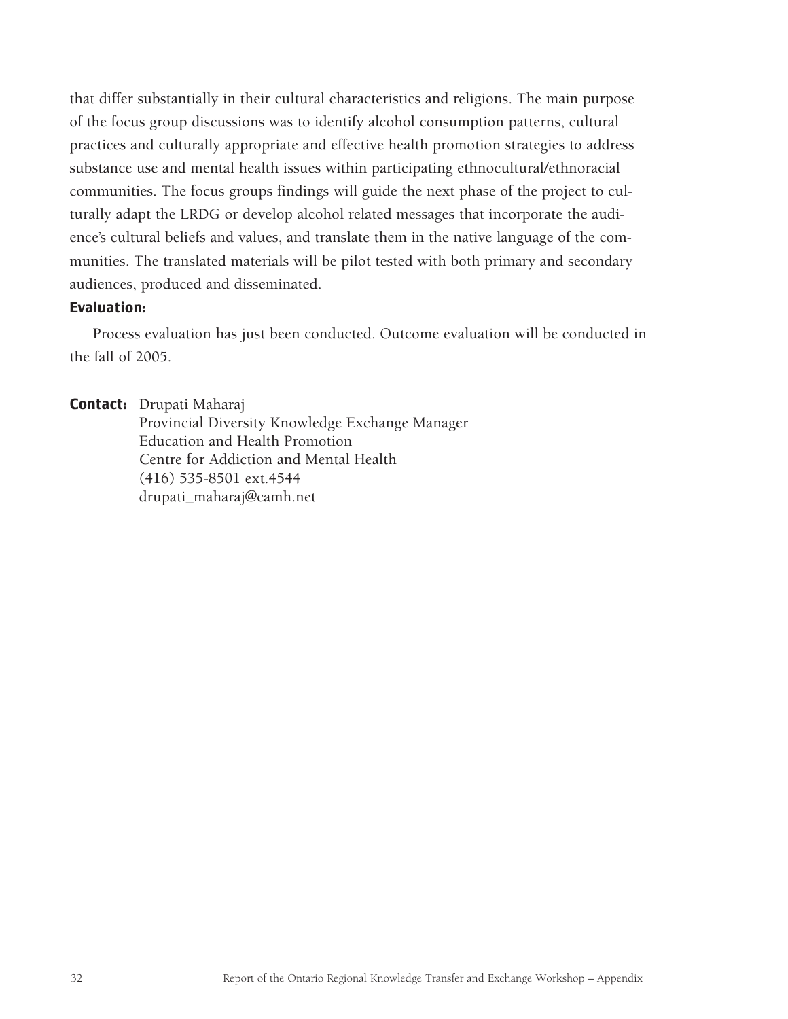that differ substantially in their cultural characteristics and religions. The main purpose of the focus group discussions was to identify alcohol consumption patterns, cultural practices and culturally appropriate and effective health promotion strategies to address substance use and mental health issues within participating ethnocultural/ethnoracial communities. The focus groups findings will guide the next phase of the project to culturally adapt the LRDG or develop alcohol related messages that incorporate the audience's cultural beliefs and values, and translate them in the native language of the communities. The translated materials will be pilot tested with both primary and secondary audiences, produced and disseminated.

### **Evaluation:**

Process evaluation has just been conducted. Outcome evaluation will be conducted in the fall of 2005.

**Contact:** Drupati Maharaj

Provincial Diversity Knowledge Exchange Manager Education and Health Promotion Centre for Addiction and Mental Health (416) 535-8501 ext.4544 drupati\_maharaj@camh.net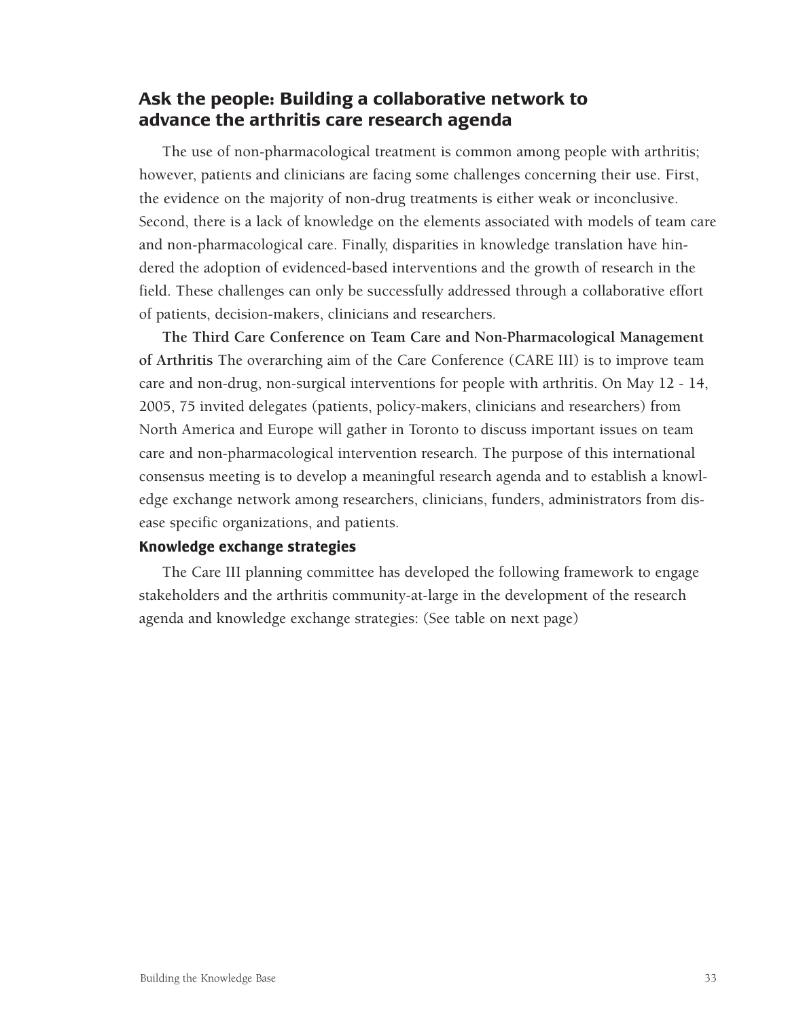# **Ask the people: Building a collaborative network to advance the arthritis care research agenda**

The use of non-pharmacological treatment is common among people with arthritis; however, patients and clinicians are facing some challenges concerning their use. First, the evidence on the majority of non-drug treatments is either weak or inconclusive. Second, there is a lack of knowledge on the elements associated with models of team care and non-pharmacological care. Finally, disparities in knowledge translation have hindered the adoption of evidenced-based interventions and the growth of research in the field. These challenges can only be successfully addressed through a collaborative effort of patients, decision-makers, clinicians and researchers.

**The Third Care Conference on Team Care and Non-Pharmacological Management of Arthritis** The overarching aim of the Care Conference (CARE III) is to improve team care and non-drug, non-surgical interventions for people with arthritis. On May 12 - 14, 2005, 75 invited delegates (patients, policy-makers, clinicians and researchers) from North America and Europe will gather in Toronto to discuss important issues on team care and non-pharmacological intervention research. The purpose of this international consensus meeting is to develop a meaningful research agenda and to establish a knowledge exchange network among researchers, clinicians, funders, administrators from disease specific organizations, and patients.

### **Knowledge exchange strategies**

The Care III planning committee has developed the following framework to engage stakeholders and the arthritis community-at-large in the development of the research agenda and knowledge exchange strategies: (See table on next page)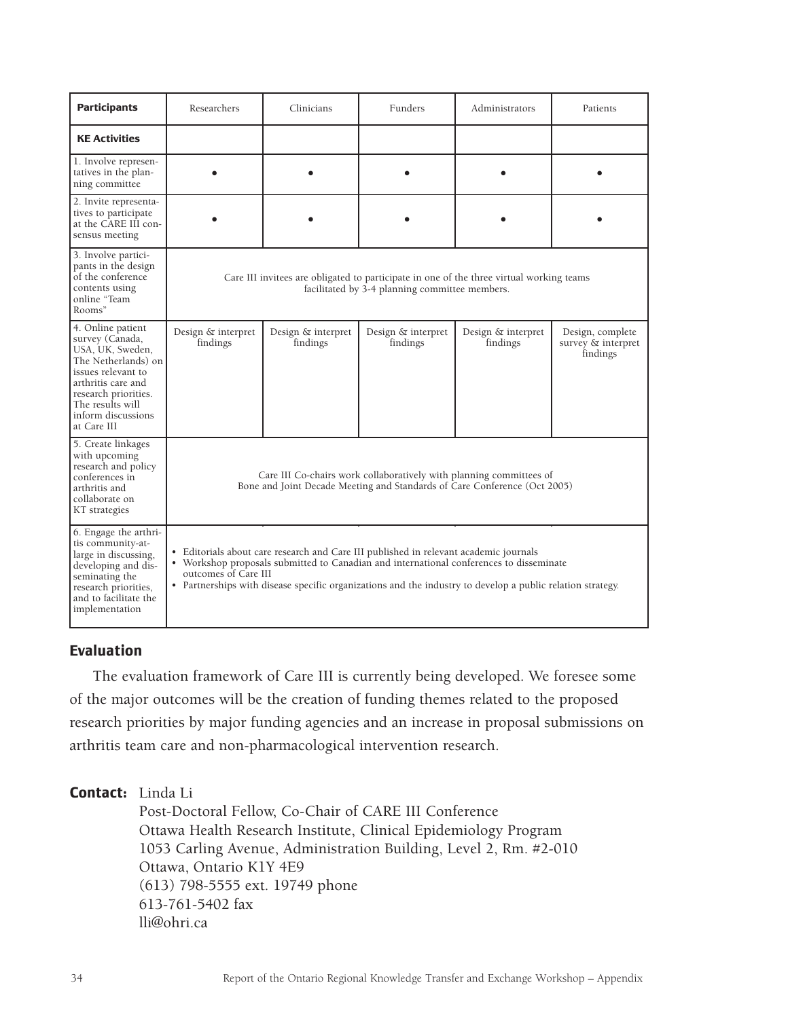| <b>Participants</b>                                                                                                                                                                                          | Researchers                                                                                                                                                                                                                                                                                                            | Clinicians                     | Funders                        | Administrators                 | Patients                                           |
|--------------------------------------------------------------------------------------------------------------------------------------------------------------------------------------------------------------|------------------------------------------------------------------------------------------------------------------------------------------------------------------------------------------------------------------------------------------------------------------------------------------------------------------------|--------------------------------|--------------------------------|--------------------------------|----------------------------------------------------|
| <b>KE Activities</b>                                                                                                                                                                                         |                                                                                                                                                                                                                                                                                                                        |                                |                                |                                |                                                    |
| 1. Involve represen-<br>tatives in the plan-<br>ning committee                                                                                                                                               |                                                                                                                                                                                                                                                                                                                        |                                |                                |                                |                                                    |
| 2. Invite representa-<br>tives to participate<br>at the CARE III con-<br>sensus meeting                                                                                                                      |                                                                                                                                                                                                                                                                                                                        |                                |                                |                                |                                                    |
| 3. Involve partici-<br>pants in the design<br>of the conference<br>contents using<br>online "Team<br>Rooms"                                                                                                  | Care III invitees are obligated to participate in one of the three virtual working teams<br>facilitated by 3-4 planning committee members.                                                                                                                                                                             |                                |                                |                                |                                                    |
| 4. Online patient<br>survey (Canada,<br>USA, UK, Sweden,<br>The Netherlands) on<br>issues relevant to<br>arthritis care and<br>research priorities.<br>The results will<br>inform discussions<br>at Care III | Design & interpret<br>findings                                                                                                                                                                                                                                                                                         | Design & interpret<br>findings | Design & interpret<br>findings | Design & interpret<br>findings | Design, complete<br>survey & interpret<br>findings |
| 5. Create linkages<br>with upcoming<br>research and policy<br>conferences in<br>arthritis and<br>collaborate on<br>KT strategies                                                                             | Care III Co-chairs work collaboratively with planning committees of<br>Bone and Joint Decade Meeting and Standards of Care Conference (Oct 2005)                                                                                                                                                                       |                                |                                |                                |                                                    |
| 6. Engage the arthri-<br>tis community-at-<br>large in discussing,<br>developing and dis-<br>seminating the<br>research priorities,<br>and to facilitate the<br>implementation                               | • Editorials about care research and Care III published in relevant academic journals<br>• Workshop proposals submitted to Canadian and international conferences to disseminate<br>outcomes of Care III<br>• Partnerships with disease specific organizations and the industry to develop a public relation strategy. |                                |                                |                                |                                                    |

## **Evaluation**

The evaluation framework of Care III is currently being developed. We foresee some of the major outcomes will be the creation of funding themes related to the proposed research priorities by major funding agencies and an increase in proposal submissions on arthritis team care and non-pharmacological intervention research.

# **Contact:** Linda Li

Post-Doctoral Fellow, Co-Chair of CARE III Conference Ottawa Health Research Institute, Clinical Epidemiology Program 1053 Carling Avenue, Administration Building, Level 2, Rm. #2-010 Ottawa, Ontario K1Y 4E9 (613) 798-5555 ext. 19749 phone 613-761-5402 fax lli@ohri.ca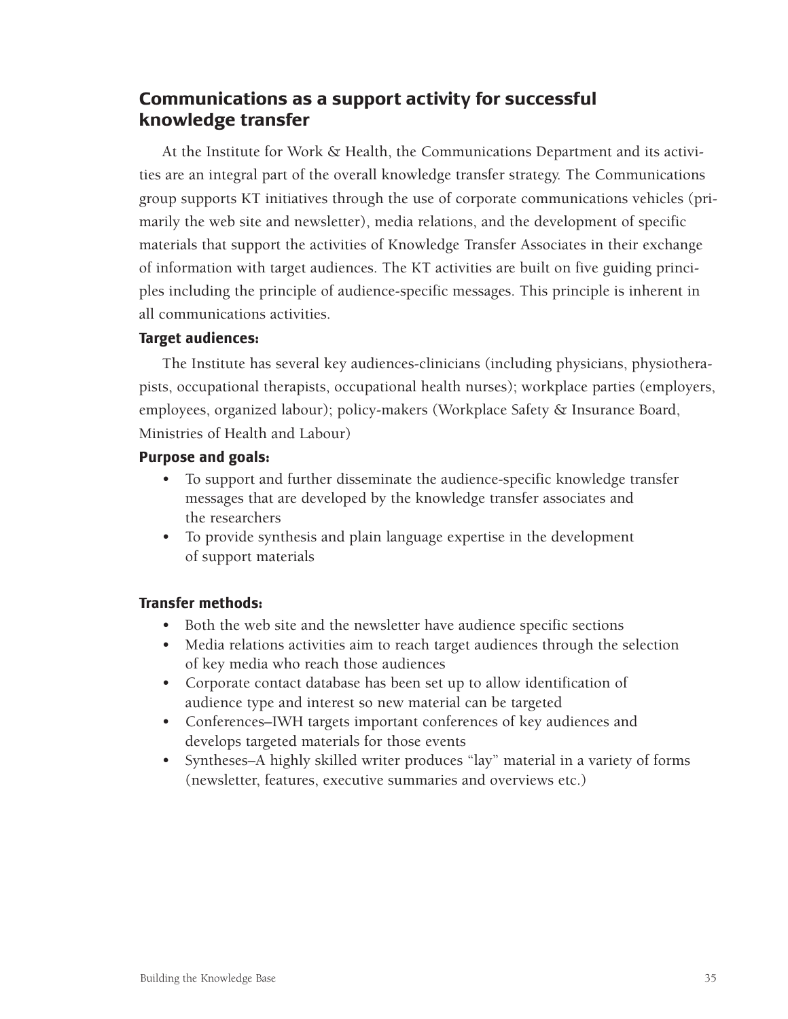# **Communications as a support activity for successful knowledge transfer**

At the Institute for Work & Health, the Communications Department and its activities are an integral part of the overall knowledge transfer strategy. The Communications group supports KT initiatives through the use of corporate communications vehicles (primarily the web site and newsletter), media relations, and the development of specific materials that support the activities of Knowledge Transfer Associates in their exchange of information with target audiences. The KT activities are built on five guiding principles including the principle of audience-specific messages. This principle is inherent in all communications activities.

# **Target audiences:**

The Institute has several key audiences-clinicians (including physicians, physiotherapists, occupational therapists, occupational health nurses); workplace parties (employers, employees, organized labour); policy-makers (Workplace Safety & Insurance Board, Ministries of Health and Labour)

## **Purpose and goals:**

- To support and further disseminate the audience-specific knowledge transfer messages that are developed by the knowledge transfer associates and the researchers
- To provide synthesis and plain language expertise in the development of support materials

# **Transfer methods:**

- Both the web site and the newsletter have audience specific sections
- Media relations activities aim to reach target audiences through the selection of key media who reach those audiences
- Corporate contact database has been set up to allow identification of audience type and interest so new material can be targeted
- Conferences–IWH targets important conferences of key audiences and develops targeted materials for those events
- Syntheses–A highly skilled writer produces "lay" material in a variety of forms (newsletter, features, executive summaries and overviews etc.)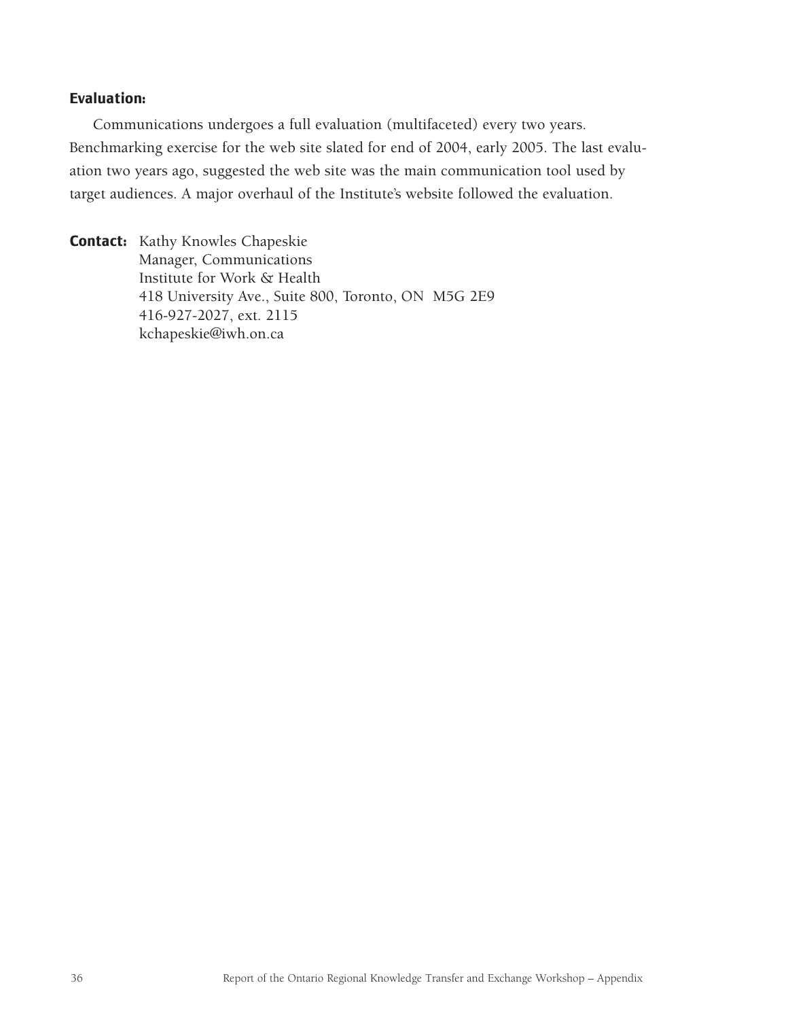## **Evaluation:**

Communications undergoes a full evaluation (multifaceted) every two years. Benchmarking exercise for the web site slated for end of 2004, early 2005. The last evaluation two years ago, suggested the web site was the main communication tool used by target audiences. A major overhaul of the Institute's website followed the evaluation.

**Contact:** Kathy Knowles Chapeskie Manager, Communications Institute for Work & Health 418 University Ave., Suite 800, Toronto, ON M5G 2E9 416-927-2027, ext. 2115 kchapeskie@iwh.on.ca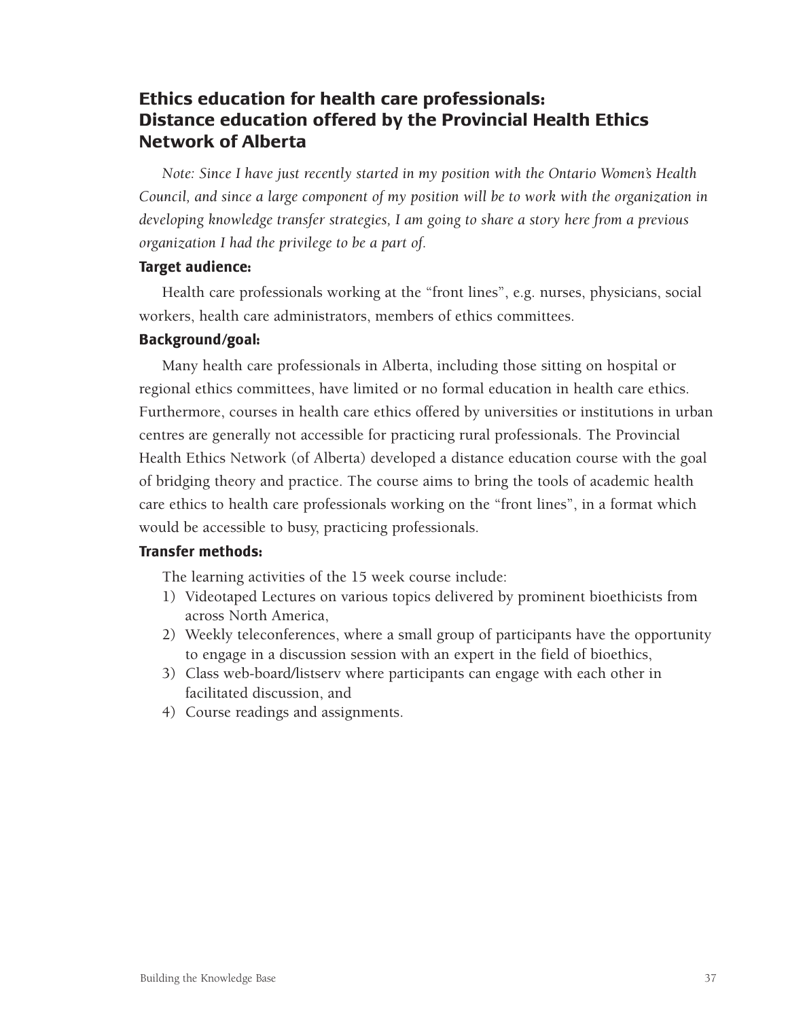# **Ethics education for health care professionals: Distance education offered by the Provincial Health Ethics Network of Alberta**

*Note: Since I have just recently started in my position with the Ontario Women's Health Council, and since a large component of my position will be to work with the organization in developing knowledge transfer strategies, I am going to share a story here from a previous organization I had the privilege to be a part of.*

#### **Target audience:**

Health care professionals working at the "front lines", e.g. nurses, physicians, social workers, health care administrators, members of ethics committees.

## **Background/goal:**

Many health care professionals in Alberta, including those sitting on hospital or regional ethics committees, have limited or no formal education in health care ethics. Furthermore, courses in health care ethics offered by universities or institutions in urban centres are generally not accessible for practicing rural professionals. The Provincial Health Ethics Network (of Alberta) developed a distance education course with the goal of bridging theory and practice. The course aims to bring the tools of academic health care ethics to health care professionals working on the "front lines", in a format which would be accessible to busy, practicing professionals.

### **Transfer methods:**

The learning activities of the 15 week course include:

- 1) Videotaped Lectures on various topics delivered by prominent bioethicists from across North America,
- 2) Weekly teleconferences, where a small group of participants have the opportunity to engage in a discussion session with an expert in the field of bioethics,
- 3) Class web-board/listserv where participants can engage with each other in facilitated discussion, and
- 4) Course readings and assignments.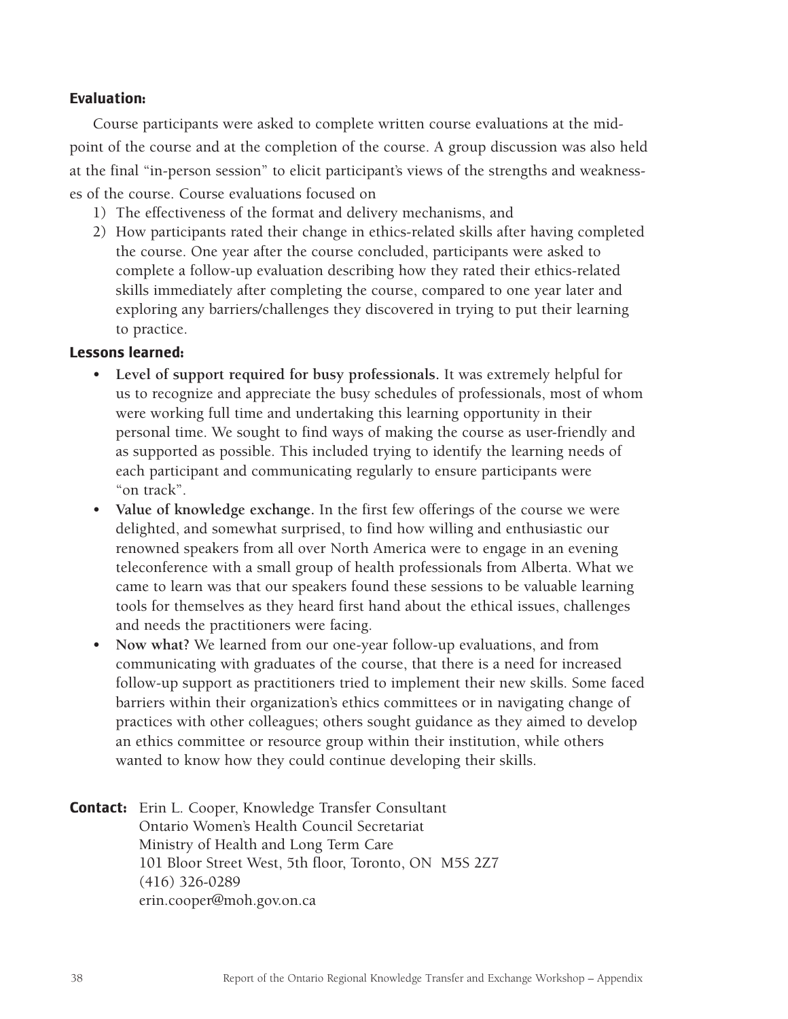## **Evaluation:**

Course participants were asked to complete written course evaluations at the midpoint of the course and at the completion of the course. A group discussion was also held at the final "in-person session" to elicit participant's views of the strengths and weaknesses of the course. Course evaluations focused on

- 1) The effectiveness of the format and delivery mechanisms, and
- 2) How participants rated their change in ethics-related skills after having completed the course. One year after the course concluded, participants were asked to complete a follow-up evaluation describing how they rated their ethics-related skills immediately after completing the course, compared to one year later and exploring any barriers/challenges they discovered in trying to put their learning to practice.

### **Lessons learned:**

- **Level of support required for busy professionals.** It was extremely helpful for us to recognize and appreciate the busy schedules of professionals, most of whom were working full time and undertaking this learning opportunity in their personal time. We sought to find ways of making the course as user-friendly and as supported as possible. This included trying to identify the learning needs of each participant and communicating regularly to ensure participants were "on track".
- **Value of knowledge exchange.** In the first few offerings of the course we were delighted, and somewhat surprised, to find how willing and enthusiastic our renowned speakers from all over North America were to engage in an evening teleconference with a small group of health professionals from Alberta. What we came to learn was that our speakers found these sessions to be valuable learning tools for themselves as they heard first hand about the ethical issues, challenges and needs the practitioners were facing.
- **Now what?** We learned from our one-year follow-up evaluations, and from communicating with graduates of the course, that there is a need for increased follow-up support as practitioners tried to implement their new skills. Some faced barriers within their organization's ethics committees or in navigating change of practices with other colleagues; others sought guidance as they aimed to develop an ethics committee or resource group within their institution, while others wanted to know how they could continue developing their skills.

**Contact:** Erin L. Cooper, Knowledge Transfer Consultant Ontario Women's Health Council Secretariat Ministry of Health and Long Term Care 101 Bloor Street West, 5th floor, Toronto, ON M5S 2Z7 (416) 326-0289 erin.cooper@moh.gov.on.ca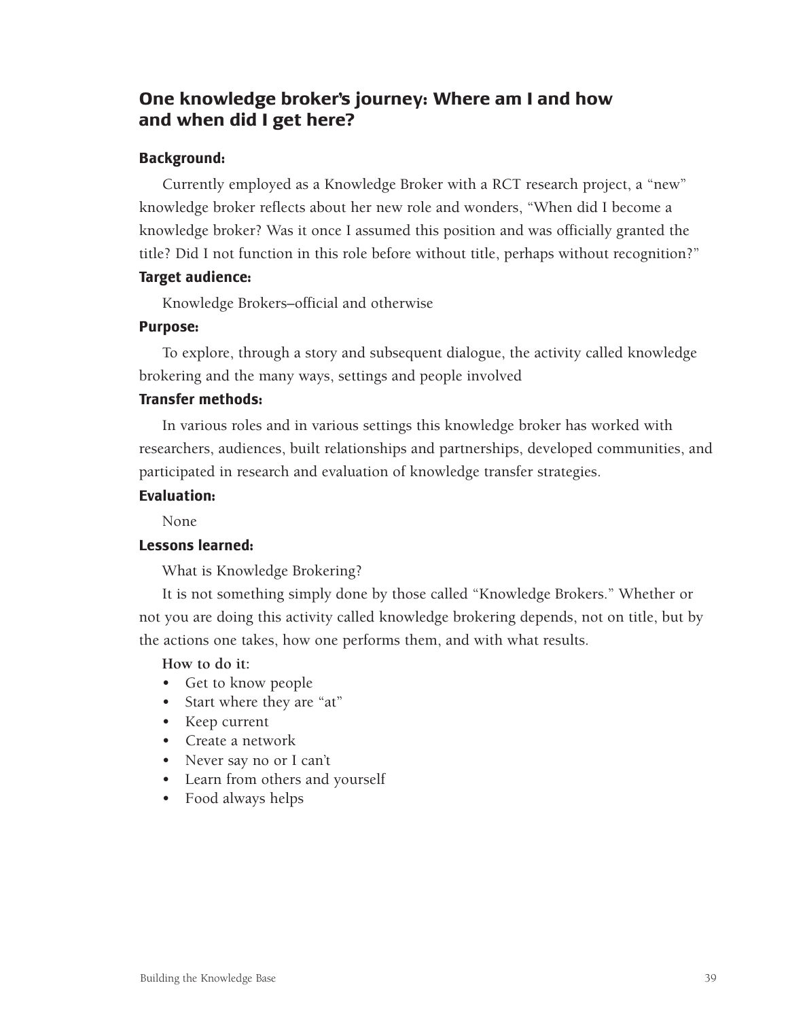# **One knowledge broker's journey: Where am I and how and when did I get here?**

## **Background:**

Currently employed as a Knowledge Broker with a RCT research project, a "new" knowledge broker reflects about her new role and wonders, "When did I become a knowledge broker? Was it once I assumed this position and was officially granted the title? Did I not function in this role before without title, perhaps without recognition?"

### **Target audience:**

Knowledge Brokers–official and otherwise

## **Purpose:**

To explore, through a story and subsequent dialogue, the activity called knowledge brokering and the many ways, settings and people involved

## **Transfer methods:**

In various roles and in various settings this knowledge broker has worked with researchers, audiences, built relationships and partnerships, developed communities, and participated in research and evaluation of knowledge transfer strategies.

## **Evaluation:**

None

# **Lessons learned:**

What is Knowledge Brokering?

It is not something simply done by those called "Knowledge Brokers." Whether or not you are doing this activity called knowledge brokering depends, not on title, but by the actions one takes, how one performs them, and with what results.

### **How to do it:**

- Get to know people
- Start where they are "at"
- Keep current
- Create a network
- Never say no or I can't
- Learn from others and yourself
- Food always helps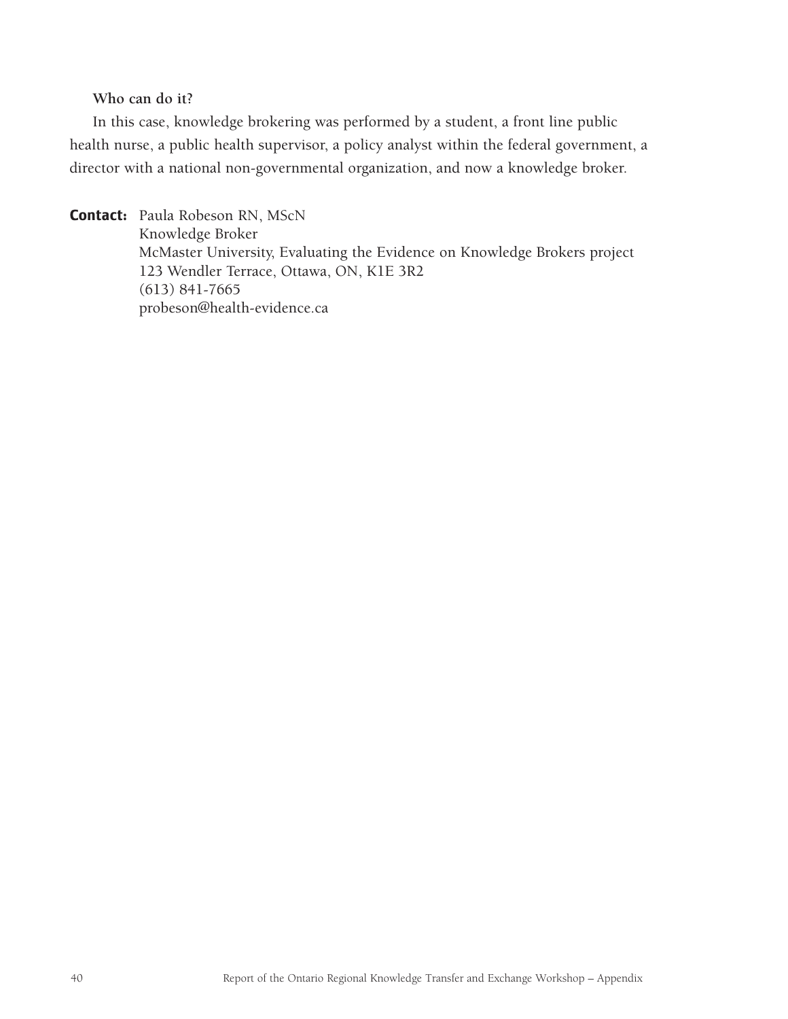### **Who can do it?**

In this case, knowledge brokering was performed by a student, a front line public health nurse, a public health supervisor, a policy analyst within the federal government, a director with a national non-governmental organization, and now a knowledge broker.

**Contact:** Paula Robeson RN, MScN Knowledge Broker McMaster University, Evaluating the Evidence on Knowledge Brokers project 123 Wendler Terrace, Ottawa, ON, K1E 3R2 (613) 841-7665 probeson@health-evidence.ca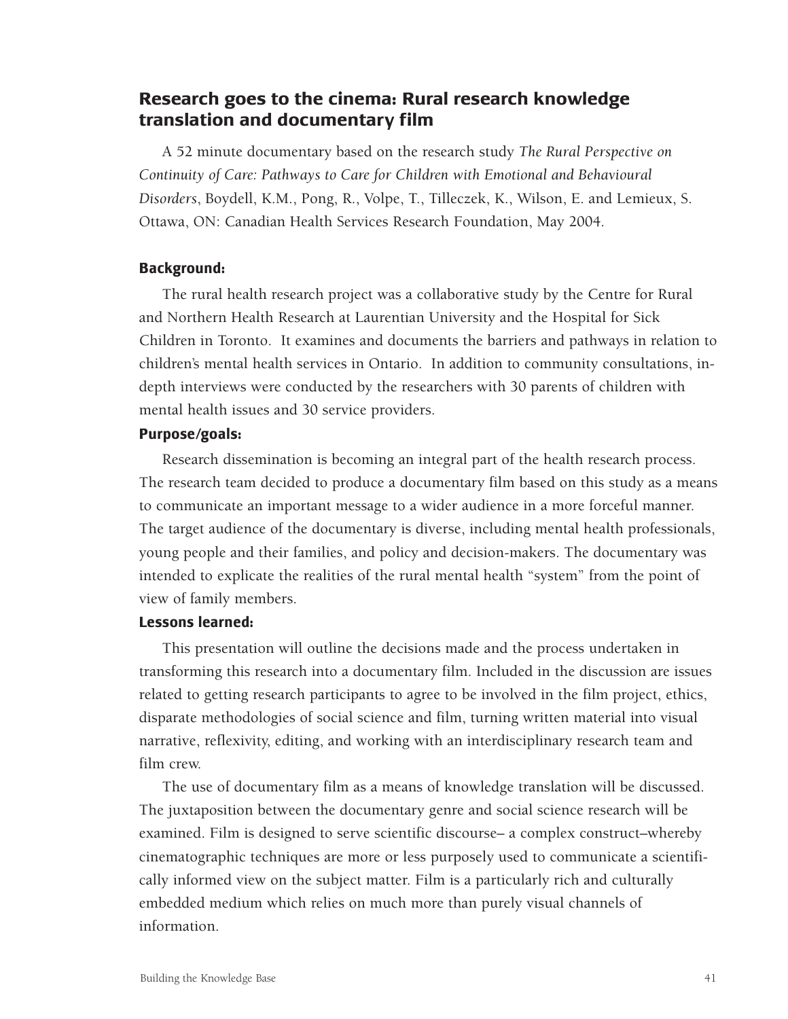# **Research goes to the cinema: Rural research knowledge translation and documentary film**

A 52 minute documentary based on the research study *The Rural Perspective on Continuity of Care: Pathways to Care for Children with Emotional and Behavioural Disorders*, Boydell, K.M., Pong, R., Volpe, T., Tilleczek, K., Wilson, E. and Lemieux, S. Ottawa, ON: Canadian Health Services Research Foundation, May 2004.

### **Background:**

The rural health research project was a collaborative study by the Centre for Rural and Northern Health Research at Laurentian University and the Hospital for Sick Children in Toronto. It examines and documents the barriers and pathways in relation to children's mental health services in Ontario. In addition to community consultations, indepth interviews were conducted by the researchers with 30 parents of children with mental health issues and 30 service providers.

### **Purpose/goals:**

Research dissemination is becoming an integral part of the health research process. The research team decided to produce a documentary film based on this study as a means to communicate an important message to a wider audience in a more forceful manner. The target audience of the documentary is diverse, including mental health professionals, young people and their families, and policy and decision-makers. The documentary was intended to explicate the realities of the rural mental health "system" from the point of view of family members.

### **Lessons learned:**

This presentation will outline the decisions made and the process undertaken in transforming this research into a documentary film. Included in the discussion are issues related to getting research participants to agree to be involved in the film project, ethics, disparate methodologies of social science and film, turning written material into visual narrative, reflexivity, editing, and working with an interdisciplinary research team and film crew.

The use of documentary film as a means of knowledge translation will be discussed. The juxtaposition between the documentary genre and social science research will be examined. Film is designed to serve scientific discourse– a complex construct–whereby cinematographic techniques are more or less purposely used to communicate a scientifically informed view on the subject matter. Film is a particularly rich and culturally embedded medium which relies on much more than purely visual channels of information.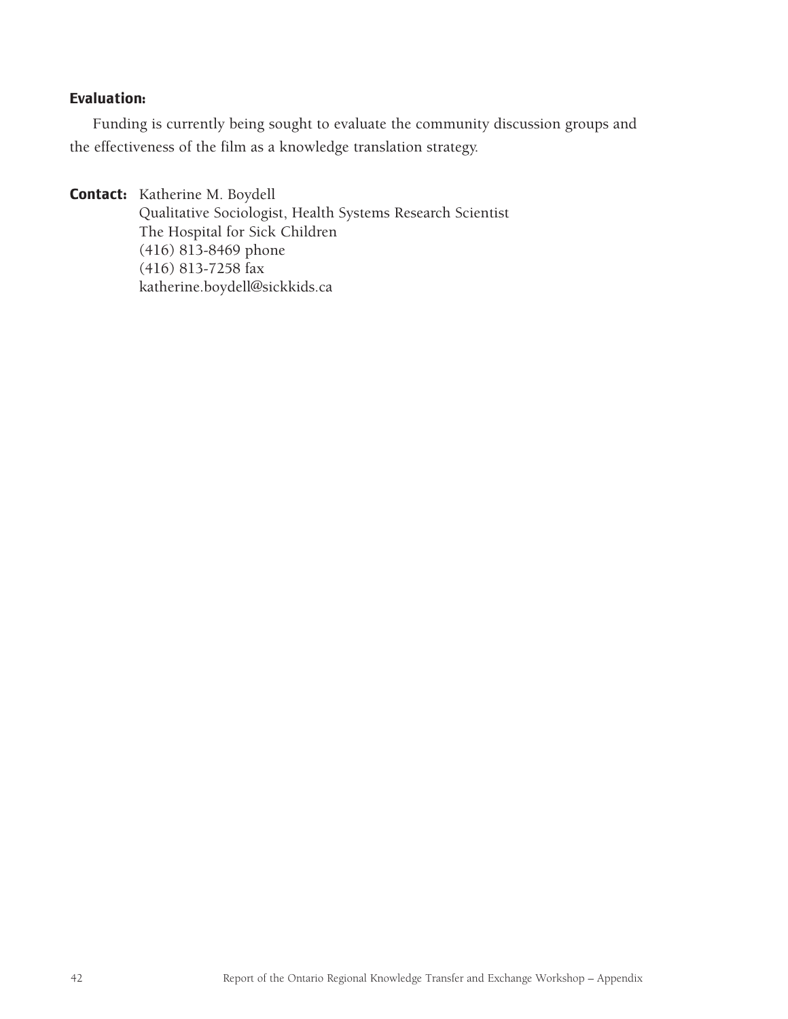# **Evaluation:**

Funding is currently being sought to evaluate the community discussion groups and the effectiveness of the film as a knowledge translation strategy.

**Contact:** Katherine M. Boydell

Qualitative Sociologist, Health Systems Research Scientist The Hospital for Sick Children (416) 813-8469 phone (416) 813-7258 fax katherine.boydell@sickkids.ca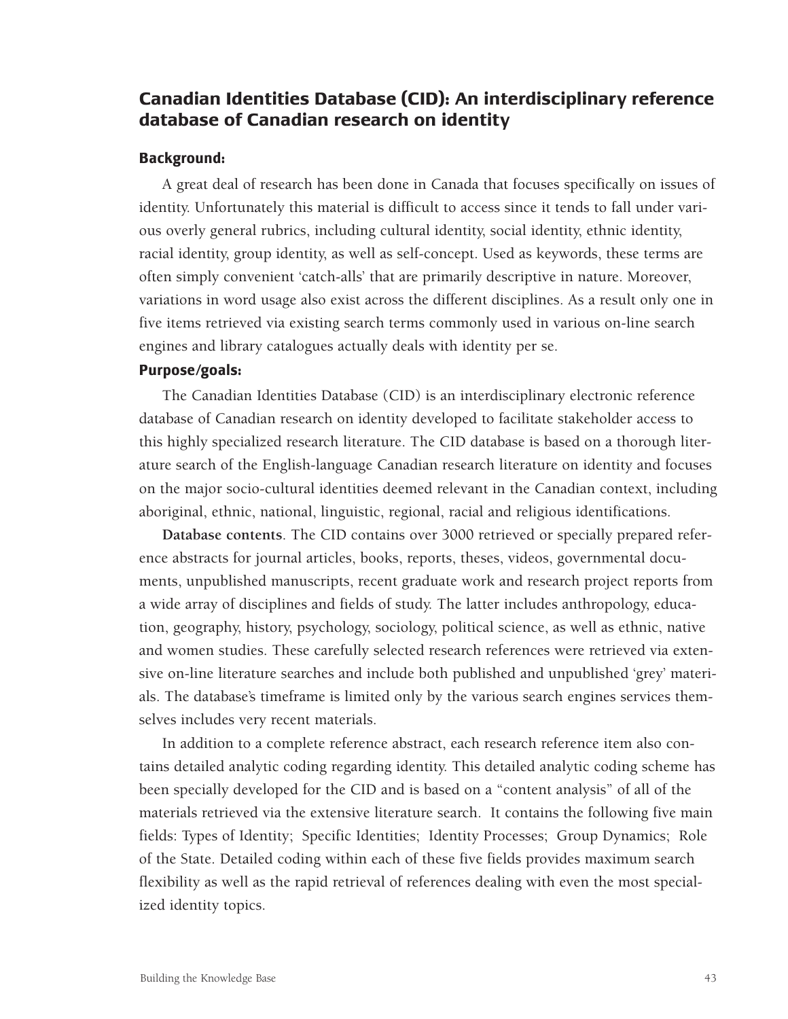# **Canadian Identities Database (CID): An interdisciplinary reference database of Canadian research on identity**

### **Background:**

A great deal of research has been done in Canada that focuses specifically on issues of identity. Unfortunately this material is difficult to access since it tends to fall under various overly general rubrics, including cultural identity, social identity, ethnic identity, racial identity, group identity, as well as self-concept. Used as keywords, these terms are often simply convenient 'catch-alls' that are primarily descriptive in nature. Moreover, variations in word usage also exist across the different disciplines. As a result only one in five items retrieved via existing search terms commonly used in various on-line search engines and library catalogues actually deals with identity per se.

### **Purpose/goals:**

The Canadian Identities Database (CID) is an interdisciplinary electronic reference database of Canadian research on identity developed to facilitate stakeholder access to this highly specialized research literature. The CID database is based on a thorough literature search of the English-language Canadian research literature on identity and focuses on the major socio-cultural identities deemed relevant in the Canadian context, including aboriginal, ethnic, national, linguistic, regional, racial and religious identifications.

**Database contents**. The CID contains over 3000 retrieved or specially prepared reference abstracts for journal articles, books, reports, theses, videos, governmental documents, unpublished manuscripts, recent graduate work and research project reports from a wide array of disciplines and fields of study. The latter includes anthropology, education, geography, history, psychology, sociology, political science, as well as ethnic, native and women studies. These carefully selected research references were retrieved via extensive on-line literature searches and include both published and unpublished 'grey' materials. The database's timeframe is limited only by the various search engines services themselves includes very recent materials.

In addition to a complete reference abstract, each research reference item also contains detailed analytic coding regarding identity. This detailed analytic coding scheme has been specially developed for the CID and is based on a "content analysis" of all of the materials retrieved via the extensive literature search. It contains the following five main fields: Types of Identity; Specific Identities; Identity Processes; Group Dynamics; Role of the State. Detailed coding within each of these five fields provides maximum search flexibility as well as the rapid retrieval of references dealing with even the most specialized identity topics.